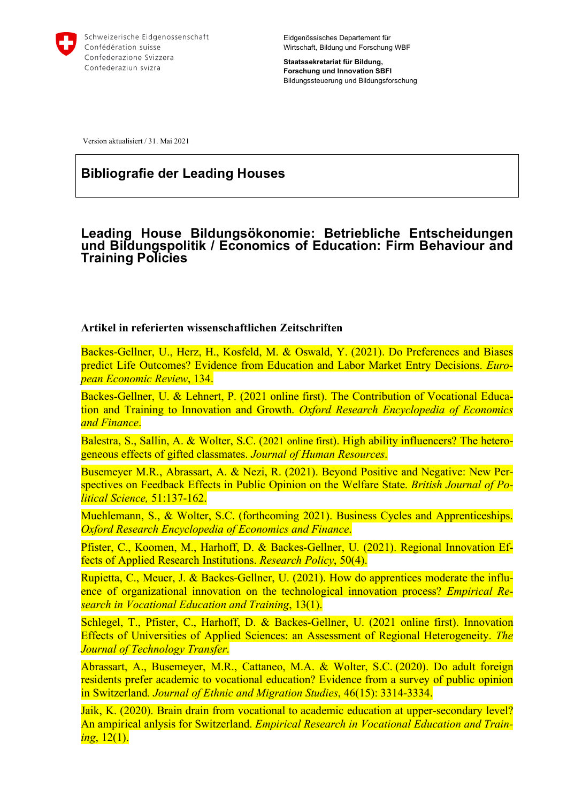

**Staatssekretariat für Bildung, Forschung und Innovation SBFI** Bildungssteuerung und Bildungsforschung

Version aktualisiert / 31. Mai 2021

# **Bibliografie der Leading Houses**

# **Leading House Bildungsökonomie: Betriebliche Entscheidungen und Bildungspolitik / Economics of Education: Firm Behaviour and Training Policies**

#### **Artikel in referierten wissenschaftlichen Zeitschriften**

Backes-Gellner, U., Herz, H., Kosfeld, M. & Oswald, Y. (2021). Do Preferences and Biases predict Life Outcomes? Evidence from Education and Labor Market Entry Decisions. *European Economic Review*, 134.

Backes-Gellner, U. & Lehnert, P. (2021 online first). The Contribution of Vocational Education and Training to Innovation and Growth. *Oxford Research Encyclopedia of Economics and Finance*.

Balestra, S., Sallin, A. & Wolter, S.C. (2021 online first). High ability influencers? The heterogeneous effects of gifted classmates. *Journal of Human Resources*.

Busemeyer M.R., Abrassart, A. & Nezi, R. (2021). Beyond Positive and Negative: New Perspectives on Feedback Effects in Public Opinion on the Welfare State. *British Journal of Political Science,* 51:137-162.

Muehlemann, S., & Wolter, S.C. (forthcoming 2021). Business Cycles and Apprenticeships. *Oxford Research Encyclopedia of Economics and Finance*.

Pfister, C., Koomen, M., Harhoff, D. & Backes-Gellner, U. (2021). Regional Innovation Effects of Applied Research Institutions. *Research Policy*, 50(4).

Rupietta, C., Meuer, J. & Backes-Gellner, U. (2021). How do apprentices moderate the influence of organizational innovation on the technological innovation process? *Empirical Research in Vocational Education and Training*, 13(1).

Schlegel, T., Pfister, C., Harhoff, D. & Backes-Gellner, U. (2021 online first). Innovation Effects of Universities of Applied Sciences: an Assessment of Regional Heterogeneity. *The Journal of Technology Transfer*.

Abrassart, A., Busemeyer, M.R., Cattaneo, M.A. & Wolter, S.C. (2020). Do adult foreign residents prefer academic to vocational education? Evidence from a survey of public opinion in Switzerland*. Journal of Ethnic and Migration Studies*, 46(15): 3314-3334.

Jaik, K. (2020). Brain drain from vocational to academic education at upper-secondary level? An ampirical anlysis for Switzerland. *Empirical Research in Vocational Education and Training*, 12(1).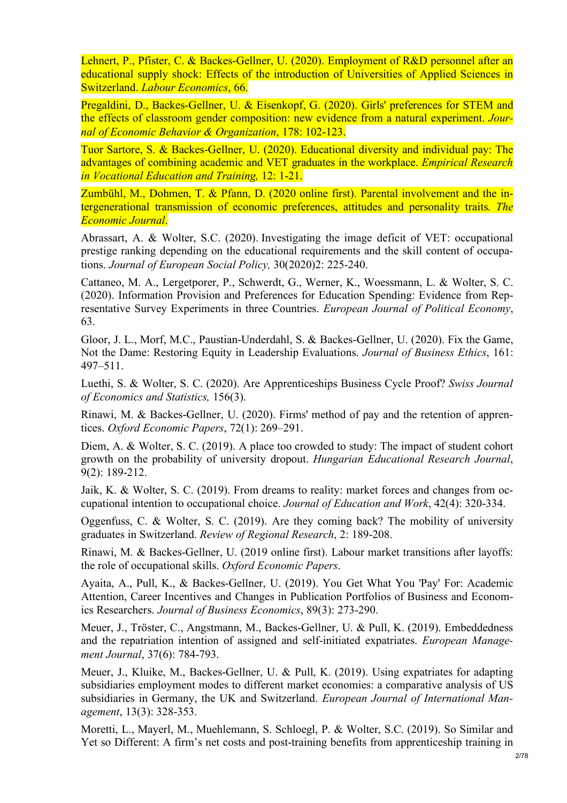Lehnert, P., Pfister, C. & Backes-Gellner, U. (2020). Employment of R&D personnel after an educational supply shock: Effects of the introduction of Universities of Applied Sciences in Switzerland. *Labour Economics*, 66.

Pregaldini, D., Backes-Gellner, U. & Eisenkopf, G. (2020). Girls' preferences for STEM and the effects of classroom gender composition: new evidence from a natural experiment. *Journal of Economic Behavior & Organization*, 178: 102-123.

Tuor Sartore, S. & Backes-Gellner, U. (2020). Educational diversity and individual pay: The advantages of combining academic and VET graduates in the workplace. *Empirical Research in Vocational Education and Training,* 12: 1-21.

Zumbühl, M., Dohmen, T. & Pfann, D. (2020 online first). Parental involvement and the intergenerational transmission of economic preferences, attitudes and personality traits. *The Economic Journal*.

Abrassart, A. & Wolter, S.C. (2020). Investigating the image deficit of VET: occupational prestige ranking depending on the educational requirements and the skill content of occupations. *Journal of European Social Policy,* 30(2020)2: 225-240.

Cattaneo, M. A., Lergetporer, P., Schwerdt, G., Werner, K., Woessmann, L. & Wolter, S. C. (2020). Information Provision and Preferences for Education Spending: Evidence from Representative Survey Experiments in three Countries. *European Journal of Political Economy*, 63.

Gloor, J. L., Morf, M.C., Paustian-Underdahl, S. & Backes-Gellner, U. (2020). Fix the Game, Not the Dame: Restoring Equity in Leadership Evaluations. *Journal of Business Ethics*, 161: 497–511.

Luethi, S. & Wolter, S. C. (2020). Are Apprenticeships Business Cycle Proof? *Swiss Journal of Economics and Statistics,* 156(3).

Rinawi, M. & Backes-Gellner, U. (2020). Firms' method of pay and the retention of apprentices. *Oxford Economic Papers*, 72(1): 269–291.

Diem, A. & Wolter, S. C. (2019). A place too crowded to study: The impact of student cohort growth on the probability of university dropout. *Hungarian Educational Research Journal*, 9(2): 189-212.

Jaik, K. & Wolter, S. C. (2019). From dreams to reality: market forces and changes from occupational intention to occupational choice. *Journal of Education and Work*, 42(4): 320-334.

Oggenfuss, C. & Wolter, S. C. (2019). Are they coming back? The mobility of university graduates in Switzerland. *Review of Regional Research*, 2: 189-208.

Rinawi, M. & Backes-Gellner, U. (2019 online first). Labour market transitions after layoffs: the role of occupational skills. *Oxford Economic Papers*.

Ayaita, A., Pull, K., & Backes-Gellner, U. (2019). You Get What You 'Pay' For: Academic Attention, Career Incentives and Changes in Publication Portfolios of Business and Economics Researchers. *Journal of Business Economics*, 89(3): 273-290.

Meuer, J., Tröster, C., Angstmann, M., Backes-Gellner, U. & Pull, K. (2019). Embeddedness and the repatriation intention of assigned and self-initiated expatriates. *European Management Journal*, 37(6): 784-793.

Meuer, J., Kluike, M., Backes-Gellner, U. & Pull, K. (2019). Using expatriates for adapting subsidiaries employment modes to different market economies: a comparative analysis of US subsidiaries in Germany, the UK and Switzerland. *European Journal of International Management*, 13(3): 328-353.

Moretti, L., Mayerl, M., Muehlemann, S. Schloegl, P. & Wolter, S.C. (2019). So Similar and Yet so Different: A firm's net costs and post-training benefits from apprenticeship training in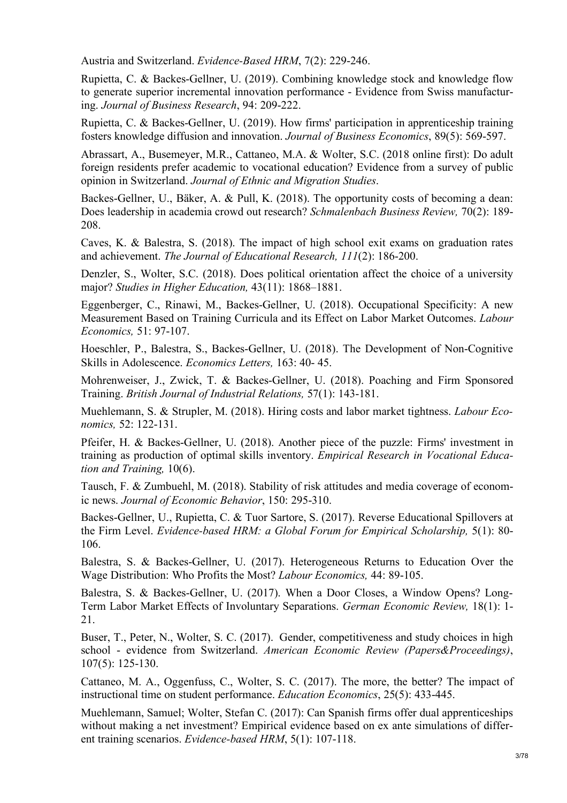Austria and Switzerland. *Evidence-Based HRM*, 7(2): 229-246.

Rupietta, C. & Backes-Gellner, U. (2019). Combining knowledge stock and knowledge flow to generate superior incremental innovation performance - Evidence from Swiss manufacturing. *Journal of Business Research*, 94: 209-222.

Rupietta, C. & Backes-Gellner, U. (2019). How firms' participation in apprenticeship training fosters knowledge diffusion and innovation. *Journal of Business Economics*, 89(5): 569-597.

Abrassart, A., Busemeyer, M.R., Cattaneo, M.A. & Wolter, S.C. (2018 online first): Do adult foreign residents prefer academic to vocational education? Evidence from a survey of public opinion in Switzerland. *Journal of Ethnic and Migration Studies*.

Backes-Gellner, U., Bäker, A. & Pull, K. (2018). The opportunity costs of becoming a dean: Does leadership in academia crowd out research? *Schmalenbach Business Review,* 70(2): 189- 208.

Caves, K. & Balestra, S. (2018). The impact of high school exit exams on graduation rates and achievement. *The Journal of Educational Research, 111*(2): 186-200.

Denzler, S., Wolter, S.C. (2018). Does political orientation affect the choice of a university major? *Studies in Higher Education,* 43(11): 1868–1881.

Eggenberger, C., Rinawi, M., Backes-Gellner, U. (2018). Occupational Specificity: A new Measurement Based on Training Curricula and its Effect on Labor Market Outcomes. *Labour Economics,* 51: 97-107.

Hoeschler, P., Balestra, S., Backes-Gellner, U. (2018). The Development of Non-Cognitive Skills in Adolescence. *Economics Letters,* 163: 40- 45.

Mohrenweiser, J., Zwick, T. & Backes-Gellner, U. (2018). Poaching and Firm Sponsored Training. *British Journal of Industrial Relations,* 57(1): 143-181.

Muehlemann, S. & Strupler, M. (2018). Hiring costs and labor market tightness. *Labour Economics,* 52: 122-131.

Pfeifer, H. & Backes-Gellner, U. (2018). Another piece of the puzzle: Firms' investment in training as production of optimal skills inventory. *Empirical Research in Vocational Education and Training,* 10(6).

Tausch, F. & Zumbuehl, M. (2018). Stability of risk attitudes and media coverage of economic news. *Journal of Economic Behavior*, 150: 295-310.

Backes-Gellner, U., Rupietta, C. & Tuor Sartore, S. (2017). Reverse Educational Spillovers at the Firm Level. *Evidence-based HRM: a Global Forum for Empirical Scholarship,* 5(1): 80- 106.

Balestra, S. & Backes-Gellner, U. (2017). Heterogeneous Returns to Education Over the Wage Distribution: Who Profits the Most? *Labour Economics,* 44: 89-105.

Balestra, S. & Backes-Gellner, U. (2017). When a Door Closes, a Window Opens? Long-Term Labor Market Effects of Involuntary Separations. *German Economic Review,* 18(1): 1- 21.

Buser, T., Peter, N., Wolter, S. C. (2017). Gender, competitiveness and study choices in high school - evidence from Switzerland. *American Economic Review (Papers&Proceedings)*, 107(5): 125-130.

Cattaneo, M. A., Oggenfuss, C., Wolter, S. C. (2017). The more, the better? The impact of instructional time on student performance. *Education Economics*, 25(5): 433-445.

Muehlemann, Samuel; Wolter, Stefan C. (2017): Can Spanish firms offer dual apprenticeships without making a net investment? Empirical evidence based on ex ante simulations of different training scenarios. *Evidence-based HRM*, 5(1): 107-118.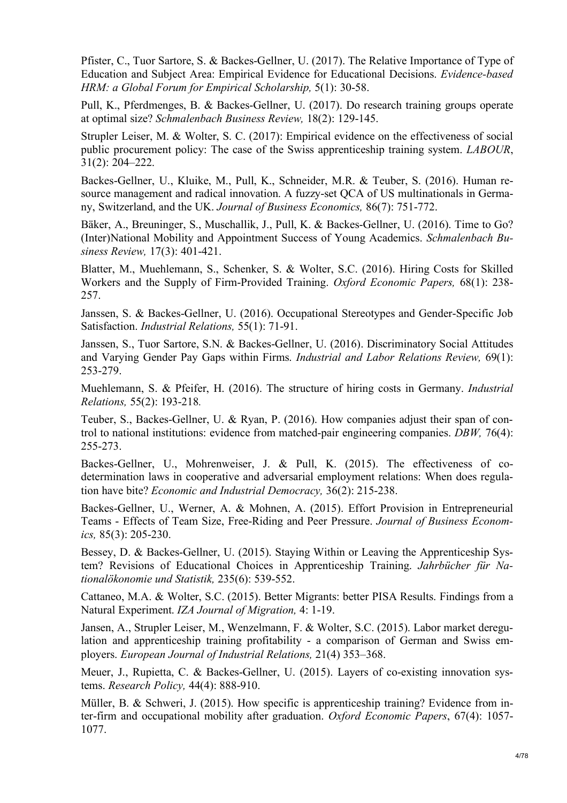Pfister, C., Tuor Sartore, S. & Backes-Gellner, U. (2017). The Relative Importance of Type of Education and Subject Area: Empirical Evidence for Educational Decisions. *Evidence-based HRM: a Global Forum for Empirical Scholarship,* 5(1): 30-58.

Pull, K., Pferdmenges, B. & Backes-Gellner, U. (2017). Do research training groups operate at optimal size? *Schmalenbach Business Review,* 18(2): 129-145.

Strupler Leiser, M. & Wolter, S. C. (2017): Empirical evidence on the effectiveness of social public procurement policy: The case of the Swiss apprenticeship training system. *LABOUR*, 31(2): 204–222.

Backes-Gellner, U., Kluike, M., Pull, K., Schneider, M.R. & Teuber, S. (2016). Human resource management and radical innovation. A fuzzy-set QCA of US multinationals in Germany, Switzerland, and the UK. *Journal of Business Economics,* 86(7): 751-772.

Bäker, A., Breuninger, S., Muschallik, J., Pull, K. & Backes-Gellner, U. (2016). Time to Go? (Inter)National Mobility and Appointment Success of Young Academics. *Schmalenbach Business Review,* 17(3): 401-421.

Blatter, M., Muehlemann, S., Schenker, S. & Wolter, S.C. (2016). Hiring Costs for Skilled Workers and the Supply of Firm-Provided Training. *Oxford Economic Papers,* 68(1): 238- 257.

Janssen, S. & Backes-Gellner, U. (2016). Occupational Stereotypes and Gender-Specific Job Satisfaction. *Industrial Relations,* 55(1): 71-91.

Janssen, S., Tuor Sartore, S.N. & Backes-Gellner, U. (2016). Discriminatory Social Attitudes and Varying Gender Pay Gaps within Firms. *Industrial and Labor Relations Review,* 69(1): 253-279.

Muehlemann, S. & Pfeifer, H. (2016). The structure of hiring costs in Germany. *Industrial Relations,* 55(2): 193-218*.*

Teuber, S., Backes-Gellner, U. & Ryan, P. (2016). How companies adjust their span of control to national institutions: evidence from matched-pair engineering companies. *DBW,* 76(4): 255-273.

Backes-Gellner, U., Mohrenweiser, J. & Pull, K. (2015). The effectiveness of codetermination laws in cooperative and adversarial employment relations: When does regulation have bite? *Economic and Industrial Democracy,* 36(2): 215-238.

Backes-Gellner, U., Werner, A. & Mohnen, A. (2015). Effort Provision in Entrepreneurial Teams - Effects of Team Size, Free-Riding and Peer Pressure. *Journal of Business Economics,* 85(3): 205-230.

Bessey, D. & Backes-Gellner, U. (2015). Staying Within or Leaving the Apprenticeship System? Revisions of Educational Choices in Apprenticeship Training. *Jahrbücher für Nationalökonomie und Statistik,* 235(6): 539-552.

Cattaneo, M.A. & Wolter, S.C. (2015). Better Migrants: better PISA Results. Findings from a Natural Experiment. *IZA Journal of Migration,* 4: 1-19.

Jansen, A., Strupler Leiser, M., Wenzelmann, F. & Wolter, S.C. (2015). Labor market deregulation and apprenticeship training profitability - a comparison of German and Swiss employers. *European Journal of Industrial Relations,* 21(4) 353–368.

Meuer, J., Rupietta, C. & Backes-Gellner, U. (2015). Layers of co-existing innovation systems. *Research Policy,* 44(4): 888-910.

Müller, B. & Schweri, J. (2015). How specific is apprenticeship training? Evidence from inter-firm and occupational mobility after graduation. *Oxford Economic Papers*, 67(4): 1057- 1077.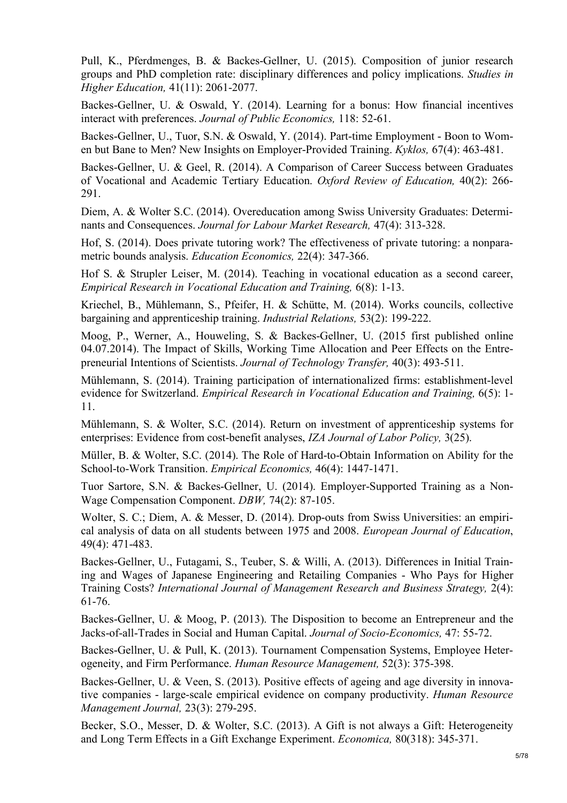Pull, K., Pferdmenges, B. & Backes-Gellner, U. (2015). Composition of junior research groups and PhD completion rate: disciplinary differences and policy implications. *Studies in Higher Education,* 41(11): 2061-2077.

Backes-Gellner, U. & Oswald, Y. (2014). Learning for a bonus: How financial incentives interact with preferences. *Journal of Public Economics,* 118: 52-61.

Backes-Gellner, U., Tuor, S.N. & Oswald, Y. (2014). Part-time Employment - Boon to Women but Bane to Men? New Insights on Employer-Provided Training. *Kyklos,* 67(4): 463-481.

Backes-Gellner, U. & Geel, R. (2014). A Comparison of Career Success between Graduates of Vocational and Academic Tertiary Education. *Oxford Review of Education,* 40(2): 266- 291.

Diem, A. & Wolter S.C. (2014). Overeducation among Swiss University Graduates: Determinants and Consequences. *Journal for Labour Market Research,* 47(4): 313-328.

Hof, S. (2014). Does private tutoring work? The effectiveness of private tutoring: a nonparametric bounds analysis. *Education Economics,* 22(4): 347-366.

Hof S. & Strupler Leiser, M. (2014). Teaching in vocational education as a second career, *Empirical Research in Vocational Education and Training,* 6(8): 1-13.

Kriechel, B., Mühlemann, S., Pfeifer, H. & Schütte, M. (2014). Works councils, collective bargaining and apprenticeship training. *Industrial Relations,* 53(2): 199-222.

Moog, P., Werner, A., Houweling, S. & Backes-Gellner, U. (2015 first published online 04.07.2014). The Impact of Skills, Working Time Allocation and Peer Effects on the Entrepreneurial Intentions of Scientists. *Journal of Technology Transfer,* 40(3): 493-511.

Mühlemann, S. (2014). Training participation of internationalized firms: establishment-level evidence for Switzerland. *Empirical Research in Vocational Education and Training,* 6(5): 1- 11.

Mühlemann, S. & Wolter, S.C. (2014). Return on investment of apprenticeship systems for enterprises: Evidence from cost-benefit analyses, *IZA Journal of Labor Policy,* 3(25).

Müller, B. & Wolter, S.C. (2014). The Role of Hard-to-Obtain Information on Ability for the School-to-Work Transition. *Empirical Economics,* 46(4): 1447-1471.

Tuor Sartore, S.N. & Backes-Gellner, U. (2014). Employer-Supported Training as a Non-Wage Compensation Component. *DBW,* 74(2): 87-105.

Wolter, S. C.; Diem, A. & Messer, D. (2014). Drop-outs from Swiss Universities: an empirical analysis of data on all students between 1975 and 2008. *European Journal of Education*, 49(4): 471-483.

Backes-Gellner, U., Futagami, S., Teuber, S. & Willi, A. (2013). Differences in Initial Training and Wages of Japanese Engineering and Retailing Companies - Who Pays for Higher Training Costs? *International Journal of Management Research and Business Strategy,* 2(4): 61-76.

Backes-Gellner, U. & Moog, P. (2013). The Disposition to become an Entrepreneur and the Jacks-of-all-Trades in Social and Human Capital. *Journal of Socio-Economics,* 47: 55-72.

Backes-Gellner, U. & Pull, K. (2013). Tournament Compensation Systems, Employee Heterogeneity, and Firm Performance. *Human Resource Management,* 52(3): 375-398.

Backes-Gellner, U. & Veen, S. (2013). Positive effects of ageing and age diversity in innovative companies - large-scale empirical evidence on company productivity. *Human Resource Management Journal,* 23(3): 279-295.

Becker, S.O., Messer, D. & Wolter, S.C. (2013). A Gift is not always a Gift: Heterogeneity and Long Term Effects in a Gift Exchange Experiment. *Economica,* 80(318): 345-371.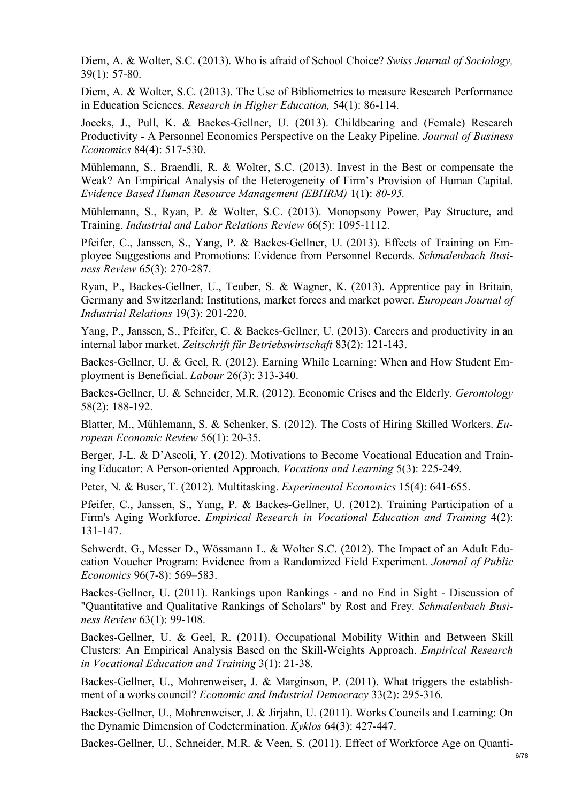Diem, A. & Wolter, S.C. (2013). Who is afraid of School Choice? *Swiss Journal of Sociology,* 39(1): 57-80.

Diem, A. & Wolter, S.C. (2013). The Use of Bibliometrics to measure Research Performance in Education Sciences. *Research in Higher Education,* 54(1): 86-114.

Joecks, J., Pull, K. & Backes-Gellner, U. (2013). Childbearing and (Female) Research Productivity - A Personnel Economics Perspective on the Leaky Pipeline. *Journal of Business Economics* 84(4): 517-530.

Mühlemann, S., Braendli, R. & Wolter, S.C. (2013). Invest in the Best or compensate the Weak? An Empirical Analysis of the Heterogeneity of Firm's Provision of Human Capital. *Evidence Based Human Resource Management (EBHRM)* 1(1): *80-95.*

Mühlemann, S., Ryan, P. & Wolter, S.C. (2013). Monopsony Power, Pay Structure, and Training. *Industrial and Labor Relations Review* 66(5): 1095-1112.

Pfeifer, C., Janssen, S., Yang, P. & Backes-Gellner, U. (2013). Effects of Training on Employee Suggestions and Promotions: Evidence from Personnel Records. *Schmalenbach Business Review* 65(3): 270-287.

Ryan, P., Backes-Gellner, U., Teuber, S. & Wagner, K. (2013). Apprentice pay in Britain, Germany and Switzerland: Institutions, market forces and market power. *European Journal of Industrial Relations* 19(3): 201-220.

Yang, P., Janssen, S., Pfeifer, C. & Backes-Gellner, U. (2013). Careers and productivity in an internal labor market. *Zeitschrift für Betriebswirtschaft* 83(2): 121-143.

Backes-Gellner, U. & Geel, R. (2012). Earning While Learning: When and How Student Employment is Beneficial. *Labour* 26(3): 313-340.

Backes-Gellner, U. & Schneider, M.R. (2012). Economic Crises and the Elderly. *Gerontology* 58(2): 188-192.

Blatter, M., Mühlemann, S. & Schenker, S. (2012). The Costs of Hiring Skilled Workers. *European Economic Review* 56(1): 20-35.

Berger, J-L. & D'Ascoli, Y. (2012). Motivations to Become Vocational Education and Training Educator: A Person-oriented Approach. *Vocations and Learning* 5(3): 225-249*.*

Peter, N. & Buser, T. (2012). Multitasking. *Experimental Economics* 15(4): 641-655.

Pfeifer, C., Janssen, S., Yang, P. & Backes-Gellner, U. (2012). Training Participation of a Firm's Aging Workforce. *Empirical Research in Vocational Education and Training* 4(2): 131-147.

Schwerdt, G., Messer D., Wössmann L. & Wolter S.C. (2012). The Impact of an Adult Education Voucher Program: Evidence from a Randomized Field Experiment. *Journal of Public Economics* 96(7-8): 569–583.

Backes-Gellner, U. (2011). Rankings upon Rankings - and no End in Sight - Discussion of "Quantitative and Qualitative Rankings of Scholars" by Rost and Frey. *Schmalenbach Business Review* 63(1): 99-108.

Backes-Gellner, U. & Geel, R. (2011). Occupational Mobility Within and Between Skill Clusters: An Empirical Analysis Based on the Skill-Weights Approach. *Empirical Research in Vocational Education and Training* 3(1): 21-38.

Backes-Gellner, U., Mohrenweiser, J. & Marginson, P. (2011). What triggers the establishment of a works council? *Economic and Industrial Democracy* 33(2): 295-316.

Backes-Gellner, U., Mohrenweiser, J. & Jirjahn, U. (2011). Works Councils and Learning: On the Dynamic Dimension of Codetermination. *Kyklos* 64(3): 427-447.

Backes-Gellner, U., Schneider, M.R. & Veen, S. (2011). Effect of Workforce Age on Quanti-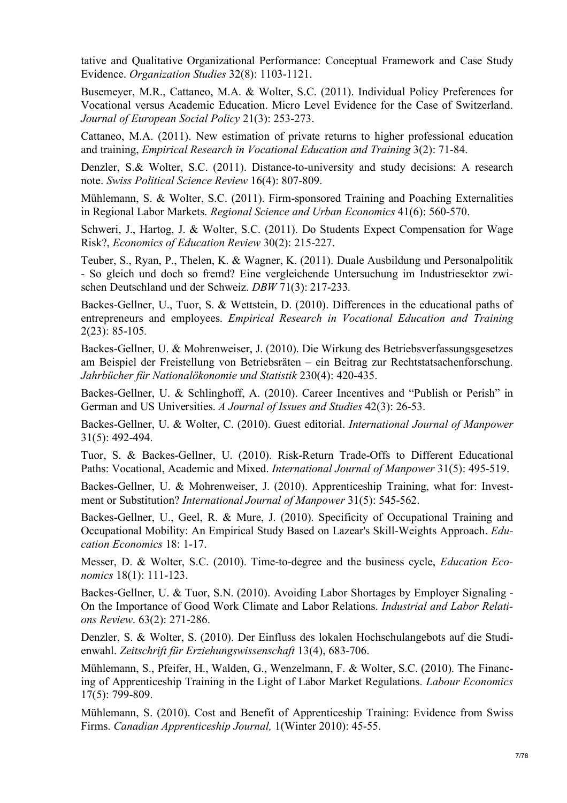tative and Qualitative Organizational Performance: Conceptual Framework and Case Study Evidence. *Organization Studies* 32(8): 1103-1121.

Busemeyer, M.R., Cattaneo, M.A. & Wolter, S.C. (2011). Individual Policy Preferences for Vocational versus Academic Education. Micro Level Evidence for the Case of Switzerland. *Journal of European Social Policy* 21(3): 253-273.

Cattaneo, M.A. (2011). New estimation of private returns to higher professional education and training, *Empirical Research in Vocational Education and Training* 3(2): 71-84.

Denzler, S.& Wolter, S.C. (2011). Distance-to-university and study decisions: A research note. *Swiss Political Science Review* 16(4): 807-809.

Mühlemann, S. & Wolter, S.C. (2011). Firm-sponsored Training and Poaching Externalities in Regional Labor Markets. *Regional Science and Urban Economics* 41(6): 560-570.

Schweri, J., Hartog, J. & Wolter, S.C. (2011). Do Students Expect Compensation for Wage Risk?, *Economics of Education Review* 30(2): 215-227.

Teuber, S., Ryan, P., Thelen, K. & Wagner, K. (2011). Duale Ausbildung und Personalpolitik - So gleich und doch so fremd? Eine vergleichende Untersuchung im Industriesektor zwischen Deutschland und der Schweiz. *DBW* 71(3): 217-233*.*

Backes-Gellner, U., Tuor, S. & Wettstein, D. (2010). Differences in the educational paths of entrepreneurs and employees. *Empirical Research in Vocational Education and Training*  2(23): 85-105*.*

Backes-Gellner, U. & Mohrenweiser, J. (2010). Die Wirkung des Betriebsverfassungsgesetzes am Beispiel der Freistellung von Betriebsräten – ein Beitrag zur Rechtstatsachenforschung. *Jahrbücher für Nationalökonomie und Statistik* 230(4): 420-435.

Backes-Gellner, U. & Schlinghoff, A. (2010). Career Incentives and "Publish or Perish" in German and US Universities. *A Journal of Issues and Studies* 42(3): 26-53.

Backes-Gellner, U. & Wolter, C. (2010). Guest editorial. *International Journal of Manpower*  31(5): 492-494.

Tuor, S. & Backes-Gellner, U. (2010). Risk-Return Trade-Offs to Different Educational Paths: Vocational, Academic and Mixed. *International Journal of Manpower* 31(5): 495-519.

Backes-Gellner, U. & Mohrenweiser, J. (2010). Apprenticeship Training, what for: Investment or Substitution? *International Journal of Manpower* 31(5): 545-562.

Backes-Gellner, U., Geel, R. & Mure, J. (2010). Specificity of Occupational Training and Occupational Mobility: An Empirical Study Based on Lazear's Skill-Weights Approach. *Education Economics* 18: 1-17.

Messer, D. & Wolter, S.C. (2010). Time-to-degree and the business cycle, *Education Economics* 18(1): 111-123.

Backes-Gellner, U. & Tuor, S.N. (2010). Avoiding Labor Shortages by Employer Signaling - On the Importance of Good Work Climate and Labor Relations. *Industrial and Labor Relations Review*. 63(2): 271-286.

Denzler, S. & Wolter, S. (2010). Der Einfluss des lokalen Hochschulangebots auf die Studienwahl. *Zeitschrift für Erziehungswissenschaft* 13(4), 683-706.

Mühlemann, S., Pfeifer, H., Walden, G., Wenzelmann, F. & Wolter, S.C. (2010). The Financing of Apprenticeship Training in the Light of Labor Market Regulations. *Labour Economics* 17(5): 799-809.

Mühlemann, S. (2010). Cost and Benefit of Apprenticeship Training: Evidence from Swiss Firms. *Canadian Apprenticeship Journal,* 1(Winter 2010): 45-55.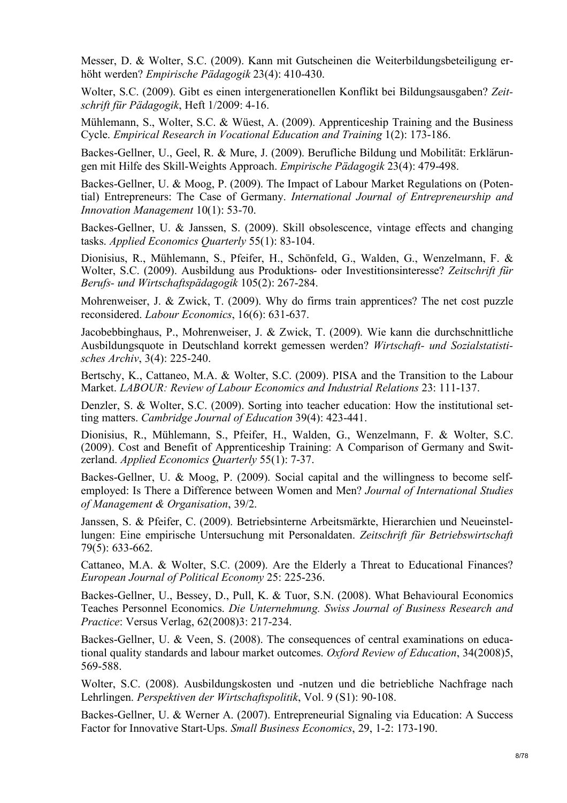Messer, D. & Wolter, S.C. (2009). Kann mit Gutscheinen die Weiterbildungsbeteiligung erhöht werden? *Empirische Pädagogik* 23(4): 410-430.

Wolter, S.C. (2009). Gibt es einen intergenerationellen Konflikt bei Bildungsausgaben? *Zeitschrift für Pädagogik*, Heft 1/2009: 4-16.

Mühlemann, S., Wolter, S.C. & Wüest, A. (2009). Apprenticeship Training and the Business Cycle. *Empirical Research in Vocational Education and Training* 1(2): 173-186.

Backes-Gellner, U., Geel, R. & Mure, J. (2009). Berufliche Bildung und Mobilität: Erklärungen mit Hilfe des Skill-Weights Approach. *Empirische Pädagogik* 23(4): 479-498.

Backes-Gellner, U. & Moog, P. (2009). The Impact of Labour Market Regulations on (Potential) Entrepreneurs: The Case of Germany. *International Journal of Entrepreneurship and Innovation Management* 10(1): 53-70.

Backes-Gellner, U. & Janssen, S. (2009). Skill obsolescence, vintage effects and changing tasks. *Applied Economics Quarterly* 55(1): 83-104.

Dionisius, R., Mühlemann, S., Pfeifer, H., Schönfeld, G., Walden, G., Wenzelmann, F. & Wolter, S.C. (2009). Ausbildung aus Produktions- oder Investitionsinteresse? *Zeitschrift für Berufs- und Wirtschaftspädagogik* 105(2): 267-284.

Mohrenweiser, J. & Zwick, T. (2009). Why do firms train apprentices? The net cost puzzle reconsidered. *Labour Economics*, 16(6): 631-637.

Jacobebbinghaus, P., Mohrenweiser, J. & Zwick, T. (2009). Wie kann die durchschnittliche Ausbildungsquote in Deutschland korrekt gemessen werden? *Wirtschaft- und Sozialstatistisches Archiv*, 3(4): 225-240.

Bertschy, K., Cattaneo, M.A. & Wolter, S.C. (2009). PISA and the Transition to the Labour Market. *LABOUR: Review of Labour Economics and Industrial Relations* 23: 111-137.

Denzler, S. & Wolter, S.C. (2009). Sorting into teacher education: How the institutional setting matters. *Cambridge Journal of Education* 39(4): 423-441.

Dionisius, R., Mühlemann, S., Pfeifer, H., Walden, G., Wenzelmann, F. & Wolter, S.C. (2009). Cost and Benefit of Apprenticeship Training: A Comparison of Germany and Switzerland. *Applied Economics Quarterly* 55(1): 7-37.

Backes-Gellner, U. & Moog, P. (2009). Social capital and the willingness to become selfemployed: Is There a Difference between Women and Men? *Journal of International Studies of Management & Organisation*, 39/2.

Janssen, S. & Pfeifer, C. (2009). Betriebsinterne Arbeitsmärkte, Hierarchien und Neueinstellungen: Eine empirische Untersuchung mit Personaldaten. *Zeitschrift für Betriebswirtschaft*  79(5): 633-662.

Cattaneo, M.A. & Wolter, S.C. (2009). Are the Elderly a Threat to Educational Finances? *European Journal of Political Economy* 25: 225-236.

Backes-Gellner, U., Bessey, D., Pull, K. & Tuor, S.N. (2008). What Behavioural Economics Teaches Personnel Economics. *Die Unternehmung. Swiss Journal of Business Research and Practice*: Versus Verlag, 62(2008)3: 217-234.

Backes-Gellner, U. & Veen, S. (2008). The consequences of central examinations on educational quality standards and labour market outcomes. *Oxford Review of Education*, 34(2008)5, 569-588.

Wolter, S.C. (2008). Ausbildungskosten und -nutzen und die betriebliche Nachfrage nach Lehrlingen. *Perspektiven der Wirtschaftspolitik*, Vol. 9 (S1): 90-108.

Backes-Gellner, U. & Werner A. (2007). Entrepreneurial Signaling via Education: A Success Factor for Innovative Start-Ups. *Small Business Economics*, 29, 1-2: 173-190.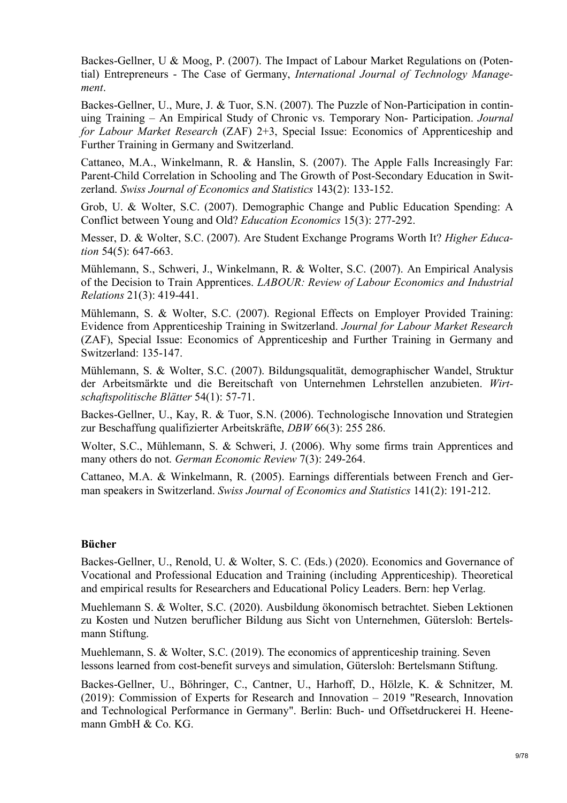Backes-Gellner, U & Moog, P. (2007). The Impact of Labour Market Regulations on (Potential) Entrepreneurs - The Case of Germany, *International Journal of Technology Management*.

Backes-Gellner, U., Mure, J. & Tuor, S.N. (2007). The Puzzle of Non-Participation in continuing Training – An Empirical Study of Chronic vs. Temporary Non- Participation. *Journal for Labour Market Research* (ZAF) 2+3, Special Issue: Economics of Apprenticeship and Further Training in Germany and Switzerland.

Cattaneo, M.A., Winkelmann, R. & Hanslin, S. (2007). The Apple Falls Increasingly Far: Parent-Child Correlation in Schooling and The Growth of Post-Secondary Education in Switzerland. *Swiss Journal of Economics and Statistics* 143(2): 133-152.

Grob, U. & Wolter, S.C. (2007). Demographic Change and Public Education Spending: A Conflict between Young and Old? *Education Economics* 15(3): 277-292.

Messer, D. & Wolter, S.C. (2007). Are Student Exchange Programs Worth It? *Higher Education* 54(5): 647-663.

Mühlemann, S., Schweri, J., Winkelmann, R. & Wolter, S.C. (2007). An Empirical Analysis of the Decision to Train Apprentices. *LABOUR: Review of Labour Economics and Industrial Relations* 21(3): 419-441.

Mühlemann, S. & Wolter, S.C. (2007). Regional Effects on Employer Provided Training: Evidence from Apprenticeship Training in Switzerland. *Journal for Labour Market Research*  (ZAF), Special Issue: Economics of Apprenticeship and Further Training in Germany and Switzerland: 135-147.

Mühlemann, S. & Wolter, S.C. (2007). Bildungsqualität, demographischer Wandel, Struktur der Arbeitsmärkte und die Bereitschaft von Unternehmen Lehrstellen anzubieten. *Wirtschaftspolitische Blätter* 54(1): 57-71.

Backes-Gellner, U., Kay, R. & Tuor, S.N. (2006). Technologische Innovation und Strategien zur Beschaffung qualifizierter Arbeitskräfte, *DBW* 66(3): 255 286.

Wolter, S.C., Mühlemann, S. & Schweri, J. (2006). Why some firms train Apprentices and many others do not. *German Economic Review* 7(3): 249-264.

Cattaneo, M.A. & Winkelmann, R. (2005). Earnings differentials between French and German speakers in Switzerland. *Swiss Journal of Economics and Statistics* 141(2): 191-212.

#### **Bücher**

Backes-Gellner, U., Renold, U. & Wolter, S. C. (Eds.) (2020). Economics and Governance of Vocational and Professional Education and Training (including Apprenticeship). Theoretical and empirical results for Researchers and Educational Policy Leaders. Bern: hep Verlag.

Muehlemann S. & Wolter, S.C. (2020). Ausbildung ökonomisch betrachtet. Sieben Lektionen zu Kosten und Nutzen beruflicher Bildung aus Sicht von Unternehmen, Gütersloh: Bertelsmann Stiftung.

Muehlemann, S. & Wolter, S.C. (2019). The economics of apprenticeship training. Seven lessons learned from cost-benefit surveys and simulation, Gütersloh: Bertelsmann Stiftung.

Backes-Gellner, U., Böhringer, C., Cantner, U., Harhoff, D., Hölzle, K. & Schnitzer, M. (2019): Commission of Experts for Research and Innovation – 2019 "Research, Innovation and Technological Performance in Germany". Berlin: Buch- und Offsetdruckerei H. Heenemann GmbH & Co. KG.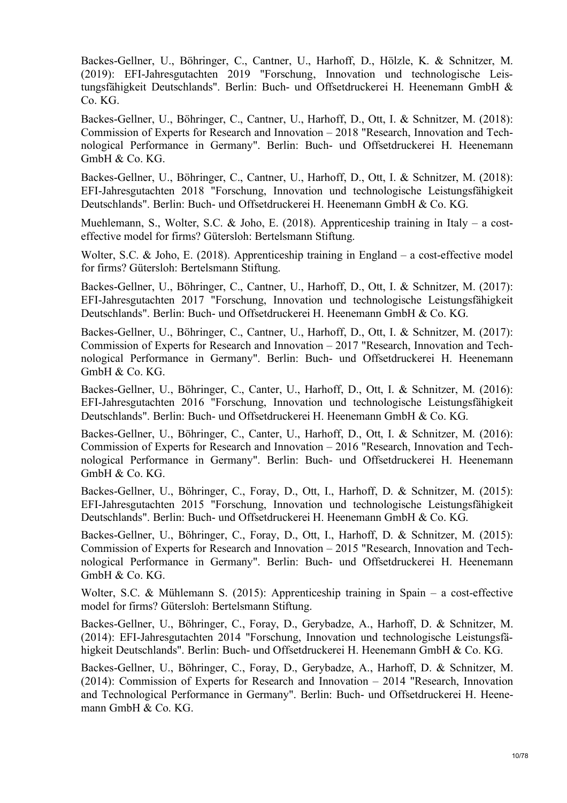Backes-Gellner, U., Böhringer, C., Cantner, U., Harhoff, D., Hölzle, K. & Schnitzer, M. (2019): EFI-Jahresgutachten 2019 "Forschung, Innovation und technologische Leistungsfähigkeit Deutschlands". Berlin: Buch- und Offsetdruckerei H. Heenemann GmbH & Co. KG.

Backes-Gellner, U., Böhringer, C., Cantner, U., Harhoff, D., Ott, I. & Schnitzer, M. (2018): Commission of Experts for Research and Innovation – 2018 "Research, Innovation and Technological Performance in Germany". Berlin: Buch- und Offsetdruckerei H. Heenemann GmbH & Co. KG.

Backes-Gellner, U., Böhringer, C., Cantner, U., Harhoff, D., Ott, I. & Schnitzer, M. (2018): EFI-Jahresgutachten 2018 "Forschung, Innovation und technologische Leistungsfähigkeit Deutschlands". Berlin: Buch- und Offsetdruckerei H. Heenemann GmbH & Co. KG.

Muehlemann, S., Wolter, S.C. & Joho, E. (2018). Apprenticeship training in Italy – a costeffective model for firms? Gütersloh: Bertelsmann Stiftung.

Wolter, S.C. & Joho, E. (2018). Apprenticeship training in England – a cost-effective model for firms? Gütersloh: Bertelsmann Stiftung.

Backes-Gellner, U., Böhringer, C., Cantner, U., Harhoff, D., Ott, I. & Schnitzer, M. (2017): EFI-Jahresgutachten 2017 "Forschung, Innovation und technologische Leistungsfähigkeit Deutschlands". Berlin: Buch- und Offsetdruckerei H. Heenemann GmbH & Co. KG.

Backes-Gellner, U., Böhringer, C., Cantner, U., Harhoff, D., Ott, I. & Schnitzer, M. (2017): Commission of Experts for Research and Innovation – 2017 "Research, Innovation and Technological Performance in Germany". Berlin: Buch- und Offsetdruckerei H. Heenemann  $Gm$ bH & Co. K $G$ .

Backes-Gellner, U., Böhringer, C., Canter, U., Harhoff, D., Ott, I. & Schnitzer, M. (2016): EFI-Jahresgutachten 2016 "Forschung, Innovation und technologische Leistungsfähigkeit Deutschlands". Berlin: Buch- und Offsetdruckerei H. Heenemann GmbH & Co. KG.

Backes-Gellner, U., Böhringer, C., Canter, U., Harhoff, D., Ott, I. & Schnitzer, M. (2016): Commission of Experts for Research and Innovation – 2016 "Research, Innovation and Technological Performance in Germany". Berlin: Buch- und Offsetdruckerei H. Heenemann GmbH & Co. KG.

Backes-Gellner, U., Böhringer, C., Foray, D., Ott, I., Harhoff, D. & Schnitzer, M. (2015): EFI-Jahresgutachten 2015 "Forschung, Innovation und technologische Leistungsfähigkeit Deutschlands". Berlin: Buch- und Offsetdruckerei H. Heenemann GmbH & Co. KG.

Backes-Gellner, U., Böhringer, C., Foray, D., Ott, I., Harhoff, D. & Schnitzer, M. (2015): Commission of Experts for Research and Innovation – 2015 "Research, Innovation and Technological Performance in Germany". Berlin: Buch- und Offsetdruckerei H. Heenemann GmbH & Co. KG.

Wolter, S.C. & Mühlemann S. (2015): Apprenticeship training in Spain – a cost-effective model for firms? Gütersloh: Bertelsmann Stiftung.

Backes-Gellner, U., Böhringer, C., Foray, D., Gerybadze, A., Harhoff, D. & Schnitzer, M. (2014): EFI-Jahresgutachten 2014 "Forschung, Innovation und technologische Leistungsfähigkeit Deutschlands". Berlin: Buch- und Offsetdruckerei H. Heenemann GmbH & Co. KG.

Backes-Gellner, U., Böhringer, C., Foray, D., Gerybadze, A., Harhoff, D. & Schnitzer, M. (2014): Commission of Experts for Research and Innovation – 2014 "Research, Innovation and Technological Performance in Germany". Berlin: Buch- und Offsetdruckerei H. Heenemann GmbH & Co. KG.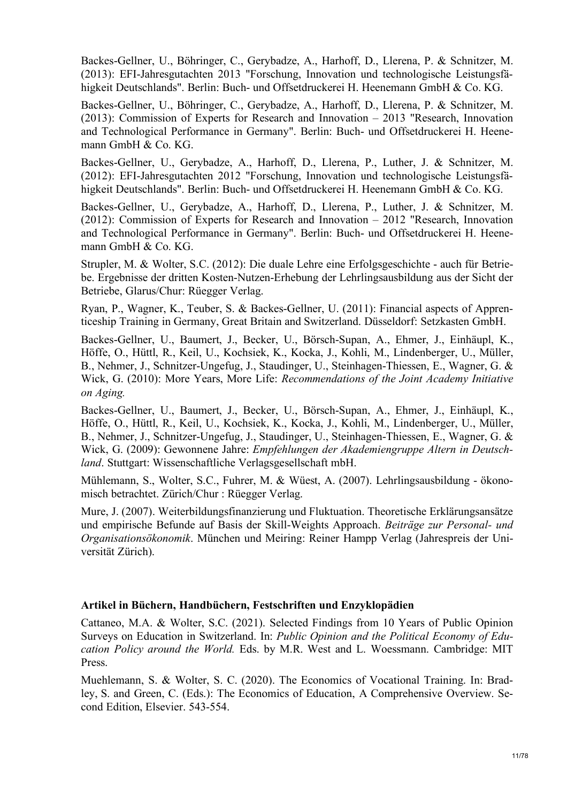Backes-Gellner, U., Böhringer, C., Gerybadze, A., Harhoff, D., Llerena, P. & Schnitzer, M. (2013): EFI-Jahresgutachten 2013 "Forschung, Innovation und technologische Leistungsfähigkeit Deutschlands". Berlin: Buch- und Offsetdruckerei H. Heenemann GmbH & Co. KG.

Backes-Gellner, U., Böhringer, C., Gerybadze, A., Harhoff, D., Llerena, P. & Schnitzer, M. (2013): Commission of Experts for Research and Innovation – 2013 "Research, Innovation and Technological Performance in Germany". Berlin: Buch- und Offsetdruckerei H. Heenemann GmbH & Co. KG.

Backes-Gellner, U., Gerybadze, A., Harhoff, D., Llerena, P., Luther, J. & Schnitzer, M. (2012): EFI-Jahresgutachten 2012 "Forschung, Innovation und technologische Leistungsfähigkeit Deutschlands". Berlin: Buch- und Offsetdruckerei H. Heenemann GmbH & Co. KG.

Backes-Gellner, U., Gerybadze, A., Harhoff, D., Llerena, P., Luther, J. & Schnitzer, M. (2012): Commission of Experts for Research and Innovation – 2012 "Research, Innovation and Technological Performance in Germany". Berlin: Buch- und Offsetdruckerei H. Heenemann GmbH & Co. KG.

Strupler, M. & Wolter, S.C. (2012): Die duale Lehre eine Erfolgsgeschichte - auch für Betriebe. Ergebnisse der dritten Kosten-Nutzen-Erhebung der Lehrlingsausbildung aus der Sicht der Betriebe, Glarus/Chur: Rüegger Verlag.

Ryan, P., Wagner, K., Teuber, S. & Backes-Gellner, U. (2011): Financial aspects of Apprenticeship Training in Germany, Great Britain and Switzerland. Düsseldorf: Setzkasten GmbH.

Backes-Gellner, U., Baumert, J., Becker, U., Börsch-Supan, A., Ehmer, J., Einhäupl, K., Höffe, O., Hüttl, R., Keil, U., Kochsiek, K., Kocka, J., Kohli, M., Lindenberger, U., Müller, B., Nehmer, J., Schnitzer-Ungefug, J., Staudinger, U., Steinhagen-Thiessen, E., Wagner, G. & Wick, G. (2010): More Years, More Life: *Recommendations of the Joint Academy Initiative on Aging.*

Backes-Gellner, U., Baumert, J., Becker, U., Börsch-Supan, A., Ehmer, J., Einhäupl, K., Höffe, O., Hüttl, R., Keil, U., Kochsiek, K., Kocka, J., Kohli, M., Lindenberger, U., Müller, B., Nehmer, J., Schnitzer-Ungefug, J., Staudinger, U., Steinhagen-Thiessen, E., Wagner, G. & Wick, G. (2009): Gewonnene Jahre: *Empfehlungen der Akademiengruppe Altern in Deutschland*. Stuttgart: Wissenschaftliche Verlagsgesellschaft mbH.

Mühlemann, S., Wolter, S.C., Fuhrer, M. & Wüest, A. (2007). Lehrlingsausbildung - ökonomisch betrachtet. Zürich/Chur : Rüegger Verlag.

Mure, J. (2007). Weiterbildungsfinanzierung und Fluktuation. Theoretische Erklärungsansätze und empirische Befunde auf Basis der Skill-Weights Approach. *Beiträge zur Personal- und Organisationsökonomik*. München und Meiring: Reiner Hampp Verlag (Jahrespreis der Universität Zürich).

# **Artikel in Büchern, Handbüchern, Festschriften und Enzyklopädien**

Cattaneo, M.A. & Wolter, S.C. (2021). Selected Findings from 10 Years of Public Opinion Surveys on Education in Switzerland. In: *Public Opinion and the Political Economy of Education Policy around the World.* Eds. by M.R. West and L. Woessmann. Cambridge: MIT Press.

Muehlemann, S. & Wolter, S. C. (2020). The Economics of Vocational Training. In: Bradley, S. and Green, C. (Eds.): The Economics of Education, A Comprehensive Overview. Second Edition, Elsevier. 543-554.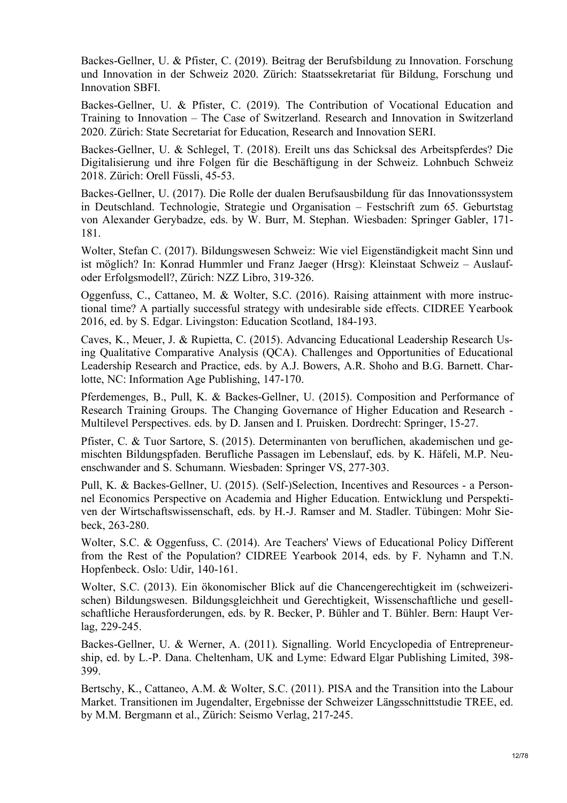Backes-Gellner, U. & Pfister, C. (2019). Beitrag der Berufsbildung zu Innovation. Forschung und Innovation in der Schweiz 2020. Zürich: Staatssekretariat für Bildung, Forschung und Innovation SBFI.

Backes-Gellner, U. & Pfister, C. (2019). The Contribution of Vocational Education and Training to Innovation – The Case of Switzerland. Research and Innovation in Switzerland 2020. Zürich: State Secretariat for Education, Research and Innovation SERI.

Backes-Gellner, U. & Schlegel, T. (2018). Ereilt uns das Schicksal des Arbeitspferdes? Die Digitalisierung und ihre Folgen für die Beschäftigung in der Schweiz. Lohnbuch Schweiz 2018. Zürich: Orell Füssli, 45-53.

Backes-Gellner, U. (2017). Die Rolle der dualen Berufsausbildung für das Innovationssystem in Deutschland. Technologie, Strategie und Organisation – Festschrift zum 65. Geburtstag von Alexander Gerybadze, eds. by W. Burr, M. Stephan. Wiesbaden: Springer Gabler, 171- 181.

Wolter, Stefan C. (2017). Bildungswesen Schweiz: Wie viel Eigenständigkeit macht Sinn und ist möglich? In: Konrad Hummler und Franz Jaeger (Hrsg): Kleinstaat Schweiz – Auslaufoder Erfolgsmodell?, Zürich: NZZ Libro, 319-326.

Oggenfuss, C., Cattaneo, M. & Wolter, S.C. (2016). Raising attainment with more instructional time? A partially successful strategy with undesirable side effects. CIDREE Yearbook 2016, ed. by S. Edgar. Livingston: Education Scotland, 184-193.

Caves, K., Meuer, J. & Rupietta, C. (2015). Advancing Educational Leadership Research Using Qualitative Comparative Analysis (QCA). Challenges and Opportunities of Educational Leadership Research and Practice, eds. by A.J. Bowers, A.R. Shoho and B.G. Barnett. Charlotte, NC: Information Age Publishing, 147-170.

Pferdemenges, B., Pull, K. & Backes-Gellner, U. (2015). Composition and Performance of Research Training Groups. The Changing Governance of Higher Education and Research - Multilevel Perspectives. eds. by D. Jansen and I. Pruisken. Dordrecht: Springer, 15-27.

Pfister, C. & Tuor Sartore, S. (2015). Determinanten von beruflichen, akademischen und gemischten Bildungspfaden. Berufliche Passagen im Lebenslauf, eds. by K. Häfeli, M.P. Neuenschwander and S. Schumann. Wiesbaden: Springer VS, 277-303.

Pull, K. & Backes-Gellner, U. (2015). (Self-)Selection, Incentives and Resources - a Personnel Economics Perspective on Academia and Higher Education. Entwicklung und Perspektiven der Wirtschaftswissenschaft, eds. by H.-J. Ramser and M. Stadler. Tübingen: Mohr Siebeck, 263-280.

Wolter, S.C. & Oggenfuss, C. (2014). Are Teachers' Views of Educational Policy Different from the Rest of the Population? CIDREE Yearbook 2014, eds. by F. Nyhamn and T.N. Hopfenbeck. Oslo: Udir, 140-161.

Wolter, S.C. (2013). Ein ökonomischer Blick auf die Chancengerechtigkeit im (schweizerischen) Bildungswesen. Bildungsgleichheit und Gerechtigkeit, Wissenschaftliche und gesellschaftliche Herausforderungen, eds. by R. Becker, P. Bühler and T. Bühler. Bern: Haupt Verlag, 229-245.

Backes-Gellner, U. & Werner, A. (2011). Signalling. World Encyclopedia of Entrepreneurship, ed. by L.-P. Dana. Cheltenham, UK and Lyme: Edward Elgar Publishing Limited, 398- 399.

Bertschy, K., Cattaneo, A.M. & Wolter, S.C. (2011). PISA and the Transition into the Labour Market. Transitionen im Jugendalter, Ergebnisse der Schweizer Längsschnittstudie TREE, ed. by M.M. Bergmann et al., Zürich: Seismo Verlag, 217-245.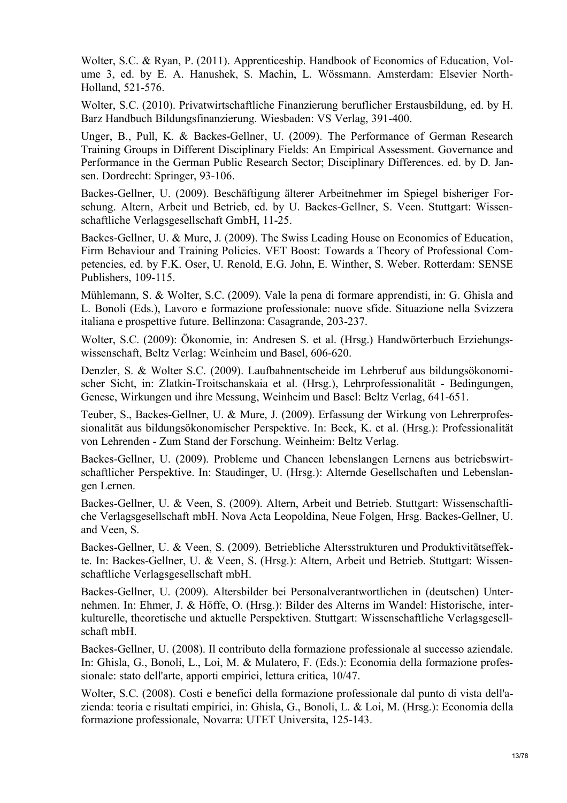Wolter, S.C. & Ryan, P. (2011). Apprenticeship. Handbook of Economics of Education, Volume 3, ed. by E. A. Hanushek, S. Machin, L. Wössmann. Amsterdam: Elsevier North-Holland, 521-576.

Wolter, S.C. (2010). Privatwirtschaftliche Finanzierung beruflicher Erstausbildung, ed. by H. Barz Handbuch Bildungsfinanzierung. Wiesbaden: VS Verlag, 391-400.

Unger, B., Pull, K. & Backes-Gellner, U. (2009). The Performance of German Research Training Groups in Different Disciplinary Fields: An Empirical Assessment. Governance and Performance in the German Public Research Sector; Disciplinary Differences. ed. by D. Jansen. Dordrecht: Springer, 93-106.

Backes-Gellner, U. (2009). Beschäftigung älterer Arbeitnehmer im Spiegel bisheriger Forschung. Altern, Arbeit und Betrieb, ed. by U. Backes-Gellner, S. Veen. Stuttgart: Wissenschaftliche Verlagsgesellschaft GmbH, 11-25.

Backes-Gellner, U. & Mure, J. (2009). The Swiss Leading House on Economics of Education, Firm Behaviour and Training Policies. VET Boost: Towards a Theory of Professional Competencies, ed. by F.K. Oser, U. Renold, E.G. John, E. Winther, S. Weber. Rotterdam: SENSE Publishers, 109-115.

Mühlemann, S. & Wolter, S.C. (2009). Vale la pena di formare apprendisti, in: G. Ghisla and L. Bonoli (Eds.), Lavoro e formazione professionale: nuove sfide. Situazione nella Svizzera italiana e prospettive future. Bellinzona: Casagrande, 203-237.

Wolter, S.C. (2009): Ökonomie, in: Andresen S. et al. (Hrsg.) Handwörterbuch Erziehungswissenschaft, Beltz Verlag: Weinheim und Basel, 606-620.

Denzler, S. & Wolter S.C. (2009). Laufbahnentscheide im Lehrberuf aus bildungsökonomischer Sicht, in: Zlatkin-Troitschanskaia et al. (Hrsg.), Lehrprofessionalität - Bedingungen, Genese, Wirkungen und ihre Messung, Weinheim und Basel: Beltz Verlag, 641-651.

Teuber, S., Backes-Gellner, U. & Mure, J. (2009). Erfassung der Wirkung von Lehrerprofessionalität aus bildungsökonomischer Perspektive. In: Beck, K. et al. (Hrsg.): Professionalität von Lehrenden - Zum Stand der Forschung. Weinheim: Beltz Verlag.

Backes-Gellner, U. (2009). Probleme und Chancen lebenslangen Lernens aus betriebswirtschaftlicher Perspektive. In: Staudinger, U. (Hrsg.): Alternde Gesellschaften und Lebenslangen Lernen.

Backes-Gellner, U. & Veen, S. (2009). Altern, Arbeit und Betrieb. Stuttgart: Wissenschaftliche Verlagsgesellschaft mbH. Nova Acta Leopoldina, Neue Folgen, Hrsg. Backes-Gellner, U. and Veen, S.

Backes-Gellner, U. & Veen, S. (2009). Betriebliche Altersstrukturen und Produktivitätseffekte. In: Backes-Gellner, U. & Veen, S. (Hrsg.): Altern, Arbeit und Betrieb. Stuttgart: Wissenschaftliche Verlagsgesellschaft mbH.

Backes-Gellner, U. (2009). Altersbilder bei Personalverantwortlichen in (deutschen) Unternehmen. In: Ehmer, J. & Höffe, O. (Hrsg.): Bilder des Alterns im Wandel: Historische, interkulturelle, theoretische und aktuelle Perspektiven. Stuttgart: Wissenschaftliche Verlagsgesellschaft mbH.

Backes-Gellner, U. (2008). Il contributo della formazione professionale al successo aziendale. In: Ghisla, G., Bonoli, L., Loi, M. & Mulatero, F. (Eds.): Economia della formazione professionale: stato dell'arte, apporti empirici, lettura critica, 10/47.

Wolter, S.C. (2008). Costi e benefici della formazione professionale dal punto di vista dell'azienda: teoria e risultati empirici, in: Ghisla, G., Bonoli, L. & Loi, M. (Hrsg.): Economia della formazione professionale, Novarra: UTET Universita, 125-143.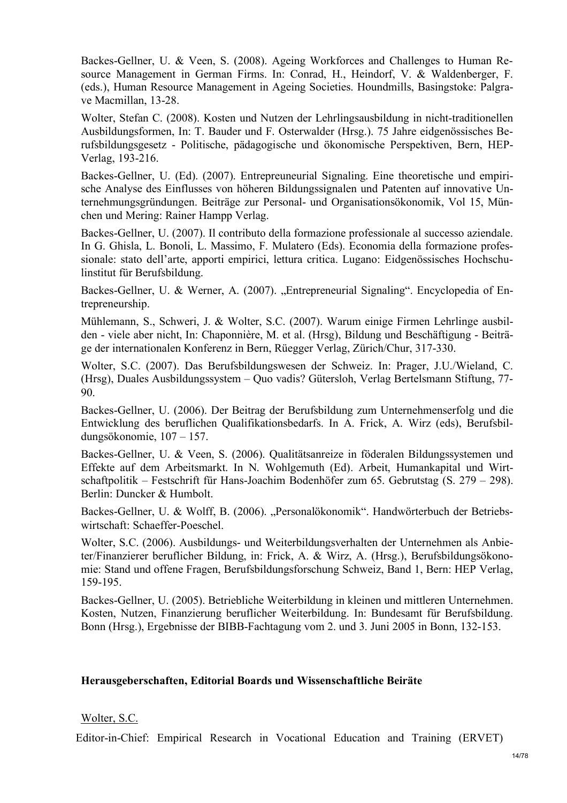Backes-Gellner, U. & Veen, S. (2008). Ageing Workforces and Challenges to Human Resource Management in German Firms. In: Conrad, H., Heindorf, V. & Waldenberger, F. (eds.), Human Resource Management in Ageing Societies. Houndmills, Basingstoke: Palgrave Macmillan, 13-28.

Wolter, Stefan C. (2008). Kosten und Nutzen der Lehrlingsausbildung in nicht-traditionellen Ausbildungsformen, In: T. Bauder und F. Osterwalder (Hrsg.). 75 Jahre eidgenössisches Berufsbildungsgesetz - Politische, pädagogische und ökonomische Perspektiven, Bern, HEP-Verlag, 193-216.

Backes-Gellner, U. (Ed). (2007). Entrepreuneurial Signaling. Eine theoretische und empirische Analyse des Einflusses von höheren Bildungssignalen und Patenten auf innovative Unternehmungsgründungen. Beiträge zur Personal- und Organisationsökonomik, Vol 15, München und Mering: Rainer Hampp Verlag.

Backes-Gellner, U. (2007). Il contributo della formazione professionale al successo aziendale. In G. Ghisla, L. Bonoli, L. Massimo, F. Mulatero (Eds). Economia della formazione professionale: stato dell'arte, apporti empirici, lettura critica. Lugano: Eidgenössisches Hochschulinstitut für Berufsbildung.

Backes-Gellner, U. & Werner, A. (2007). "Entrepreneurial Signaling". Encyclopedia of Entrepreneurship.

Mühlemann, S., Schweri, J. & Wolter, S.C. (2007). Warum einige Firmen Lehrlinge ausbilden - viele aber nicht, In: Chaponnière, M. et al. (Hrsg), Bildung und Beschäftigung - Beiträge der internationalen Konferenz in Bern, Rüegger Verlag, Zürich/Chur, 317-330.

Wolter, S.C. (2007). Das Berufsbildungswesen der Schweiz. In: Prager, J.U./Wieland, C. (Hrsg), Duales Ausbildungssystem – Quo vadis? Gütersloh, Verlag Bertelsmann Stiftung, 77- 90.

Backes-Gellner, U. (2006). Der Beitrag der Berufsbildung zum Unternehmenserfolg und die Entwicklung des beruflichen Qualifikationsbedarfs. In A. Frick, A. Wirz (eds), Berufsbildungsökonomie, 107 – 157.

Backes-Gellner, U. & Veen, S. (2006). Qualitätsanreize in föderalen Bildungssystemen und Effekte auf dem Arbeitsmarkt. In N. Wohlgemuth (Ed). Arbeit, Humankapital und Wirtschaftpolitik – Festschrift für Hans-Joachim Bodenhöfer zum 65. Gebrutstag (S. 279 – 298). Berlin: Duncker & Humbolt.

Backes-Gellner, U. & Wolff, B. (2006). "Personalökonomik". Handwörterbuch der Betriebswirtschaft: Schaeffer-Poeschel.

Wolter, S.C. (2006). Ausbildungs- und Weiterbildungsverhalten der Unternehmen als Anbieter/Finanzierer beruflicher Bildung, in: Frick, A. & Wirz, A. (Hrsg.), Berufsbildungsökonomie: Stand und offene Fragen, Berufsbildungsforschung Schweiz, Band 1, Bern: HEP Verlag, 159-195.

Backes-Gellner, U. (2005). Betriebliche Weiterbildung in kleinen und mittleren Unternehmen. Kosten, Nutzen, Finanzierung beruflicher Weiterbildung. In: Bundesamt für Berufsbildung. Bonn (Hrsg.), Ergebnisse der BIBB-Fachtagung vom 2. und 3. Juni 2005 in Bonn, 132-153.

#### **Herausgeberschaften, Editorial Boards und Wissenschaftliche Beiräte**

#### Wolter, S.C.

Editor-in-Chief: Empirical Research in Vocational Education and Training (ERVET)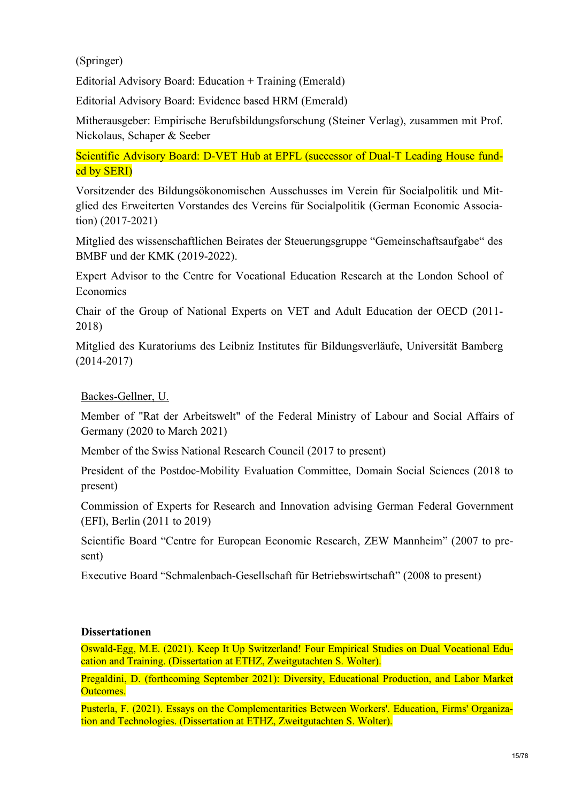(Springer)

Editorial Advisory Board: Education + Training (Emerald)

Editorial Advisory Board: Evidence based HRM (Emerald)

Mitherausgeber: Empirische Berufsbildungsforschung (Steiner Verlag), zusammen mit Prof. Nickolaus, Schaper & Seeber

Scientific Advisory Board: D-VET Hub at EPFL (successor of Dual-T Leading House funded by SERI)

Vorsitzender des Bildungsökonomischen Ausschusses im Verein für Socialpolitik und Mitglied des Erweiterten Vorstandes des Vereins für Socialpolitik (German Economic Association) (2017-2021)

Mitglied des wissenschaftlichen Beirates der Steuerungsgruppe "Gemeinschaftsaufgabe" des BMBF und der KMK (2019-2022).

Expert Advisor to the Centre for Vocational Education Research at the London School of Economics

Chair of the Group of National Experts on VET and Adult Education der OECD (2011- 2018)

Mitglied des Kuratoriums des Leibniz Institutes für Bildungsverläufe, Universität Bamberg (2014-2017)

Backes-Gellner, U.

Member of "Rat der Arbeitswelt" of the Federal Ministry of Labour and Social Affairs of Germany (2020 to March 2021)

Member of the Swiss National Research Council (2017 to present)

President of the Postdoc-Mobility Evaluation Committee, Domain Social Sciences (2018 to present)

Commission of Experts for Research and Innovation advising German Federal Government (EFI), Berlin (2011 to 2019)

Scientific Board "Centre for European Economic Research, ZEW Mannheim" (2007 to present)

Executive Board "Schmalenbach-Gesellschaft für Betriebswirtschaft" (2008 to present)

# **Dissertationen**

Oswald-Egg, M.E. (2021). Keep It Up Switzerland! Four Empirical Studies on Dual Vocational Education and Training. (Dissertation at ETHZ, Zweitgutachten S. Wolter).

Pregaldini, D. (forthcoming September 2021): Diversity, Educational Production, and Labor Market Outcomes.

Pusterla, F. (2021). Essays on the Complementarities Between Workers'. Education, Firms' Organization and Technologies. (Dissertation at ETHZ, Zweitgutachten S. Wolter).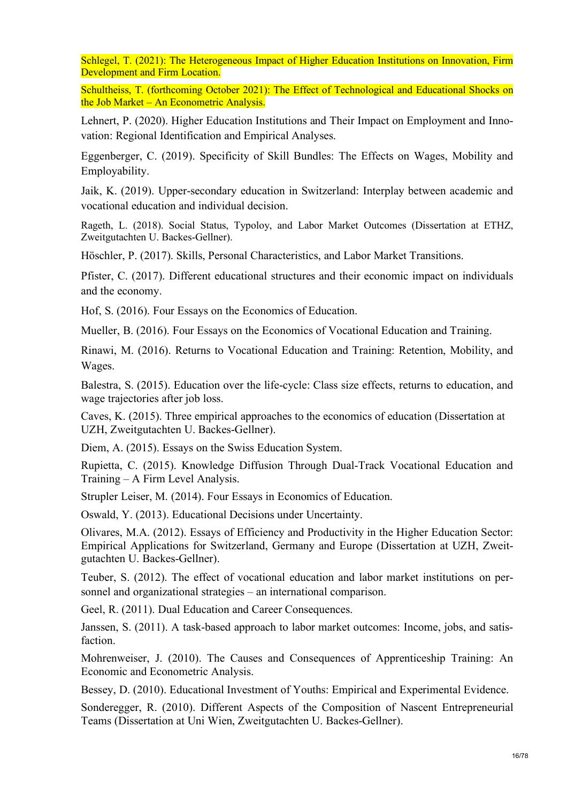Schlegel, T. (2021): The Heterogeneous Impact of Higher Education Institutions on Innovation, Firm Development and Firm Location.

Schultheiss, T. (forthcoming October 2021): The Effect of Technological and Educational Shocks on the Job Market – An Econometric Analysis.

Lehnert, P. (2020). Higher Education Institutions and Their Impact on Employment and Innovation: Regional Identification and Empirical Analyses.

Eggenberger, C. (2019). Specificity of Skill Bundles: The Effects on Wages, Mobility and Employability.

Jaik, K. (2019). Upper-secondary education in Switzerland: Interplay between academic and vocational education and individual decision.

Rageth, L. (2018). Social Status, Typoloy, and Labor Market Outcomes (Dissertation at ETHZ, Zweitgutachten U. Backes-Gellner).

Höschler, P. (2017). Skills, Personal Characteristics, and Labor Market Transitions.

Pfister, C. (2017). Different educational structures and their economic impact on individuals and the economy.

Hof, S. (2016). Four Essays on the Economics of Education.

Mueller, B. (2016). Four Essays on the Economics of Vocational Education and Training.

Rinawi, M. (2016). Returns to Vocational Education and Training: Retention, Mobility, and Wages.

Balestra, S. (2015). Education over the life-cycle: Class size effects, returns to education, and wage trajectories after job loss.

Caves, K. (2015). Three empirical approaches to the economics of education (Dissertation at UZH, Zweitgutachten U. Backes-Gellner).

Diem, A. (2015). Essays on the Swiss Education System.

Rupietta, C. (2015). Knowledge Diffusion Through Dual-Track Vocational Education and Training – A Firm Level Analysis.

Strupler Leiser, M. (2014). Four Essays in Economics of Education.

Oswald, Y. (2013). Educational Decisions under Uncertainty.

Olivares, M.A. (2012). Essays of Efficiency and Productivity in the Higher Education Sector: Empirical Applications for Switzerland, Germany and Europe (Dissertation at UZH, Zweitgutachten U. Backes-Gellner).

Teuber, S. (2012). The effect of vocational education and labor market institutions on personnel and organizational strategies – an international comparison.

Geel, R. (2011). Dual Education and Career Consequences.

Janssen, S. (2011). A task-based approach to labor market outcomes: Income, jobs, and satisfaction.

Mohrenweiser, J. (2010). The Causes and Consequences of Apprenticeship Training: An Economic and Econometric Analysis.

Bessey, D. (2010). Educational Investment of Youths: Empirical and Experimental Evidence.

Sonderegger, R. (2010). Different Aspects of the Composition of Nascent Entrepreneurial Teams (Dissertation at Uni Wien, Zweitgutachten U. Backes-Gellner).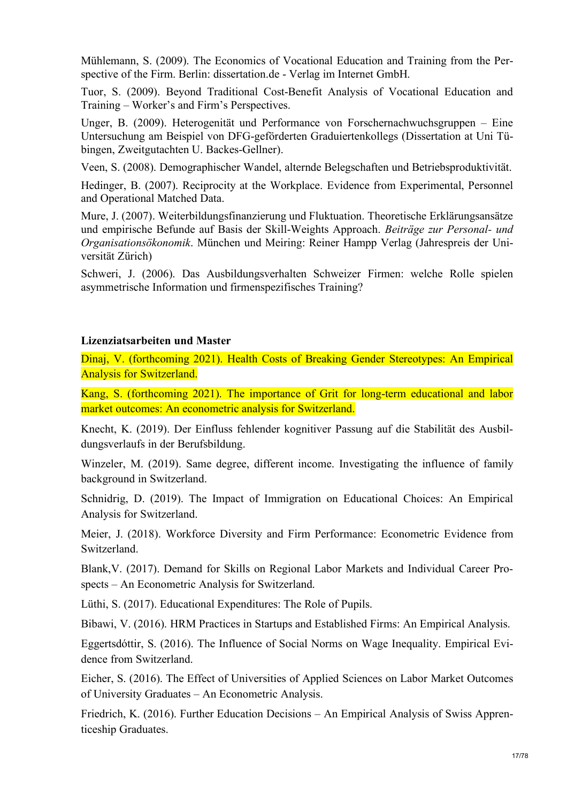Mühlemann, S. (2009). The Economics of Vocational Education and Training from the Perspective of the Firm. Berlin: dissertation.de - Verlag im Internet GmbH.

Tuor, S. (2009). Beyond Traditional Cost-Benefit Analysis of Vocational Education and Training – Worker's and Firm's Perspectives.

Unger, B. (2009). Heterogenität und Performance von Forschernachwuchsgruppen – Eine Untersuchung am Beispiel von DFG-geförderten Graduiertenkollegs (Dissertation at Uni Tübingen, Zweitgutachten U. Backes-Gellner).

Veen, S. (2008). Demographischer Wandel, alternde Belegschaften und Betriebsproduktivität.

Hedinger, B. (2007). Reciprocity at the Workplace. Evidence from Experimental, Personnel and Operational Matched Data.

Mure, J. (2007). Weiterbildungsfinanzierung und Fluktuation. Theoretische Erklärungsansätze und empirische Befunde auf Basis der Skill-Weights Approach. *Beiträge zur Personal- und Organisationsökonomik*. München und Meiring: Reiner Hampp Verlag (Jahrespreis der Universität Zürich)

Schweri, J. (2006). Das Ausbildungsverhalten Schweizer Firmen: welche Rolle spielen asymmetrische Information und firmenspezifisches Training?

# **Lizenziatsarbeiten und Master**

Dinaj, V. (forthcoming 2021). Health Costs of Breaking Gender Stereotypes: An Empirical Analysis for Switzerland.

Kang, S. (forthcoming 2021). The importance of Grit for long-term educational and labor market outcomes: An econometric analysis for Switzerland.

Knecht, K. (2019). Der Einfluss fehlender kognitiver Passung auf die Stabilität des Ausbildungsverlaufs in der Berufsbildung.

Winzeler, M. (2019). Same degree, different income. Investigating the influence of family background in Switzerland.

Schnidrig, D. (2019). The Impact of Immigration on Educational Choices: An Empirical Analysis for Switzerland.

Meier, J. (2018). Workforce Diversity and Firm Performance: Econometric Evidence from **Switzerland** 

Blank,V. (2017). Demand for Skills on Regional Labor Markets and Individual Career Prospects – An Econometric Analysis for Switzerland.

Lüthi, S. (2017). Educational Expenditures: The Role of Pupils.

Bibawi, V. (2016). HRM Practices in Startups and Established Firms: An Empirical Analysis.

Eggertsdóttir, S. (2016). The Influence of Social Norms on Wage Inequality. Empirical Evidence from Switzerland.

Eicher, S. (2016). The Effect of Universities of Applied Sciences on Labor Market Outcomes of University Graduates – An Econometric Analysis.

Friedrich, K. (2016). Further Education Decisions – An Empirical Analysis of Swiss Apprenticeship Graduates.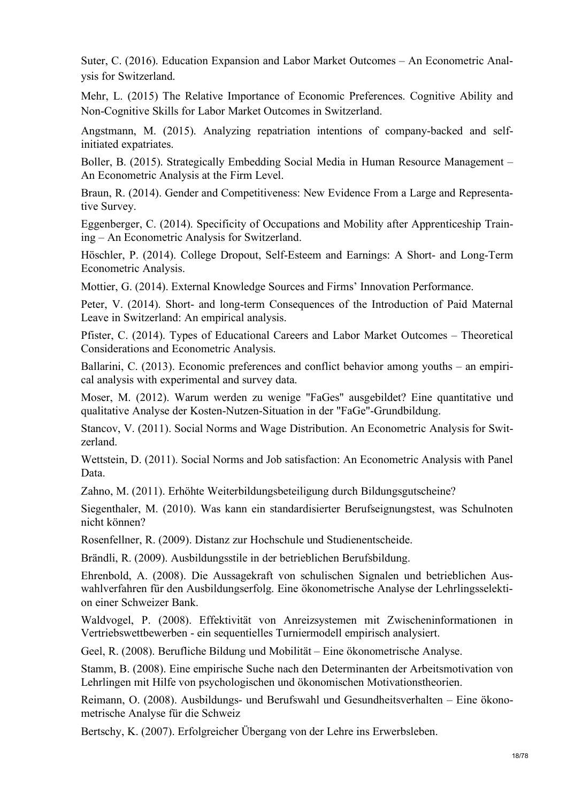Suter, C. (2016). Education Expansion and Labor Market Outcomes – An Econometric Analysis for Switzerland.

Mehr, L. (2015) The Relative Importance of Economic Preferences. Cognitive Ability and Non-Cognitive Skills for Labor Market Outcomes in Switzerland.

Angstmann, M. (2015). Analyzing repatriation intentions of company-backed and selfinitiated expatriates.

Boller, B. (2015). Strategically Embedding Social Media in Human Resource Management – An Econometric Analysis at the Firm Level.

Braun, R. (2014). Gender and Competitiveness: New Evidence From a Large and Representative Survey.

Eggenberger, C. (2014). Specificity of Occupations and Mobility after Apprenticeship Training – An Econometric Analysis for Switzerland.

Höschler, P. (2014). College Dropout, Self-Esteem and Earnings: A Short- and Long-Term Econometric Analysis.

Mottier, G. (2014). External Knowledge Sources and Firms' Innovation Performance.

Peter, V. (2014). Short- and long-term Consequences of the Introduction of Paid Maternal Leave in Switzerland: An empirical analysis.

Pfister, C. (2014). Types of Educational Careers and Labor Market Outcomes – Theoretical Considerations and Econometric Analysis.

Ballarini, C. (2013). Economic preferences and conflict behavior among youths – an empirical analysis with experimental and survey data.

Moser, M. (2012). Warum werden zu wenige "FaGes" ausgebildet? Eine quantitative und qualitative Analyse der Kosten-Nutzen-Situation in der "FaGe"-Grundbildung.

Stancov, V. (2011). Social Norms and Wage Distribution. An Econometric Analysis for Switzerland.

Wettstein, D. (2011). Social Norms and Job satisfaction: An Econometric Analysis with Panel Data.

Zahno, M. (2011). Erhöhte Weiterbildungsbeteiligung durch Bildungsgutscheine?

Siegenthaler, M. (2010). Was kann ein standardisierter Berufseignungstest, was Schulnoten nicht können?

Rosenfellner, R. (2009). Distanz zur Hochschule und Studienentscheide.

Brändli, R. (2009). Ausbildungsstile in der betrieblichen Berufsbildung.

Ehrenbold, A. (2008). Die Aussagekraft von schulischen Signalen und betrieblichen Auswahlverfahren für den Ausbildungserfolg. Eine ökonometrische Analyse der Lehrlingsselektion einer Schweizer Bank.

Waldvogel, P. (2008). Effektivität von Anreizsystemen mit Zwischeninformationen in Vertriebswettbewerben - ein sequentielles Turniermodell empirisch analysiert.

Geel, R. (2008). Berufliche Bildung und Mobilität – Eine ökonometrische Analyse.

Stamm, B. (2008). Eine empirische Suche nach den Determinanten der Arbeitsmotivation von Lehrlingen mit Hilfe von psychologischen und ökonomischen Motivationstheorien.

Reimann, O. (2008). Ausbildungs- und Berufswahl und Gesundheitsverhalten – Eine ökonometrische Analyse für die Schweiz

Bertschy, K. (2007). Erfolgreicher Übergang von der Lehre ins Erwerbsleben.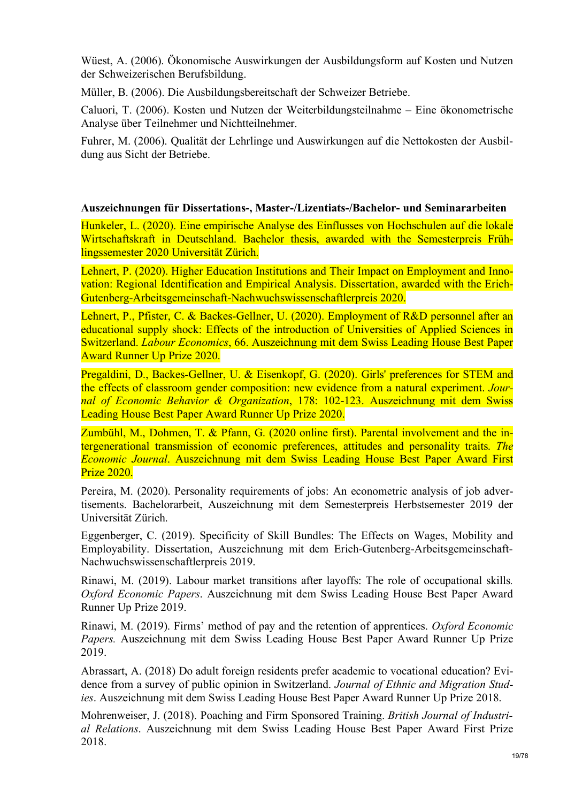Wüest, A. (2006). Ökonomische Auswirkungen der Ausbildungsform auf Kosten und Nutzen der Schweizerischen Berufsbildung.

Müller, B. (2006). Die Ausbildungsbereitschaft der Schweizer Betriebe.

Caluori, T. (2006). Kosten und Nutzen der Weiterbildungsteilnahme – Eine ökonometrische Analyse über Teilnehmer und Nichtteilnehmer.

Fuhrer, M. (2006). Qualität der Lehrlinge und Auswirkungen auf die Nettokosten der Ausbildung aus Sicht der Betriebe.

#### **Auszeichnungen für Dissertations-, Master-/Lizentiats-/Bachelor- und Seminararbeiten**

Hunkeler, L. (2020). Eine empirische Analyse des Einflusses von Hochschulen auf die lokale Wirtschaftskraft in Deutschland. Bachelor thesis, awarded with the Semesterpreis Frühlingssemester 2020 Universität Zürich.

Lehnert, P. (2020). Higher Education Institutions and Their Impact on Employment and Innovation: Regional Identification and Empirical Analysis. Dissertation, awarded with the Erich-Gutenberg-Arbeitsgemeinschaft-Nachwuchswissenschaftlerpreis 2020.

Lehnert, P., Pfister, C. & Backes-Gellner, U. (2020). Employment of R&D personnel after an educational supply shock: Effects of the introduction of Universities of Applied Sciences in Switzerland. *Labour Economics*, 66. Auszeichnung mit dem Swiss Leading House Best Paper Award Runner Up Prize 2020.

Pregaldini, D., Backes-Gellner, U. & Eisenkopf, G. (2020). Girls' preferences for STEM and the effects of classroom gender composition: new evidence from a natural experiment. *Journal of Economic Behavior & Organization*, 178: 102-123. Auszeichnung mit dem Swiss Leading House Best Paper Award Runner Up Prize 2020.

Zumbühl, M., Dohmen, T. & Pfann, G. (2020 online first). Parental involvement and the intergenerational transmission of economic preferences, attitudes and personality traits. *The Economic Journal*. Auszeichnung mit dem Swiss Leading House Best Paper Award First Prize 2020.

Pereira, M. (2020). Personality requirements of jobs: An econometric analysis of job advertisements. Bachelorarbeit, Auszeichnung mit dem Semesterpreis Herbstsemester 2019 der Universität Zürich.

Eggenberger, C. (2019). Specificity of Skill Bundles: The Effects on Wages, Mobility and Employability. Dissertation, Auszeichnung mit dem Erich-Gutenberg-Arbeitsgemeinschaft-Nachwuchswissenschaftlerpreis 2019.

Rinawi, M. (2019). Labour market transitions after layoffs: The role of occupational skills*. Oxford Economic Papers*. Auszeichnung mit dem Swiss Leading House Best Paper Award Runner Up Prize 2019.

Rinawi, M. (2019). Firms' method of pay and the retention of apprentices. *Oxford Economic Papers.* Auszeichnung mit dem Swiss Leading House Best Paper Award Runner Up Prize 2019.

Abrassart, A. (2018) Do adult foreign residents prefer academic to vocational education? Evidence from a survey of public opinion in Switzerland. *Journal of Ethnic and Migration Studies*. Auszeichnung mit dem Swiss Leading House Best Paper Award Runner Up Prize 2018.

Mohrenweiser, J. (2018). Poaching and Firm Sponsored Training. *British Journal of Industrial Relations*. Auszeichnung mit dem Swiss Leading House Best Paper Award First Prize 2018.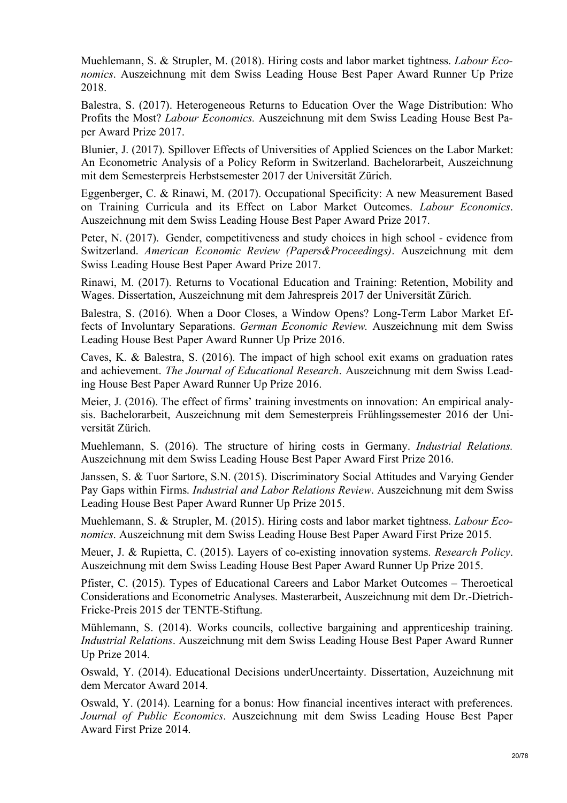Muehlemann, S. & Strupler, M. (2018). Hiring costs and labor market tightness. *Labour Economics*. Auszeichnung mit dem Swiss Leading House Best Paper Award Runner Up Prize 2018.

Balestra, S. (2017). Heterogeneous Returns to Education Over the Wage Distribution: Who Profits the Most? *Labour Economics.* Auszeichnung mit dem Swiss Leading House Best Paper Award Prize 2017.

Blunier, J. (2017). Spillover Effects of Universities of Applied Sciences on the Labor Market: An Econometric Analysis of a Policy Reform in Switzerland. Bachelorarbeit, Auszeichnung mit dem Semesterpreis Herbstsemester 2017 der Universität Zürich.

Eggenberger, C. & Rinawi, M. (2017). Occupational Specificity: A new Measurement Based on Training Curricula and its Effect on Labor Market Outcomes. *Labour Economics*. Auszeichnung mit dem Swiss Leading House Best Paper Award Prize 2017.

Peter, N. (2017). Gender, competitiveness and study choices in high school - evidence from Switzerland. *American Economic Review (Papers&Proceedings)*. Auszeichnung mit dem Swiss Leading House Best Paper Award Prize 2017.

Rinawi, M. (2017). Returns to Vocational Education and Training: Retention, Mobility and Wages. Dissertation, Auszeichnung mit dem Jahrespreis 2017 der Universität Zürich.

Balestra, S. (2016). When a Door Closes, a Window Opens? Long-Term Labor Market Effects of Involuntary Separations. *German Economic Review.* Auszeichnung mit dem Swiss Leading House Best Paper Award Runner Up Prize 2016.

Caves, K. & Balestra, S. (2016). The impact of high school exit exams on graduation rates and achievement. *The Journal of Educational Research*. Auszeichnung mit dem Swiss Leading House Best Paper Award Runner Up Prize 2016.

Meier, J. (2016). The effect of firms' training investments on innovation: An empirical analysis. Bachelorarbeit, Auszeichnung mit dem Semesterpreis Frühlingssemester 2016 der Universität Zürich.

Muehlemann, S. (2016). The structure of hiring costs in Germany. *Industrial Relations.* Auszeichnung mit dem Swiss Leading House Best Paper Award First Prize 2016.

Janssen, S. & Tuor Sartore, S.N. (2015). Discriminatory Social Attitudes and Varying Gender Pay Gaps within Firms. *Industrial and Labor Relations Review*. Auszeichnung mit dem Swiss Leading House Best Paper Award Runner Up Prize 2015.

Muehlemann, S. & Strupler, M. (2015). Hiring costs and labor market tightness. *Labour Economics*. Auszeichnung mit dem Swiss Leading House Best Paper Award First Prize 2015.

Meuer, J. & Rupietta, C. (2015). Layers of co-existing innovation systems. *Research Policy*. Auszeichnung mit dem Swiss Leading House Best Paper Award Runner Up Prize 2015.

Pfister, C. (2015). Types of Educational Careers and Labor Market Outcomes – Theroetical Considerations and Econometric Analyses. Masterarbeit, Auszeichnung mit dem Dr.-Dietrich-Fricke-Preis 2015 der TENTE-Stiftung.

Mühlemann, S. (2014). Works councils, collective bargaining and apprenticeship training. *Industrial Relations*. Auszeichnung mit dem Swiss Leading House Best Paper Award Runner Up Prize 2014.

Oswald, Y. (2014). Educational Decisions underUncertainty. Dissertation, Auzeichnung mit dem Mercator Award 2014.

Oswald, Y. (2014). Learning for a bonus: How financial incentives interact with preferences. *Journal of Public Economics*. Auszeichnung mit dem Swiss Leading House Best Paper Award First Prize 2014.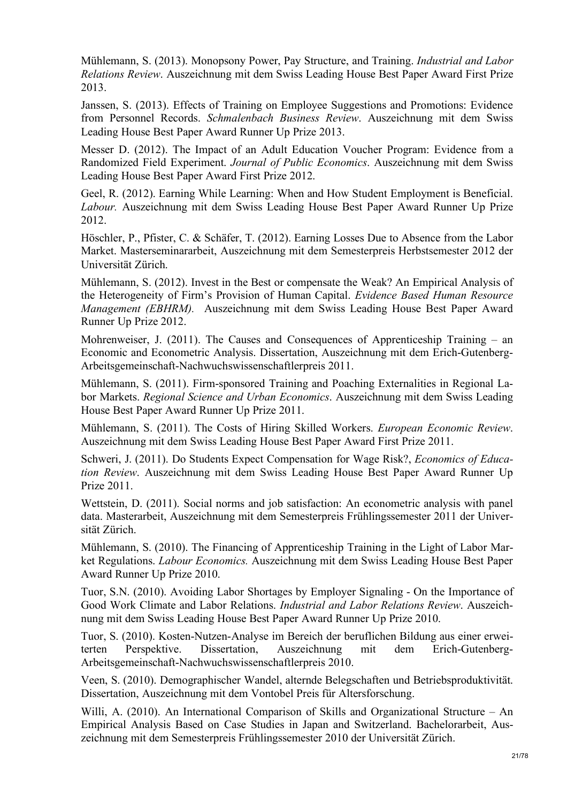Mühlemann, S. (2013). Monopsony Power, Pay Structure, and Training. *Industrial and Labor Relations Review*. Auszeichnung mit dem Swiss Leading House Best Paper Award First Prize 2013.

Janssen, S. (2013). Effects of Training on Employee Suggestions and Promotions: Evidence from Personnel Records. *Schmalenbach Business Review*. Auszeichnung mit dem Swiss Leading House Best Paper Award Runner Up Prize 2013.

Messer D. (2012). The Impact of an Adult Education Voucher Program: Evidence from a Randomized Field Experiment. *Journal of Public Economics*. Auszeichnung mit dem Swiss Leading House Best Paper Award First Prize 2012.

Geel, R. (2012). Earning While Learning: When and How Student Employment is Beneficial. *Labour.* Auszeichnung mit dem Swiss Leading House Best Paper Award Runner Up Prize 2012.

Höschler, P., Pfister, C. & Schäfer, T. (2012). Earning Losses Due to Absence from the Labor Market. Masterseminararbeit, Auszeichnung mit dem Semesterpreis Herbstsemester 2012 der Universität Zürich.

Mühlemann, S. (2012). Invest in the Best or compensate the Weak? An Empirical Analysis of the Heterogeneity of Firm's Provision of Human Capital. *Evidence Based Human Resource Management (EBHRM).* Auszeichnung mit dem Swiss Leading House Best Paper Award Runner Up Prize 2012.

Mohrenweiser, J. (2011). The Causes and Consequences of Apprenticeship Training – an Economic and Econometric Analysis. Dissertation, Auszeichnung mit dem Erich-Gutenberg-Arbeitsgemeinschaft-Nachwuchswissenschaftlerpreis 2011.

Mühlemann, S. (2011). Firm-sponsored Training and Poaching Externalities in Regional Labor Markets. *Regional Science and Urban Economics*. Auszeichnung mit dem Swiss Leading House Best Paper Award Runner Up Prize 2011.

Mühlemann, S. (2011). The Costs of Hiring Skilled Workers. *European Economic Review*. Auszeichnung mit dem Swiss Leading House Best Paper Award First Prize 2011.

Schweri, J. (2011). Do Students Expect Compensation for Wage Risk?, *Economics of Education Review*. Auszeichnung mit dem Swiss Leading House Best Paper Award Runner Up Prize 2011.

Wettstein, D. (2011). Social norms and job satisfaction: An econometric analysis with panel data. Masterarbeit, Auszeichnung mit dem Semesterpreis Frühlingssemester 2011 der Universität Zürich.

Mühlemann, S. (2010). The Financing of Apprenticeship Training in the Light of Labor Market Regulations. *Labour Economics.* Auszeichnung mit dem Swiss Leading House Best Paper Award Runner Up Prize 2010.

Tuor, S.N. (2010). Avoiding Labor Shortages by Employer Signaling - On the Importance of Good Work Climate and Labor Relations. *Industrial and Labor Relations Review*. Auszeichnung mit dem Swiss Leading House Best Paper Award Runner Up Prize 2010.

Tuor, S. (2010). Kosten-Nutzen-Analyse im Bereich der beruflichen Bildung aus einer erweiterten Perspektive. Dissertation, Auszeichnung mit dem Erich-Gutenberg-Arbeitsgemeinschaft-Nachwuchswissenschaftlerpreis 2010.

Veen, S. (2010). Demographischer Wandel, alternde Belegschaften und Betriebsproduktivität. Dissertation, Auszeichnung mit dem Vontobel Preis für Altersforschung.

Willi, A. (2010). An International Comparison of Skills and Organizational Structure – An Empirical Analysis Based on Case Studies in Japan and Switzerland. Bachelorarbeit, Auszeichnung mit dem Semesterpreis Frühlingssemester 2010 der Universität Zürich.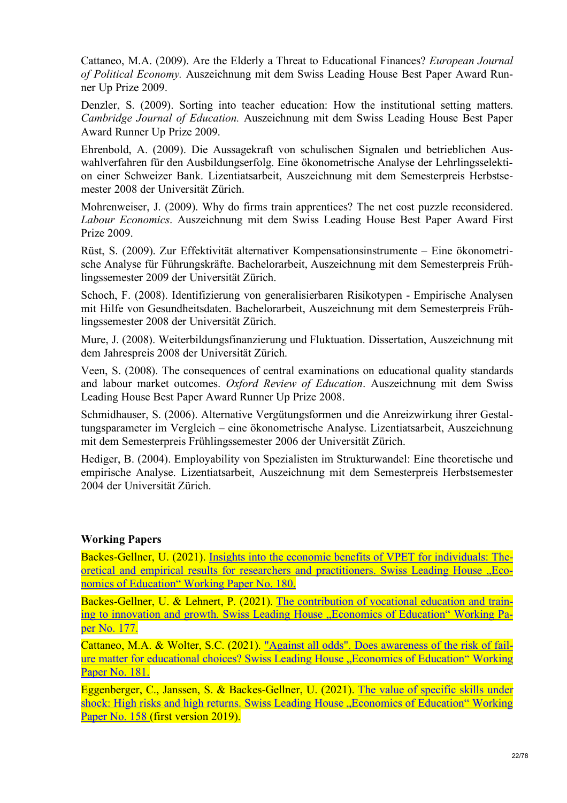Cattaneo, M.A. (2009). Are the Elderly a Threat to Educational Finances? *European Journal of Political Economy.* Auszeichnung mit dem Swiss Leading House Best Paper Award Runner Up Prize 2009.

Denzler, S. (2009). Sorting into teacher education: How the institutional setting matters. *Cambridge Journal of Education.* Auszeichnung mit dem Swiss Leading House Best Paper Award Runner Up Prize 2009.

Ehrenbold, A. (2009). Die Aussagekraft von schulischen Signalen und betrieblichen Auswahlverfahren für den Ausbildungserfolg. Eine ökonometrische Analyse der Lehrlingsselektion einer Schweizer Bank. Lizentiatsarbeit, Auszeichnung mit dem Semesterpreis Herbstsemester 2008 der Universität Zürich.

Mohrenweiser, J. (2009). Why do firms train apprentices? The net cost puzzle reconsidered. *Labour Economics*. Auszeichnung mit dem Swiss Leading House Best Paper Award First Prize 2009.

Rüst, S. (2009). Zur Effektivität alternativer Kompensationsinstrumente – Eine ökonometrische Analyse für Führungskräfte. Bachelorarbeit, Auszeichnung mit dem Semesterpreis Frühlingssemester 2009 der Universität Zürich.

Schoch, F. (2008). Identifizierung von generalisierbaren Risikotypen - Empirische Analysen mit Hilfe von Gesundheitsdaten. Bachelorarbeit, Auszeichnung mit dem Semesterpreis Frühlingssemester 2008 der Universität Zürich.

Mure, J. (2008). Weiterbildungsfinanzierung und Fluktuation. Dissertation, Auszeichnung mit dem Jahrespreis 2008 der Universität Zürich.

Veen, S. (2008). The consequences of central examinations on educational quality standards and labour market outcomes. *Oxford Review of Education*. Auszeichnung mit dem Swiss Leading House Best Paper Award Runner Up Prize 2008.

Schmidhauser, S. (2006). Alternative Vergütungsformen und die Anreizwirkung ihrer Gestaltungsparameter im Vergleich – eine ökonometrische Analyse. Lizentiatsarbeit, Auszeichnung mit dem Semesterpreis Frühlingssemester 2006 der Universität Zürich.

Hediger, B. (2004). Employability von Spezialisten im Strukturwandel: Eine theoretische und empirische Analyse. Lizentiatsarbeit, Auszeichnung mit dem Semesterpreis Herbstsemester 2004 der Universität Zürich.

# **Working Papers**

Backes-Gellner, U. (2021). Insights into the economic benefits of VPET for individuals: Theoretical and empirical results for researchers and practitioners. Swiss Leading House "Economics of Education" Working Paper No. 180.

Backes-Gellner, U. & Lehnert, P. (2021). The contribution of vocational education and training to innovation and growth. Swiss Leading House "Economics of Education" Working Paper No. 177.

Cattaneo, M.A. & Wolter, S.C. (2021). "Against all odds". Does awareness of the risk of failure matter for educational choices? Swiss Leading House "Economics of Education" Working Paper No. 181.

Eggenberger, C., Janssen, S. & Backes-Gellner, U. (2021). The value of specific skills under shock: High risks and high returns. Swiss Leading House "Economics of Education" Working Paper No. 158 (first version 2019).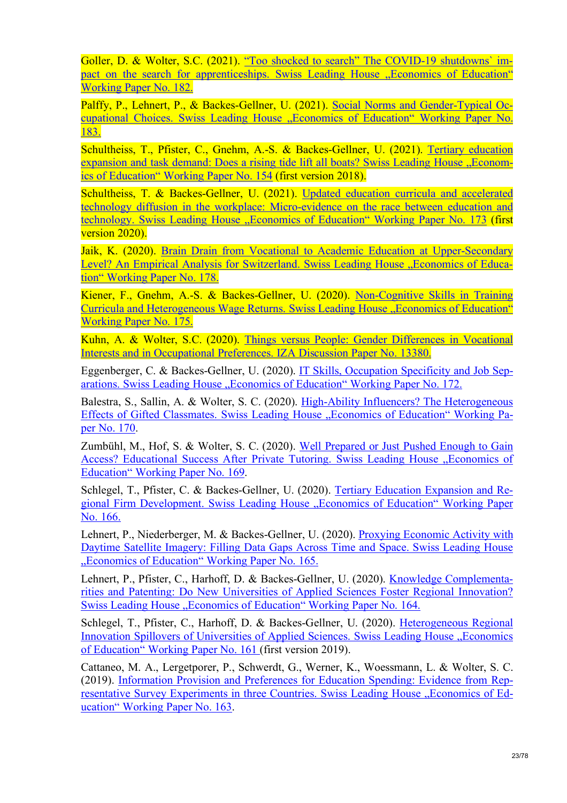Goller, D. & Wolter, S.C. (2021). "Too shocked to search" The COVID-19 shutdowns' impact on the search for apprenticeships. Swiss Leading House "Economics of Education" Working Paper No. 182.

Palffy, P., Lehnert, P., & Backes-Gellner, U. (2021). Social Norms and Gender-Typical Occupational Choices. Swiss Leading House "Economics of Education" Working Paper No. 183.

Schultheiss, T., Pfister, C., Gnehm, A.-S. & Backes-Gellner, U. (2021). Tertiary education expansion and task demand: Does a rising tide lift all boats? Swiss Leading House ..Economics of Education" Working Paper No. 154 (first version 2018).

Schultheiss, T. & Backes-Gellner, U. (2021). Updated education curricula and accelerated technology diffusion in the workplace: Micro-evidence on the race between education and technology. Swiss Leading House "Economics of Education" Working Paper No. 173 (first version 2020).

Jaik, K. (2020). Brain Drain from Vocational to Academic Education at Upper-Secondary Level? An Empirical Analysis for Switzerland. Swiss Leading House "Economics of Education" Working Paper No. 178.

Kiener, F., Gnehm, A.-S. & Backes-Gellner, U. (2020). Non-Cognitive Skills in Training Curricula and Heterogeneous Wage Returns. Swiss Leading House "Economics of Education" Working Paper No. 175.

Kuhn, A. & Wolter, S.C. (2020). Things versus People: Gender Differences in Vocational Interests and in Occupational Preferences. IZA Discussion Paper No. 13380.

Eggenberger, C. & Backes-Gellner, U. (2020). IT Skills, Occupation Specificity and Job Separations. Swiss Leading House "Economics of Education" Working Paper No. 172.

Balestra, S., Sallin, A. & Wolter, S. C. (2020). High-Ability Influencers? The Heterogeneous Effects of Gifted Classmates. Swiss Leading House ..Economics of Education" Working Paper No. 170.

Zumbühl, M., Hof, S. & Wolter, S. C. (2020). Well Prepared or Just Pushed Enough to Gain Access? Educational Success After Private Tutoring. Swiss Leading House . Economics of Education" Working Paper No. 169.

Schlegel, T., Pfister, C. & Backes-Gellner, U. (2020). Tertiary Education Expansion and Regional Firm Development. Swiss Leading House "Economics of Education" Working Paper No. 166.

Lehnert, P., Niederberger, M. & Backes-Gellner, U. (2020). Proxying Economic Activity with Daytime Satellite Imagery: Filling Data Gaps Across Time and Space. Swiss Leading House "Economics of Education" Working Paper No. 165.

Lehnert, P., Pfister, C., Harhoff, D. & Backes-Gellner, U. (2020). Knowledge Complementarities and Patenting: Do New Universities of Applied Sciences Foster Regional Innovation? Swiss Leading House ... Economics of Education Working Paper No. 164.

Schlegel, T., Pfister, C., Harhoff, D. & Backes-Gellner, U. (2020). Heterogeneous Regional Innovation Spillovers of Universities of Applied Sciences. Swiss Leading House "Economics of Education" Working Paper No. 161 (first version 2019).

Cattaneo, M. A., Lergetporer, P., Schwerdt, G., Werner, K., Woessmann, L. & Wolter, S. C. (2019). Information Provision and Preferences for Education Spending: Evidence from Representative Survey Experiments in three Countries. Swiss Leading House "Economics of Education" Working Paper No. 163.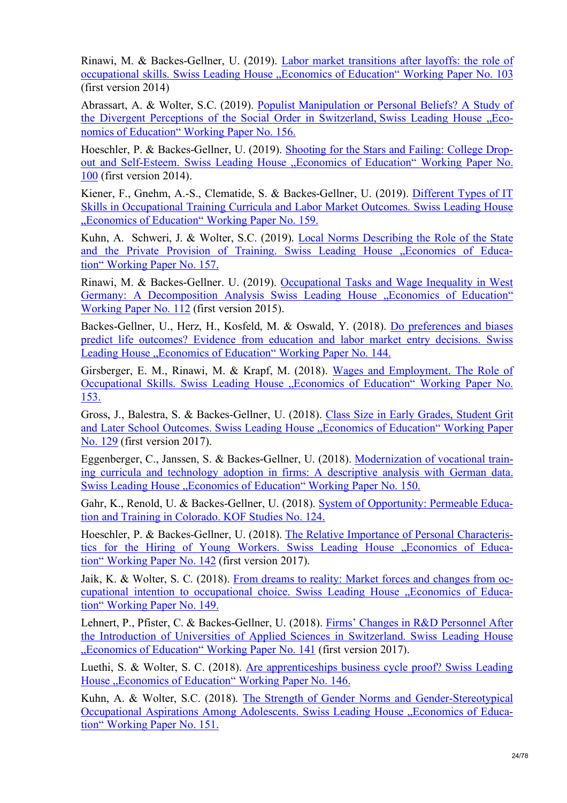Rinawi, M. & Backes-Gellner, U. (2019). Labor market transitions after layoffs: the role of occupational skills. Swiss Leading House "Economics of Education" Working Paper No. 103 (first version 2014)

Abrassart, A. & Wolter, S.C. (2019). Populist Manipulation or Personal Beliefs? A Study of the Divergent Perceptions of the Social Order in Switzerland, Swiss Leading House "Economics of Education" Working Paper No. 156.

Hoeschler, P. & Backes-Gellner, U. (2019). Shooting for the Stars and Failing: College Dropout and Self-Esteem. Swiss Leading House ..Economics of Education" Working Paper No. 100 (first version 2014).

Kiener, F., Gnehm, A.-S., Clematide, S. & Backes-Gellner, U. (2019). Different Types of IT Skills in Occupational Training Curricula and Labor Market Outcomes. Swiss Leading House "Economics of Education" Working Paper No. 159.

Kuhn, A. Schweri, J. & Wolter, S.C. (2019). Local Norms Describing the Role of the State and the Private Provision of Training. Swiss Leading House "Economics of Education" Working Paper No. 157.

Rinawi, M. & Backes-Gellner. U. (2019). Occupational Tasks and Wage Inequality in West Germany: A Decomposition Analysis Swiss Leading House "Economics of Education" Working Paper No. 112 (first version 2015).

Backes-Gellner, U., Herz, H., Kosfeld, M. & Oswald, Y. (2018). Do preferences and biases predict life outcomes? Evidence from education and labor market entry decisions. Swiss Leading House "Economics of Education" Working Paper No. 144.

Girsberger, E. M., Rinawi, M. & Krapf, M. (2018). Wages and Employment. The Role of Occupational Skills. Swiss Leading House "Economics of Education" Working Paper No. 153.

Gross, J., Balestra, S. & Backes-Gellner, U. (2018). Class Size in Early Grades, Student Grit and Later School Outcomes. Swiss Leading House "Economics of Education" Working Paper No. 129 (first version 2017).

Eggenberger, C., Janssen, S. & Backes-Gellner, U. (2018). Modernization of vocational training curricula and technology adoption in firms: A descriptive analysis with German data. Swiss Leading House ...Economics of Education" Working Paper No. 150.

Gahr, K., Renold, U. & Backes-Gellner, U. (2018). System of Opportunity: Permeable Education and Training in Colorado. KOF Studies No. 124.

Hoeschler, P. & Backes-Gellner, U. (2018). The Relative Importance of Personal Characteristics for the Hiring of Young Workers. Swiss Leading House "Economics of Education" Working Paper No. 142 (first version 2017).

Jaik, K. & Wolter, S. C. (2018). From dreams to reality: Market forces and changes from occupational intention to occupational choice. Swiss Leading House "Economics of Education" Working Paper No. 149.

Lehnert, P., Pfister, C. & Backes-Gellner, U. (2018). Firms' Changes in R&D Personnel After the Introduction of Universities of Applied Sciences in Switzerland. Swiss Leading House "Economics of Education" Working Paper No. 141 (first version 2017).

Luethi, S. & Wolter, S. C. (2018). Are apprenticeships business cycle proof? Swiss Leading House "Economics of Education" Working Paper No. 146.

Kuhn, A. & Wolter, S.C. (2018). The Strength of Gender Norms and Gender-Stereotypical Occupational Aspirations Among Adolescents. Swiss Leading House "Economics of Education" Working Paper No. 151.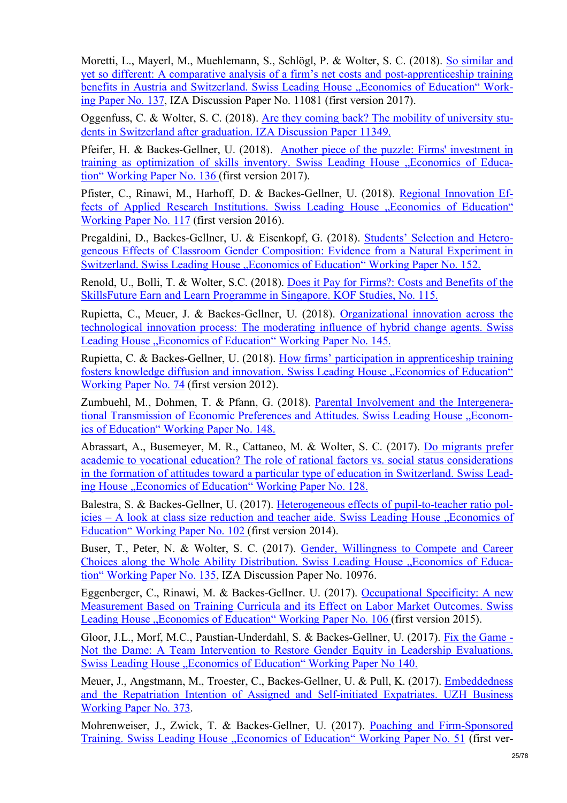Moretti, L., Mayerl, M., Muehlemann, S., Schlögl, P. & Wolter, S. C. (2018). So similar and yet so different: A comparative analysis of a firm's net costs and post-apprenticeship training benefits in Austria and Switzerland. Swiss Leading House "Economics of Education" Working Paper No. 137, IZA Discussion Paper No. 11081 (first version 2017).

Oggenfuss, C. & Wolter, S. C. (2018). Are they coming back? The mobility of university students in Switzerland after graduation. IZA Discussion Paper 11349.

Pfeifer, H. & Backes-Gellner, U. (2018). Another piece of the puzzle: Firms' investment in training as optimization of skills inventory. Swiss Leading House ... Economics of Education" Working Paper No. 136 (first version 2017).

Pfister, C., Rinawi, M., Harhoff, D. & Backes-Gellner, U. (2018). Regional Innovation Effects of Applied Research Institutions. Swiss Leading House "Economics of Education" Working Paper No. 117 (first version 2016).

Pregaldini, D., Backes-Gellner, U. & Eisenkopf, G. (2018). Students' Selection and Heterogeneous Effects of Classroom Gender Composition: Evidence from a Natural Experiment in Switzerland. Swiss Leading House "Economics of Education" Working Paper No. 152.

Renold, U., Bolli, T. & Wolter, S.C. (2018). Does it Pay for Firms?: Costs and Benefits of the SkillsFuture Earn and Learn Programme in Singapore. KOF Studies, No. 115.

Rupietta, C., Meuer, J. & Backes-Gellner, U. (2018). Organizational innovation across the technological innovation process: The moderating influence of hybrid change agents. Swiss Leading House "Economics of Education" Working Paper No. 145.

Rupietta, C. & Backes-Gellner, U. (2018). How firms' participation in apprenticeship training fosters knowledge diffusion and innovation. Swiss Leading House "Economics of Education" Working Paper No. 74 (first version 2012).

Zumbuehl, M., Dohmen, T. & Pfann, G. (2018). Parental Involvement and the Intergenerational Transmission of Economic Preferences and Attitudes. Swiss Leading House "Economics of Education" Working Paper No. 148.

Abrassart, A., Busemeyer, M. R., Cattaneo, M. & Wolter, S. C. (2017). Do migrants prefer academic to vocational education? The role of rational factors vs. social status considerations in the formation of attitudes toward a particular type of education in Switzerland. Swiss Leading House "Economics of Education" Working Paper No. 128.

Balestra, S. & Backes-Gellner, U. (2017). Heterogeneous effects of pupil-to-teacher ratio pol $i$ cies – A look at class size reduction and teacher aide. Swiss Leading House "Economics of Education" Working Paper No. 102 (first version 2014).

Buser, T., Peter, N. & Wolter, S. C. (2017). Gender, Willingness to Compete and Career Choices along the Whole Ability Distribution. Swiss Leading House "Economics of Education" Working Paper No. 135, IZA Discussion Paper No. 10976.

Eggenberger, C., Rinawi, M. & Backes-Gellner. U. (2017). Occupational Specificity: A new Measurement Based on Training Curricula and its Effect on Labor Market Outcomes. Swiss Leading House "Economics of Education" Working Paper No. 106 (first version 2015).

Gloor, J.L., Morf, M.C., Paustian-Underdahl, S. & Backes-Gellner, U. (2017). Fix the Game - Not the Dame: A Team Intervention to Restore Gender Equity in Leadership Evaluations. Swiss Leading House "Economics of Education" Working Paper No 140.

Meuer, J., Angstmann, M., Troester, C., Backes-Gellner, U. & Pull, K. (2017). Embeddedness and the Repatriation Intention of Assigned and Self-initiated Expatriates. UZH Business Working Paper No. 373.

Mohrenweiser, J., Zwick, T. & Backes-Gellner, U. (2017). Poaching and Firm-Sponsored Training. Swiss Leading House "Economics of Education" Working Paper No. 51 (first ver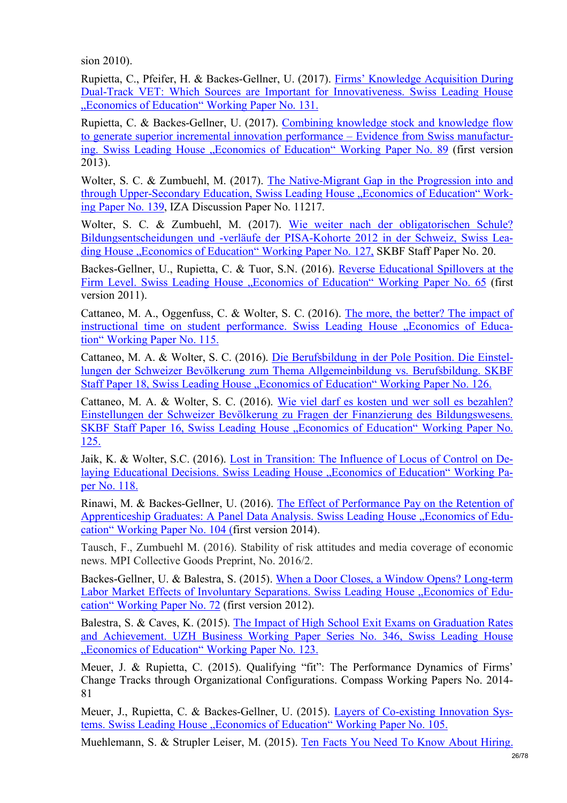sion 2010).

Rupietta, C., Pfeifer, H. & Backes-Gellner, U. (2017). Firms' Knowledge Acquisition During Dual-Track VET: Which Sources are Important for Innovativeness. Swiss Leading House "Economics of Education" Working Paper No. 131.

Rupietta, C. & Backes-Gellner, U. (2017). Combining knowledge stock and knowledge flow to generate superior incremental innovation performance – Evidence from Swiss manufacturing. Swiss Leading House "Economics of Education" Working Paper No. 89 (first version 2013).

Wolter, S. C. & Zumbuehl, M. (2017). The Native-Migrant Gap in the Progression into and through Upper-Secondary Education, Swiss Leading House "Economics of Education" Working Paper No. 139, IZA Discussion Paper No. 11217.

Wolter, S. C. & Zumbuehl, M. (2017). Wie weiter nach der obligatorischen Schule? Bildungsentscheidungen und -verläufe der PISA-Kohorte 2012 in der Schweiz, Swiss Leading House "Economics of Education" Working Paper No. 127, SKBF Staff Paper No. 20.

Backes-Gellner, U., Rupietta, C. & Tuor, S.N. (2016). Reverse Educational Spillovers at the Firm Level. Swiss Leading House "Economics of Education" Working Paper No. 65 (first version 2011).

Cattaneo, M. A., Oggenfuss, C. & Wolter, S. C. (2016). The more, the better? The impact of instructional time on student performance. Swiss Leading House "Economics of Education" Working Paper No. 115.

Cattaneo, M. A. & Wolter, S. C. (2016). Die Berufsbildung in der Pole Position. Die Einstellungen der Schweizer Bevölkerung zum Thema Allgemeinbildung vs. Berufsbildung. SKBF Staff Paper 18, Swiss Leading House "Economics of Education" Working Paper No. 126.

Cattaneo, M. A. & Wolter, S. C. (2016). Wie viel darf es kosten und wer soll es bezahlen? Einstellungen der Schweizer Bevölkerung zu Fragen der Finanzierung des Bildungswesens. SKBF Staff Paper 16, Swiss Leading House "Economics of Education" Working Paper No. 125.

Jaik, K. & Wolter, S.C. (2016). Lost in Transition: The Influence of Locus of Control on Delaying Educational Decisions. Swiss Leading House "Economics of Education" Working Paper No. 118.

Rinawi, M. & Backes-Gellner, U. (2016). The Effect of Performance Pay on the Retention of Apprenticeship Graduates: A Panel Data Analysis. Swiss Leading House "Economics of Education" Working Paper No. 104 (first version 2014).

Tausch, F., Zumbuehl M. (2016). Stability of risk attitudes and media coverage of economic news. MPI Collective Goods Preprint, No. 2016/2.

Backes-Gellner, U. & Balestra, S. (2015). When a Door Closes, a Window Opens? Long-term Labor Market Effects of Involuntary Separations. Swiss Leading House "Economics of Education" Working Paper No. 72 (first version 2012).

Balestra, S. & Caves, K. (2015). The Impact of High School Exit Exams on Graduation Rates and Achievement. UZH Business Working Paper Series No. 346, Swiss Leading House "Economics of Education" Working Paper No. 123.

Meuer, J. & Rupietta, C. (2015). Qualifying "fit": The Performance Dynamics of Firms' Change Tracks through Organizational Configurations. Compass Working Papers No. 2014- 81

Meuer, J., Rupietta, C. & Backes-Gellner, U. (2015). Layers of Co-existing Innovation Systems. Swiss Leading House ... Economics of Education "Working Paper No. 105.

Muehlemann, S. & Strupler Leiser, M. (2015). Ten Facts You Need To Know About Hiring.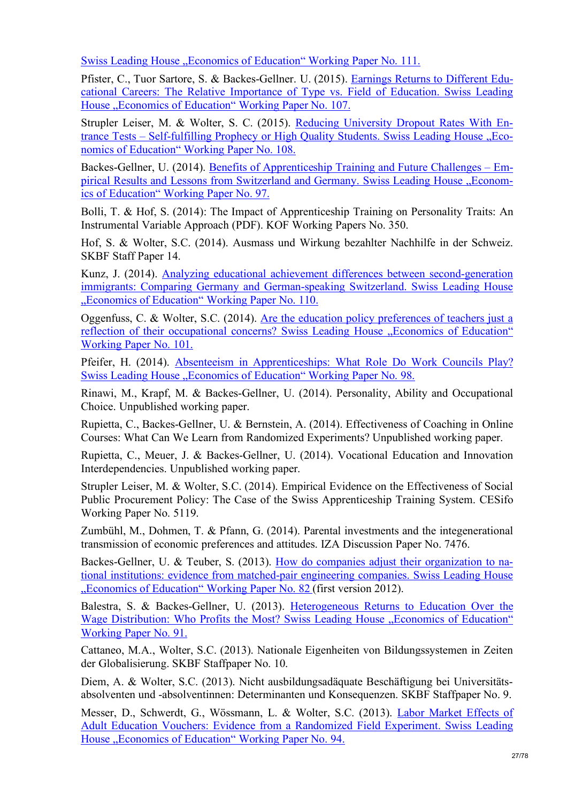Swiss Leading House "Economics of Education" Working Paper No. 111.

Pfister, C., Tuor Sartore, S. & Backes-Gellner. U. (2015). Earnings Returns to Different Educational Careers: The Relative Importance of Type vs. Field of Education. Swiss Leading House "Economics of Education" Working Paper No. 107.

Strupler Leiser, M. & Wolter, S. C. (2015). Reducing University Dropout Rates With Entrance Tests – Self-fulfilling Prophecy or High Quality Students. Swiss Leading House "Economics of Education" Working Paper No. 108.

Backes-Gellner, U. (2014). Benefits of Apprenticeship Training and Future Challenges – Empirical Results and Lessons from Switzerland and Germany. Swiss Leading House "Economics of Education" Working Paper No. 97.

Bolli, T. & Hof, S. (2014): The Impact of Apprenticeship Training on Personality Traits: An Instrumental Variable Approach (PDF). KOF Working Papers No. 350.

Hof, S. & Wolter, S.C. (2014). Ausmass und Wirkung bezahlter Nachhilfe in der Schweiz. SKBF Staff Paper 14.

Kunz, J. (2014). Analyzing educational achievement differences between second-generation immigrants: Comparing Germany and German-speaking Switzerland. Swiss Leading House "Economics of Education" Working Paper No. 110.

Oggenfuss, C. & Wolter, S.C. (2014). Are the education policy preferences of teachers just a reflection of their occupational concerns? Swiss Leading House "Economics of Education" Working Paper No. 101.

Pfeifer, H. (2014). Absenteeism in Apprenticeships: What Role Do Work Councils Play? Swiss Leading House "Economics of Education" Working Paper No. 98.

Rinawi, M., Krapf, M. & Backes-Gellner, U. (2014). Personality, Ability and Occupational Choice. Unpublished working paper.

Rupietta, C., Backes-Gellner, U. & Bernstein, A. (2014). Effectiveness of Coaching in Online Courses: What Can We Learn from Randomized Experiments? Unpublished working paper.

Rupietta, C., Meuer, J. & Backes-Gellner, U. (2014). Vocational Education and Innovation Interdependencies. Unpublished working paper.

Strupler Leiser, M. & Wolter, S.C. (2014). Empirical Evidence on the Effectiveness of Social Public Procurement Policy: The Case of the Swiss Apprenticeship Training System. CESifo Working Paper No. 5119.

Zumbühl, M., Dohmen, T. & Pfann, G. (2014). Parental investments and the integenerational transmission of economic preferences and attitudes. IZA Discussion Paper No. 7476.

Backes-Gellner, U. & Teuber, S. (2013). How do companies adjust their organization to national institutions: evidence from matched-pair engineering companies. Swiss Leading House "Economics of Education" Working Paper No. 82 (first version 2012).

Balestra, S. & Backes-Gellner, U. (2013). Heterogeneous Returns to Education Over the Wage Distribution: Who Profits the Most? Swiss Leading House "Economics of Education" Working Paper No. 91.

Cattaneo, M.A., Wolter, S.C. (2013). Nationale Eigenheiten von Bildungssystemen in Zeiten der Globalisierung. SKBF Staffpaper No. 10.

Diem, A. & Wolter, S.C. (2013). Nicht ausbildungsadäquate Beschäftigung bei Universitätsabsolventen und -absolventinnen: Determinanten und Konsequenzen. SKBF Staffpaper No. 9.

Messer, D., Schwerdt, G., Wössmann, L. & Wolter, S.C. (2013). Labor Market Effects of Adult Education Vouchers: Evidence from a Randomized Field Experiment. Swiss Leading House "Economics of Education" Working Paper No. 94.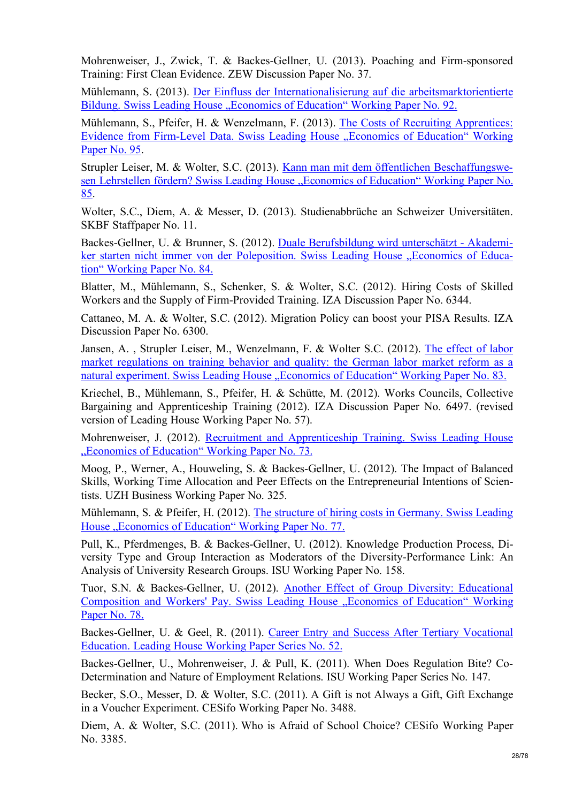Mohrenweiser, J., Zwick, T. & Backes-Gellner, U. (2013). Poaching and Firm-sponsored Training: First Clean Evidence. ZEW Discussion Paper No. 37.

Mühlemann, S. (2013). Der Einfluss der Internationalisierung auf die arbeitsmarktorientierte Bildung. Swiss Leading House "Economics of Education" Working Paper No. 92.

Mühlemann, S., Pfeifer, H. & Wenzelmann, F. (2013). The Costs of Recruiting Apprentices: Evidence from Firm-Level Data. Swiss Leading House "Economics of Education" Working Paper No. 95.

Strupler Leiser, M. & Wolter, S.C. (2013). Kann man mit dem öffentlichen Beschaffungswesen Lehrstellen fördern? Swiss Leading House "Economics of Education" Working Paper No. 85.

Wolter, S.C., Diem, A. & Messer, D. (2013). Studienabbrüche an Schweizer Universitäten. SKBF Staffpaper No. 11.

Backes-Gellner, U. & Brunner, S. (2012). Duale Berufsbildung wird unterschätzt - Akademiker starten nicht immer von der Poleposition. Swiss Leading House "Economics of Education" Working Paper No. 84.

Blatter, M., Mühlemann, S., Schenker, S. & Wolter, S.C. (2012). Hiring Costs of Skilled Workers and the Supply of Firm-Provided Training. IZA Discussion Paper No. 6344.

Cattaneo, M. A. & Wolter, S.C. (2012). Migration Policy can boost your PISA Results. IZA Discussion Paper No. 6300.

Jansen, A. , Strupler Leiser, M., Wenzelmann, F. & Wolter S.C. (2012). The effect of labor market regulations on training behavior and quality: the German labor market reform as a natural experiment. Swiss Leading House "Economics of Education" Working Paper No. 83.

Kriechel, B., Mühlemann, S., Pfeifer, H. & Schütte, M. (2012). Works Councils, Collective Bargaining and Apprenticeship Training (2012). IZA Discussion Paper No. 6497. (revised version of Leading House Working Paper No. 57).

Mohrenweiser, J. (2012). Recruitment and Apprenticeship Training. Swiss Leading House "Economics of Education" Working Paper No. 73.

Moog, P., Werner, A., Houweling, S. & Backes-Gellner, U. (2012). The Impact of Balanced Skills, Working Time Allocation and Peer Effects on the Entrepreneurial Intentions of Scientists. UZH Business Working Paper No. 325.

Mühlemann, S. & Pfeifer, H. (2012). The structure of hiring costs in Germany. Swiss Leading House "Economics of Education" Working Paper No. 77.

Pull, K., Pferdmenges, B. & Backes-Gellner, U. (2012). Knowledge Production Process, Diversity Type and Group Interaction as Moderators of the Diversity-Performance Link: An Analysis of University Research Groups. ISU Working Paper No. 158.

Tuor, S.N. & Backes-Gellner, U. (2012). Another Effect of Group Diversity: Educational Composition and Workers' Pay. Swiss Leading House . Economics of Education" Working Paper No. 78.

Backes-Gellner, U. & Geel, R. (2011). Career Entry and Success After Tertiary Vocational Education. Leading House Working Paper Series No. 52.

Backes-Gellner, U., Mohrenweiser, J. & Pull, K. (2011). When Does Regulation Bite? Co-Determination and Nature of Employment Relations. ISU Working Paper Series No. 147.

Becker, S.O., Messer, D. & Wolter, S.C. (2011). A Gift is not Always a Gift, Gift Exchange in a Voucher Experiment. CESifo Working Paper No. 3488.

Diem, A. & Wolter, S.C. (2011). Who is Afraid of School Choice? CESifo Working Paper No. 3385.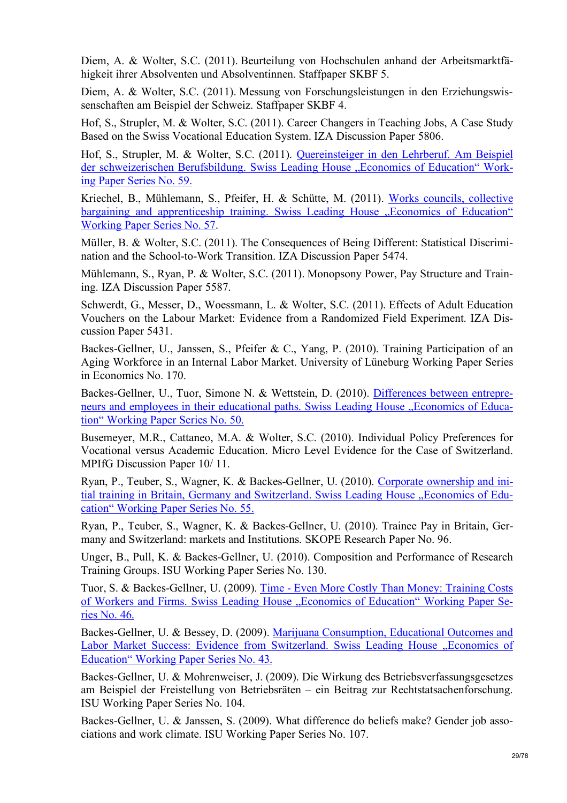Diem, A. & Wolter, S.C. (2011). Beurteilung von Hochschulen anhand der Arbeitsmarktfähigkeit ihrer Absolventen und Absolventinnen. Staffpaper SKBF 5.

Diem, A. & Wolter, S.C. (2011). Messung von Forschungsleistungen in den Erziehungswissenschaften am Beispiel der Schweiz. Staffpaper SKBF 4.

Hof, S., Strupler, M. & Wolter, S.C. (2011). Career Changers in Teaching Jobs, A Case Study Based on the Swiss Vocational Education System. IZA Discussion Paper 5806.

Hof, S., Strupler, M. & Wolter, S.C. (2011). Quereinsteiger in den Lehrberuf. Am Beispiel der schweizerischen Berufsbildung. Swiss Leading House "Economics of Education" Working Paper Series No. 59.

Kriechel, B., Mühlemann, S., Pfeifer, H. & Schütte, M. (2011). Works councils, collective bargaining and apprenticeship training. Swiss Leading House . Economics of Education " Working Paper Series No. 57.

Müller, B. & Wolter, S.C. (2011). The Consequences of Being Different: Statistical Discrimination and the School-to-Work Transition. IZA Discussion Paper 5474.

Mühlemann, S., Ryan, P. & Wolter, S.C. (2011). Monopsony Power, Pay Structure and Training. IZA Discussion Paper 5587.

Schwerdt, G., Messer, D., Woessmann, L. & Wolter, S.C. (2011). Effects of Adult Education Vouchers on the Labour Market: Evidence from a Randomized Field Experiment. IZA Discussion Paper 5431.

Backes-Gellner, U., Janssen, S., Pfeifer & C., Yang, P. (2010). Training Participation of an Aging Workforce in an Internal Labor Market. University of Lüneburg Working Paper Series in Economics No. 170.

Backes-Gellner, U., Tuor, Simone N. & Wettstein, D. (2010). Differences between entrepreneurs and employees in their educational paths. Swiss Leading House "Economics of Education" Working Paper Series No. 50.

Busemeyer, M.R., Cattaneo, M.A. & Wolter, S.C. (2010). Individual Policy Preferences for Vocational versus Academic Education. Micro Level Evidence for the Case of Switzerland. MPIfG Discussion Paper 10/ 11.

Ryan, P., Teuber, S., Wagner, K. & Backes-Gellner, U. (2010). Corporate ownership and initial training in Britain, Germany and Switzerland. Swiss Leading House "Economics of Education" Working Paper Series No. 55.

Ryan, P., Teuber, S., Wagner, K. & Backes-Gellner, U. (2010). Trainee Pay in Britain, Germany and Switzerland: markets and Institutions. SKOPE Research Paper No. 96.

Unger, B., Pull, K. & Backes-Gellner, U. (2010). Composition and Performance of Research Training Groups. ISU Working Paper Series No. 130.

Tuor, S. & Backes-Gellner, U. (2009). Time - Even More Costly Than Money: Training Costs of Workers and Firms. Swiss Leading House "Economics of Education" Working Paper Series No. 46.

Backes-Gellner, U. & Bessey, D. (2009). Marijuana Consumption, Educational Outcomes and Labor Market Success: Evidence from Switzerland. Swiss Leading House "Economics of Education" Working Paper Series No. 43.

Backes-Gellner, U. & Mohrenweiser, J. (2009). Die Wirkung des Betriebsverfassungsgesetzes am Beispiel der Freistellung von Betriebsräten – ein Beitrag zur Rechtstatsachenforschung. ISU Working Paper Series No. 104.

Backes-Gellner, U. & Janssen, S. (2009). What difference do beliefs make? Gender job associations and work climate. ISU Working Paper Series No. 107.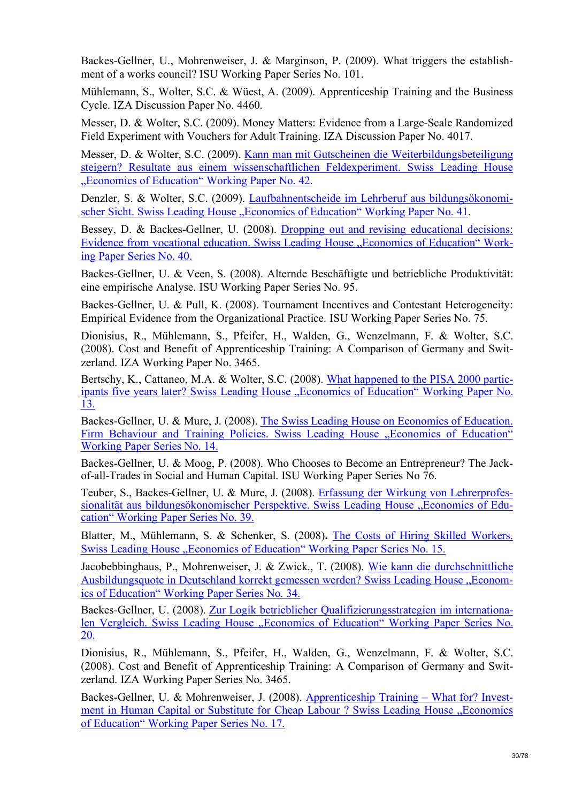Backes-Gellner, U., Mohrenweiser, J. & Marginson, P. (2009). What triggers the establishment of a works council? ISU Working Paper Series No. 101.

Mühlemann, S., Wolter, S.C. & Wüest, A. (2009). Apprenticeship Training and the Business Cycle. IZA Discussion Paper No. 4460.

Messer, D. & Wolter, S.C. (2009). Money Matters: Evidence from a Large-Scale Randomized Field Experiment with Vouchers for Adult Training. IZA Discussion Paper No. 4017.

Messer, D. & Wolter, S.C. (2009). Kann man mit Gutscheinen die Weiterbildungsbeteiligung steigern? Resultate aus einem wissenschaftlichen Feldexperiment. Swiss Leading House "Economics of Education" Working Paper No. 42.

Denzler, S. & Wolter, S.C. (2009). Laufbahnentscheide im Lehrberuf aus bildungsökonomischer Sicht. Swiss Leading House "Economics of Education" Working Paper No. 41.

Bessey, D. & Backes-Gellner, U. (2008). Dropping out and revising educational decisions: Evidence from vocational education. Swiss Leading House "Economics of Education" Working Paper Series No. 40.

Backes-Gellner, U. & Veen, S. (2008). Alternde Beschäftigte und betriebliche Produktivität: eine empirische Analyse. ISU Working Paper Series No. 95.

Backes-Gellner, U. & Pull, K. (2008). Tournament Incentives and Contestant Heterogeneity: Empirical Evidence from the Organizational Practice. ISU Working Paper Series No. 75.

Dionisius, R., Mühlemann, S., Pfeifer, H., Walden, G., Wenzelmann, F. & Wolter, S.C. (2008). Cost and Benefit of Apprenticeship Training: A Comparison of Germany and Switzerland. IZA Working Paper No. 3465.

Bertschy, K., Cattaneo, M.A. & Wolter, S.C. (2008). What happened to the PISA 2000 participants five years later? Swiss Leading House "Economics of Education" Working Paper No. 13.

Backes-Gellner, U. & Mure, J. (2008). The Swiss Leading House on Economics of Education. Firm Behaviour and Training Policies. Swiss Leading House "Economics of Education" Working Paper Series No. 14.

Backes-Gellner, U. & Moog, P. (2008). Who Chooses to Become an Entrepreneur? The Jackof-all-Trades in Social and Human Capital. ISU Working Paper Series No 76.

Teuber, S., Backes-Gellner, U. & Mure, J. (2008). Erfassung der Wirkung von Lehrerprofessionalität aus bildungsökonomischer Perspektive. Swiss Leading House "Economics of Education" Working Paper Series No. 39.

Blatter, M., Mühlemann, S. & Schenker, S. (2008)**.** The Costs of Hiring Skilled Workers. Swiss Leading House . Economics of Education" Working Paper Series No. 15.

Jacobebbinghaus, P., Mohrenweiser, J. & Zwick., T. (2008). Wie kann die durchschnittliche Ausbildungsquote in Deutschland korrekt gemessen werden? Swiss Leading House "Economics of Education" Working Paper Series No. 34.

Backes-Gellner, U. (2008). Zur Logik betrieblicher Qualifizierungsstrategien im internationalen Vergleich. Swiss Leading House "Economics of Education" Working Paper Series No. 20.

Dionisius, R., Mühlemann, S., Pfeifer, H., Walden, G., Wenzelmann, F. & Wolter, S.C. (2008). Cost and Benefit of Apprenticeship Training: A Comparison of Germany and Switzerland. IZA Working Paper Series No. 3465.

Backes-Gellner, U. & Mohrenweiser, J. (2008). Apprenticeship Training – What for? Investment in Human Capital or Substitute for Cheap Labour ? Swiss Leading House "Economics of Education" Working Paper Series No. 17.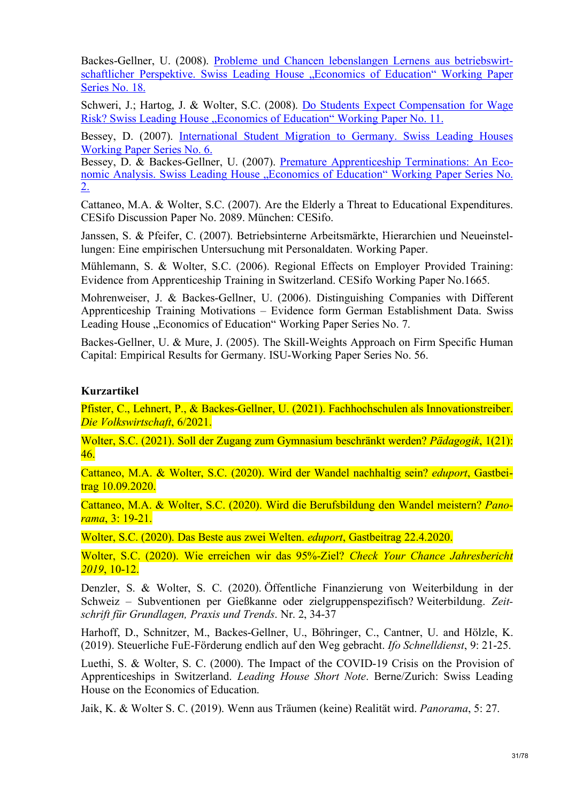Backes-Gellner, U. (2008). Probleme und Chancen lebenslangen Lernens aus betriebswirtschaftlicher Perspektive. Swiss Leading House "Economics of Education" Working Paper Series No. 18.

Schweri, J.; Hartog, J. & Wolter, S.C. (2008). Do Students Expect Compensation for Wage Risk? Swiss Leading House "Economics of Education" Working Paper No. 11.

Bessey, D. (2007). International Student Migration to Germany. Swiss Leading Houses Working Paper Series No. 6.

Bessey, D. & Backes-Gellner, U. (2007). Premature Apprenticeship Terminations: An Economic Analysis. Swiss Leading House "Economics of Education" Working Paper Series No. 2.

Cattaneo, M.A. & Wolter, S.C. (2007). Are the Elderly a Threat to Educational Expenditures. CESifo Discussion Paper No. 2089. München: CESifo.

Janssen, S. & Pfeifer, C. (2007). Betriebsinterne Arbeitsmärkte, Hierarchien und Neueinstellungen: Eine empirischen Untersuchung mit Personaldaten. Working Paper.

Mühlemann, S. & Wolter, S.C. (2006). Regional Effects on Employer Provided Training: Evidence from Apprenticeship Training in Switzerland. CESifo Working Paper No.1665.

Mohrenweiser, J. & Backes-Gellner, U. (2006). Distinguishing Companies with Different Apprenticeship Training Motivations – Evidence form German Establishment Data. Swiss Leading House "Economics of Education" Working Paper Series No. 7.

Backes-Gellner, U. & Mure, J. (2005). The Skill-Weights Approach on Firm Specific Human Capital: Empirical Results for Germany. ISU-Working Paper Series No. 56.

# **Kurzartikel**

Pfister, C., Lehnert, P., & Backes-Gellner, U. (2021). Fachhochschulen als Innovationstreiber. *Die Volkswirtschaft*, 6/2021.

Wolter, S.C. (2021). Soll der Zugang zum Gymnasium beschränkt werden? *Pädagogik*, 1(21): 46.

Cattaneo, M.A. & Wolter, S.C. (2020). Wird der Wandel nachhaltig sein? *eduport*, Gastbeitrag 10.09.2020.

Cattaneo, M.A. & Wolter, S.C. (2020). Wird die Berufsbildung den Wandel meistern? *Panorama*, 3: 19-21.

Wolter, S.C. (2020). Das Beste aus zwei Welten. *eduport*, Gastbeitrag 22.4.2020.

Wolter, S.C. (2020). Wie erreichen wir das 95%-Ziel? *Check Your Chance Jahresbericht 2019*, 10-12.

Denzler, S. & Wolter, S. C. (2020). Öffentliche Finanzierung von Weiterbildung in der Schweiz – Subventionen per Gießkanne oder zielgruppenspezifisch? Weiterbildung. *Zeitschrift für Grundlagen, Praxis und Trends*. Nr. 2, 34-37

Harhoff, D., Schnitzer, M., Backes-Gellner, U., Böhringer, C., Cantner, U. and Hölzle, K. (2019). Steuerliche FuE-Förderung endlich auf den Weg gebracht. *Ifo Schnelldienst*, 9: 21-25.

Luethi, S. & Wolter, S. C. (2000). The Impact of the COVID-19 Crisis on the Provision of Apprenticeships in Switzerland. *Leading House Short Note*. Berne/Zurich: Swiss Leading House on the Economics of Education.

Jaik, K. & Wolter S. C. (2019). Wenn aus Träumen (keine) Realität wird. *Panorama*, 5: 27.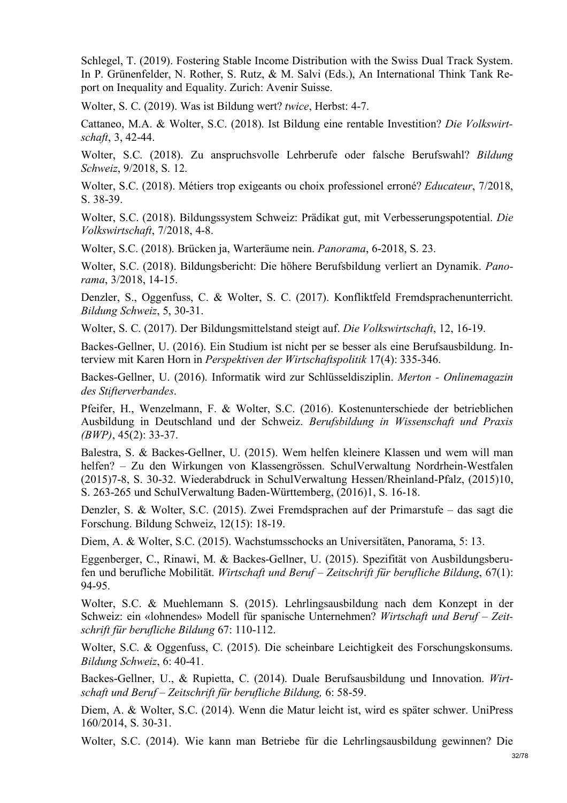Schlegel, T. (2019). Fostering Stable Income Distribution with the Swiss Dual Track System. In P. Grünenfelder, N. Rother, S. Rutz, & M. Salvi (Eds.), An International Think Tank Report on Inequality and Equality. Zurich: Avenir Suisse.

Wolter, S. C. (2019). Was ist Bildung wert? *twice*, Herbst: 4-7.

Cattaneo, M.A. & Wolter, S.C. (2018). Ist Bildung eine rentable Investition? *Die Volkswirtschaft*, 3, 42-44.

Wolter, S.C. (2018). Zu anspruchsvolle Lehrberufe oder falsche Berufswahl? *Bildung Schweiz*, 9/2018, S. 12.

Wolter, S.C. (2018). Métiers trop exigeants ou choix professionel erroné? *Educateur*, 7/2018, S. 38-39.

Wolter, S.C. (2018). Bildungssystem Schweiz: Prädikat gut, mit Verbesserungspotential. *Die Volkswirtschaft*, 7/2018, 4-8.

Wolter, S.C. (2018). Brücken ja, Warteräume nein. *Panorama*, 6-2018, S. 23.

Wolter, S.C. (2018). Bildungsbericht: Die höhere Berufsbildung verliert an Dynamik. *Panorama*, 3/2018, 14-15.

Denzler, S., Oggenfuss, C. & Wolter, S. C. (2017). Konfliktfeld Fremdsprachenunterricht. *Bildung Schweiz*, 5, 30-31.

Wolter, S. C. (2017). Der Bildungsmittelstand steigt auf. *Die Volkswirtschaft*, 12, 16-19.

Backes-Gellner, U. (2016). Ein Studium ist nicht per se besser als eine Berufsausbildung. Interview mit Karen Horn in *Perspektiven der Wirtschaftspolitik* 17(4): 335-346.

Backes-Gellner, U. (2016). Informatik wird zur Schlüsseldisziplin. *Merton - Onlinemagazin des Stifterverbandes*.

Pfeifer, H., Wenzelmann, F. & Wolter, S.C. (2016). Kostenunterschiede der betrieblichen Ausbildung in Deutschland und der Schweiz. *Berufsbildung in Wissenschaft und Praxis (BWP)*, 45(2): 33-37.

Balestra, S. & Backes-Gellner, U. (2015). Wem helfen kleinere Klassen und wem will man helfen? – Zu den Wirkungen von Klassengrössen. SchulVerwaltung Nordrhein-Westfalen (2015)7-8, S. 30-32. Wiederabdruck in SchulVerwaltung Hessen/Rheinland-Pfalz, (2015)10, S. 263-265 und SchulVerwaltung Baden-Württemberg, (2016)1, S. 16-18.

Denzler, S. & Wolter, S.C. (2015). Zwei Fremdsprachen auf der Primarstufe – das sagt die Forschung. Bildung Schweiz, 12(15): 18-19.

Diem, A. & Wolter, S.C. (2015). Wachstumsschocks an Universitäten, Panorama, 5: 13.

Eggenberger, C., Rinawi, M. & Backes-Gellner, U. (2015). Spezifität von Ausbildungsberufen und berufliche Mobilität. *Wirtschaft und Beruf – Zeitschrift für berufliche Bildung*, 67(1): 94-95.

Wolter, S.C. & Muehlemann S. (2015). Lehrlingsausbildung nach dem Konzept in der Schweiz: ein «lohnendes» Modell für spanische Unternehmen? *Wirtschaft und Beruf – Zeitschrift für berufliche Bildung* 67: 110-112.

Wolter, S.C. & Oggenfuss, C. (2015). Die scheinbare Leichtigkeit des Forschungskonsums. *Bildung Schweiz*, 6: 40-41.

Backes-Gellner, U., & Rupietta, C. (2014). Duale Berufsausbildung und Innovation. *Wirtschaft und Beruf – Zeitschrift für berufliche Bildung,* 6: 58-59.

Diem, A. & Wolter, S.C. (2014). Wenn die Matur leicht ist, wird es später schwer. UniPress 160/2014, S. 30-31.

Wolter, S.C. (2014). Wie kann man Betriebe für die Lehrlingsausbildung gewinnen? Die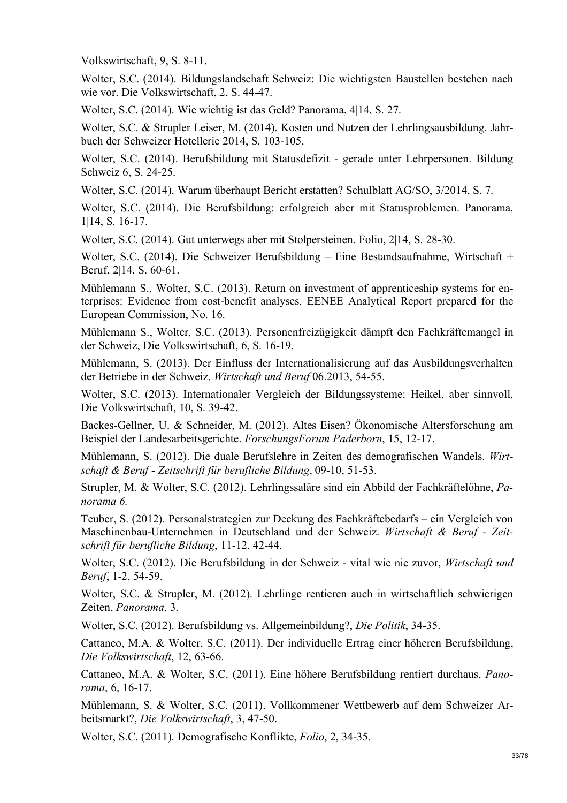Volkswirtschaft, 9, S. 8-11.

Wolter, S.C. (2014). Bildungslandschaft Schweiz: Die wichtigsten Baustellen bestehen nach wie vor. Die Volkswirtschaft, 2, S. 44-47.

Wolter, S.C. (2014). Wie wichtig ist das Geld? Panorama, 4|14, S. 27.

Wolter, S.C. & Strupler Leiser, M. (2014). Kosten und Nutzen der Lehrlingsausbildung. Jahrbuch der Schweizer Hotellerie 2014, S. 103-105.

Wolter, S.C. (2014). Berufsbildung mit Statusdefizit - gerade unter Lehrpersonen. Bildung Schweiz 6, S. 24-25.

Wolter, S.C. (2014). Warum überhaupt Bericht erstatten? Schulblatt AG/SO, 3/2014, S. 7.

Wolter, S.C. (2014). Die Berufsbildung: erfolgreich aber mit Statusproblemen. Panorama, 1|14, S. 16-17.

Wolter, S.C. (2014). Gut unterwegs aber mit Stolpersteinen. Folio, 2|14, S. 28-30.

Wolter, S.C. (2014). Die Schweizer Berufsbildung – Eine Bestandsaufnahme, Wirtschaft + Beruf, 2|14, S. 60-61.

Mühlemann S., Wolter, S.C. (2013). Return on investment of apprenticeship systems for enterprises: Evidence from cost-benefit analyses. EENEE Analytical Report prepared for the European Commission, No. 16.

Mühlemann S., Wolter, S.C. (2013). Personenfreizügigkeit dämpft den Fachkräftemangel in der Schweiz, Die Volkswirtschaft, 6, S. 16-19.

Mühlemann, S. (2013). Der Einfluss der Internationalisierung auf das Ausbildungsverhalten der Betriebe in der Schweiz. *Wirtschaft und Beruf* 06.2013, 54-55.

Wolter, S.C. (2013). Internationaler Vergleich der Bildungssysteme: Heikel, aber sinnvoll, Die Volkswirtschaft, 10, S. 39-42.

Backes-Gellner, U. & Schneider, M. (2012). Altes Eisen? Ökonomische Altersforschung am Beispiel der Landesarbeitsgerichte. *ForschungsForum Paderborn*, 15, 12-17.

Mühlemann, S. (2012). Die duale Berufslehre in Zeiten des demografischen Wandels. *Wirtschaft & Beruf - Zeitschrift für berufliche Bildung*, 09-10, 51-53.

Strupler, M. & Wolter, S.C. (2012). Lehrlingssaläre sind ein Abbild der Fachkräftelöhne, *Panorama 6.*

Teuber, S. (2012). Personalstrategien zur Deckung des Fachkräftebedarfs – ein Vergleich von Maschinenbau-Unternehmen in Deutschland und der Schweiz. *Wirtschaft & Beruf - Zeitschrift für berufliche Bildung*, 11-12, 42-44.

Wolter, S.C. (2012). Die Berufsbildung in der Schweiz - vital wie nie zuvor, *Wirtschaft und Beruf*, 1-2, 54-59.

Wolter, S.C. & Strupler, M. (2012). Lehrlinge rentieren auch in wirtschaftlich schwierigen Zeiten, *Panorama*, 3.

Wolter, S.C. (2012). Berufsbildung vs. Allgemeinbildung?, *Die Politik*, 34-35.

Cattaneo, M.A. & Wolter, S.C. (2011). Der individuelle Ertrag einer höheren Berufsbildung, *Die Volkswirtschaft*, 12, 63-66.

Cattaneo, M.A. & Wolter, S.C. (2011). Eine höhere Berufsbildung rentiert durchaus, *Panorama*, 6, 16-17.

Mühlemann, S. & Wolter, S.C. (2011). Vollkommener Wettbewerb auf dem Schweizer Arbeitsmarkt?, *Die Volkswirtschaft*, 3, 47-50.

Wolter, S.C. (2011). Demografische Konflikte, *Folio*, 2, 34-35.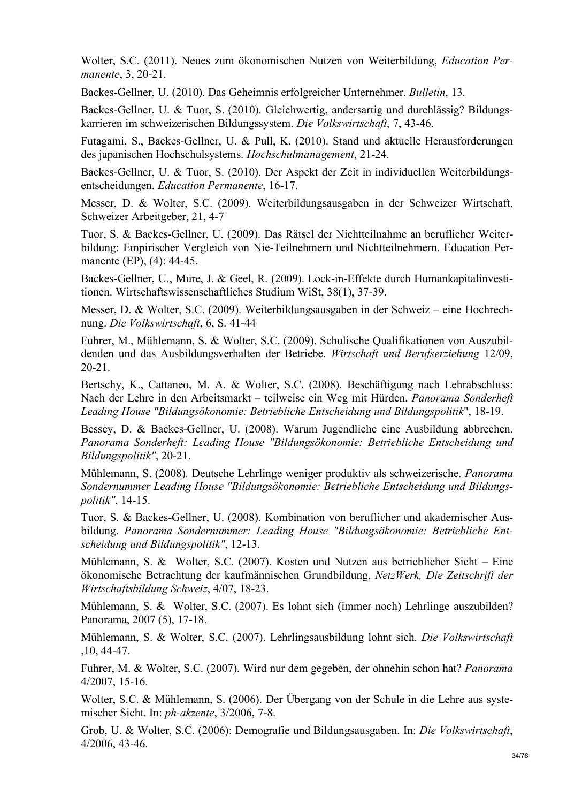Wolter, S.C. (2011). Neues zum ökonomischen Nutzen von Weiterbildung, *Education Permanente*, 3, 20-21.

Backes-Gellner, U. (2010). Das Geheimnis erfolgreicher Unternehmer. *Bulletin*, 13.

Backes-Gellner, U. & Tuor, S. (2010). Gleichwertig, andersartig und durchlässig? Bildungskarrieren im schweizerischen Bildungssystem. *Die Volkswirtschaft*, 7, 43-46.

Futagami, S., Backes-Gellner, U. & Pull, K. (2010). Stand und aktuelle Herausforderungen des japanischen Hochschulsystems. *Hochschulmanagement*, 21-24.

Backes-Gellner, U. & Tuor, S. (2010). Der Aspekt der Zeit in individuellen Weiterbildungsentscheidungen. *Education Permanente*, 16-17.

Messer, D. & Wolter, S.C. (2009). Weiterbildungsausgaben in der Schweizer Wirtschaft, Schweizer Arbeitgeber, 21, 4-7

Tuor, S. & Backes-Gellner, U. (2009). Das Rätsel der Nichtteilnahme an beruflicher Weiterbildung: Empirischer Vergleich von Nie-Teilnehmern und Nichtteilnehmern. Education Permanente (EP), (4): 44-45.

Backes-Gellner, U., Mure, J. & Geel, R. (2009). Lock-in-Effekte durch Humankapitalinvestitionen. Wirtschaftswissenschaftliches Studium WiSt, 38(1), 37-39.

Messer, D. & Wolter, S.C. (2009). Weiterbildungsausgaben in der Schweiz – eine Hochrechnung. *Die Volkswirtschaft*, 6, S. 41-44

Fuhrer, M., Mühlemann, S. & Wolter, S.C. (2009). Schulische Qualifikationen von Auszubildenden und das Ausbildungsverhalten der Betriebe. *Wirtschaft und Berufserziehung* 12/09, 20-21.

Bertschy, K., Cattaneo, M. A. & Wolter, S.C. (2008). Beschäftigung nach Lehrabschluss: Nach der Lehre in den Arbeitsmarkt – teilweise ein Weg mit Hürden. *Panorama Sonderheft Leading House "Bildungsökonomie: Betriebliche Entscheidung und Bildungspolitik*", 18-19.

Bessey, D. & Backes-Gellner, U. (2008). Warum Jugendliche eine Ausbildung abbrechen. *Panorama Sonderheft: Leading House "Bildungsökonomie: Betriebliche Entscheidung und Bildungspolitik"*, 20-21.

Mühlemann, S. (2008). Deutsche Lehrlinge weniger produktiv als schweizerische. *Panorama Sondernummer Leading House "Bildungsökonomie: Betriebliche Entscheidung und Bildungspolitik"*, 14-15.

Tuor, S. & Backes-Gellner, U. (2008). Kombination von beruflicher und akademischer Ausbildung. *Panorama Sondernummer: Leading House "Bildungsökonomie: Betriebliche Entscheidung und Bildungspolitik"*, 12-13.

Mühlemann, S. & Wolter, S.C. (2007). Kosten und Nutzen aus betrieblicher Sicht – Eine ökonomische Betrachtung der kaufmännischen Grundbildung, *NetzWerk, Die Zeitschrift der Wirtschaftsbildung Schweiz*, 4/07, 18-23.

Mühlemann, S. & Wolter, S.C. (2007). Es lohnt sich (immer noch) Lehrlinge auszubilden? Panorama, 2007 (5), 17-18.

Mühlemann, S. & Wolter, S.C. (2007). Lehrlingsausbildung lohnt sich. *Die Volkswirtschaft* ,10, 44-47.

Fuhrer, M. & Wolter, S.C. (2007). Wird nur dem gegeben, der ohnehin schon hat? *Panorama* 4/2007, 15-16.

Wolter, S.C. & Mühlemann, S. (2006). Der Übergang von der Schule in die Lehre aus systemischer Sicht. In: *ph-akzente*, 3/2006, 7-8.

Grob, U. & Wolter, S.C. (2006): Demografie und Bildungsausgaben. In: *Die Volkswirtschaft*, 4/2006, 43-46.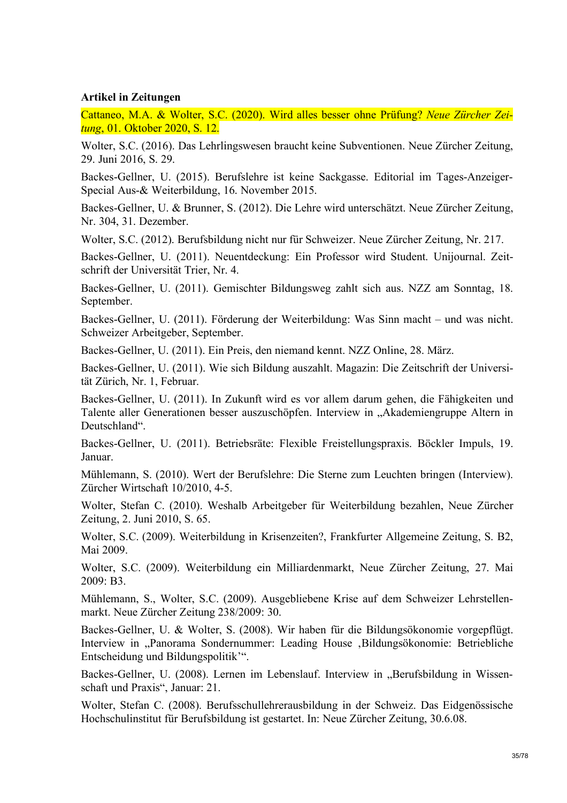#### **Artikel in Zeitungen**

Cattaneo, M.A. & Wolter, S.C. (2020). Wird alles besser ohne Prüfung? *Neue Zürcher Zeitung*, 01. Oktober 2020, S. 12.

Wolter, S.C. (2016). Das Lehrlingswesen braucht keine Subventionen. Neue Zürcher Zeitung, 29. Juni 2016, S. 29.

Backes-Gellner, U. (2015). Berufslehre ist keine Sackgasse. Editorial im Tages-Anzeiger-Special Aus-& Weiterbildung, 16. November 2015.

Backes-Gellner, U. & Brunner, S. (2012). Die Lehre wird unterschätzt. Neue Zürcher Zeitung, Nr. 304, 31. Dezember.

Wolter, S.C. (2012). Berufsbildung nicht nur für Schweizer. Neue Zürcher Zeitung, Nr. 217.

Backes-Gellner, U. (2011). Neuentdeckung: Ein Professor wird Student. Unijournal. Zeitschrift der Universität Trier, Nr. 4.

Backes-Gellner, U. (2011). Gemischter Bildungsweg zahlt sich aus. NZZ am Sonntag, 18. September.

Backes-Gellner, U. (2011). Förderung der Weiterbildung: Was Sinn macht – und was nicht. Schweizer Arbeitgeber, September.

Backes-Gellner, U. (2011). Ein Preis, den niemand kennt. NZZ Online, 28. März.

Backes-Gellner, U. (2011). Wie sich Bildung auszahlt. Magazin: Die Zeitschrift der Universität Zürich, Nr. 1, Februar.

Backes-Gellner, U. (2011). In Zukunft wird es vor allem darum gehen, die Fähigkeiten und Talente aller Generationen besser auszuschöpfen. Interview in "Akademiengruppe Altern in Deutschland"

Backes-Gellner, U. (2011). Betriebsräte: Flexible Freistellungspraxis. Böckler Impuls, 19. Januar.

Mühlemann, S. (2010). Wert der Berufslehre: Die Sterne zum Leuchten bringen (Interview). Zürcher Wirtschaft 10/2010, 4-5.

Wolter, Stefan C. (2010). Weshalb Arbeitgeber für Weiterbildung bezahlen, Neue Zürcher Zeitung, 2. Juni 2010, S. 65.

Wolter, S.C. (2009). Weiterbildung in Krisenzeiten?, Frankfurter Allgemeine Zeitung, S. B2, Mai 2009.

Wolter, S.C. (2009). Weiterbildung ein Milliardenmarkt, Neue Zürcher Zeitung, 27. Mai 2009: B3.

Mühlemann, S., Wolter, S.C. (2009). Ausgebliebene Krise auf dem Schweizer Lehrstellenmarkt. Neue Zürcher Zeitung 238/2009: 30.

Backes-Gellner, U. & Wolter, S. (2008). Wir haben für die Bildungsökonomie vorgepflügt. Interview in "Panorama Sondernummer: Leading House , Bildungsökonomie: Betriebliche Entscheidung und Bildungspolitik'".

Backes-Gellner, U. (2008). Lernen im Lebenslauf. Interview in "Berufsbildung in Wissenschaft und Praxis", Januar: 21.

Wolter, Stefan C. (2008). Berufsschullehrerausbildung in der Schweiz. Das Eidgenössische Hochschulinstitut für Berufsbildung ist gestartet. In: Neue Zürcher Zeitung, 30.6.08.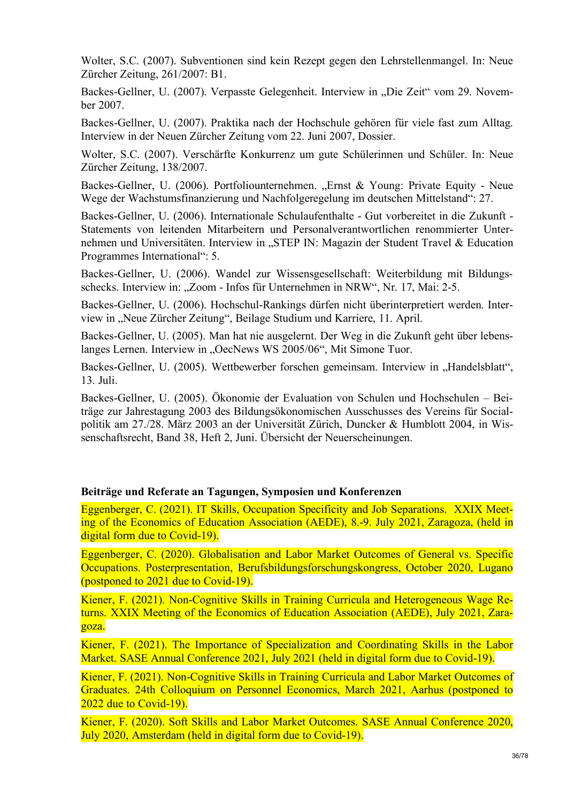Wolter, S.C. (2007). Subventionen sind kein Rezept gegen den Lehrstellenmangel. In: Neue Zürcher Zeitung, 261/2007: B1.

Backes-Gellner, U. (2007). Verpasste Gelegenheit. Interview in "Die Zeit" vom 29. November 2007.

Backes-Gellner, U. (2007). Praktika nach der Hochschule gehören für viele fast zum Alltag. Interview in der Neuen Zürcher Zeitung vom 22. Juni 2007, Dossier.

Wolter, S.C. (2007). Verschärfte Konkurrenz um gute Schülerinnen und Schüler. In: Neue Zürcher Zeitung, 138/2007.

Backes-Gellner, U. (2006). Portfoliounternehmen. "Ernst & Young: Private Equity - Neue Wege der Wachstumsfinanzierung und Nachfolgeregelung im deutschen Mittelstand": 27.

Backes-Gellner, U. (2006). Internationale Schulaufenthalte - Gut vorbereitet in die Zukunft - Statements von leitenden Mitarbeitern und Personalverantwortlichen renommierter Unternehmen und Universitäten. Interview in "STEP IN: Magazin der Student Travel & Education Programmes International": 5.

Backes-Gellner, U. (2006). Wandel zur Wissensgesellschaft: Weiterbildung mit Bildungsschecks. Interview in: "Zoom - Infos für Unternehmen in NRW", Nr. 17, Mai: 2-5.

Backes-Gellner, U. (2006). Hochschul-Rankings dürfen nicht überinterpretiert werden. Interview in "Neue Zürcher Zeitung", Beilage Studium und Karriere, 11. April.

Backes-Gellner, U. (2005). Man hat nie ausgelernt. Der Weg in die Zukunft geht über lebenslanges Lernen. Interview in "OecNews WS 2005/06", Mit Simone Tuor.

Backes-Gellner, U. (2005). Wettbewerber forschen gemeinsam. Interview in "Handelsblatt", 13. Juli.

Backes-Gellner, U. (2005). Ökonomie der Evaluation von Schulen und Hochschulen – Beiträge zur Jahrestagung 2003 des Bildungsökonomischen Ausschusses des Vereins für Socialpolitik am 27./28. März 2003 an der Universität Zürich, Duncker & Humblott 2004, in Wissenschaftsrecht, Band 38, Heft 2, Juni. Übersicht der Neuerscheinungen.

# **Beiträge und Referate an Tagungen, Symposien und Konferenzen**

Eggenberger, C. (2021). IT Skills, Occupation Specificity and Job Separations. XXIX Meeting of the Economics of Education Association (AEDE), 8.-9. July 2021, Zaragoza, (held in digital form due to Covid-19).

Eggenberger, C. (2020). Globalisation and Labor Market Outcomes of General vs. Specific Occupations. Posterpresentation, Berufsbildungsforschungskongress, October 2020, Lugano (postponed to 2021 due to Covid-19).

Kiener, F. (2021). Non-Cognitive Skills in Training Curricula and Heterogeneous Wage Returns. XXIX Meeting of the Economics of Education Association (AEDE), July 2021, Zaragoza.

Kiener, F. (2021). The Importance of Specialization and Coordinating Skills in the Labor Market. SASE Annual Conference 2021, July 2021 (held in digital form due to Covid-19).

Kiener, F. (2021). Non-Cognitive Skills in Training Curricula and Labor Market Outcomes of Graduates. 24th Colloquium on Personnel Economics, March 2021, Aarhus (postponed to 2022 due to Covid-19).

Kiener, F. (2020). Soft Skills and Labor Market Outcomes. SASE Annual Conference 2020, July 2020, Amsterdam (held in digital form due to Covid-19).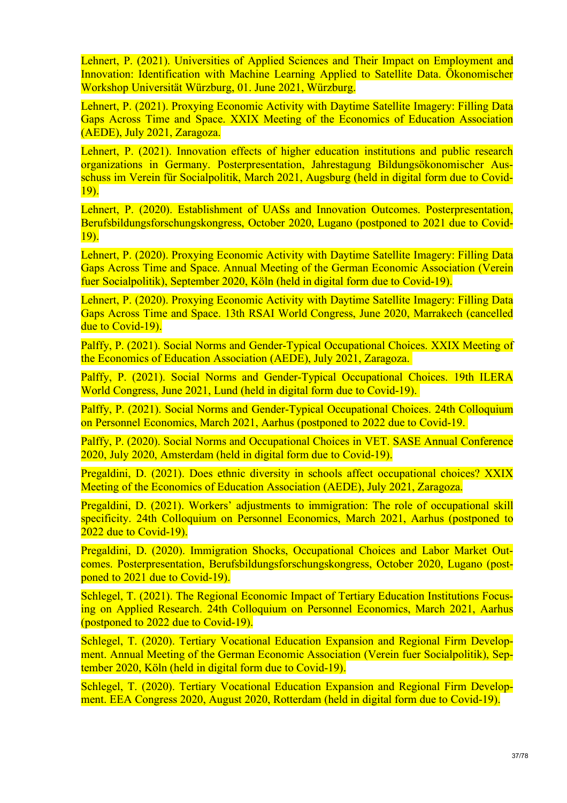Lehnert, P. (2021). Universities of Applied Sciences and Their Impact on Employment and Innovation: Identification with Machine Learning Applied to Satellite Data. Ökonomischer Workshop Universität Würzburg, 01. June 2021, Würzburg.

Lehnert, P. (2021). Proxying Economic Activity with Daytime Satellite Imagery: Filling Data Gaps Across Time and Space. XXIX Meeting of the Economics of Education Association (AEDE), July 2021, Zaragoza.

Lehnert, P. (2021). Innovation effects of higher education institutions and public research organizations in Germany. Posterpresentation, Jahrestagung Bildungsökonomischer Ausschuss im Verein für Socialpolitik, March 2021, Augsburg (held in digital form due to Covid-19).

Lehnert, P. (2020). Establishment of UASs and Innovation Outcomes. Posterpresentation, Berufsbildungsforschungskongress, October 2020, Lugano (postponed to 2021 due to Covid-19).

Lehnert, P. (2020). Proxying Economic Activity with Daytime Satellite Imagery: Filling Data Gaps Across Time and Space. Annual Meeting of the German Economic Association (Verein fuer Socialpolitik), September 2020, Köln (held in digital form due to Covid-19).

Lehnert, P. (2020). Proxying Economic Activity with Daytime Satellite Imagery: Filling Data Gaps Across Time and Space. 13th RSAI World Congress, June 2020, Marrakech (cancelled due to Covid-19).

Palffy, P. (2021). Social Norms and Gender-Typical Occupational Choices. XXIX Meeting of the Economics of Education Association (AEDE), July 2021, Zaragoza.

Palffy, P. (2021). Social Norms and Gender-Typical Occupational Choices. 19th ILERA World Congress, June 2021, Lund (held in digital form due to Covid-19).

Palffy, P. (2021). Social Norms and Gender-Typical Occupational Choices. 24th Colloquium on Personnel Economics, March 2021, Aarhus (postponed to 2022 due to Covid-19.

Palffy, P. (2020). Social Norms and Occupational Choices in VET. SASE Annual Conference 2020, July 2020, Amsterdam (held in digital form due to Covid-19).

Pregaldini, D. (2021). Does ethnic diversity in schools affect occupational choices? XXIX Meeting of the Economics of Education Association (AEDE), July 2021, Zaragoza.

Pregaldini, D. (2021). Workers' adjustments to immigration: The role of occupational skill specificity. 24th Colloquium on Personnel Economics, March 2021, Aarhus (postponed to 2022 due to Covid-19).

Pregaldini, D. (2020). Immigration Shocks, Occupational Choices and Labor Market Outcomes. Posterpresentation, Berufsbildungsforschungskongress, October 2020, Lugano (postponed to 2021 due to Covid-19).

Schlegel, T. (2021). The Regional Economic Impact of Tertiary Education Institutions Focusing on Applied Research. 24th Colloquium on Personnel Economics, March 2021, Aarhus (postponed to 2022 due to Covid-19).

Schlegel, T. (2020). Tertiary Vocational Education Expansion and Regional Firm Development. Annual Meeting of the German Economic Association (Verein fuer Socialpolitik), September 2020, Köln (held in digital form due to Covid-19).

Schlegel, T. (2020). Tertiary Vocational Education Expansion and Regional Firm Development. EEA Congress 2020, August 2020, Rotterdam (held in digital form due to Covid-19).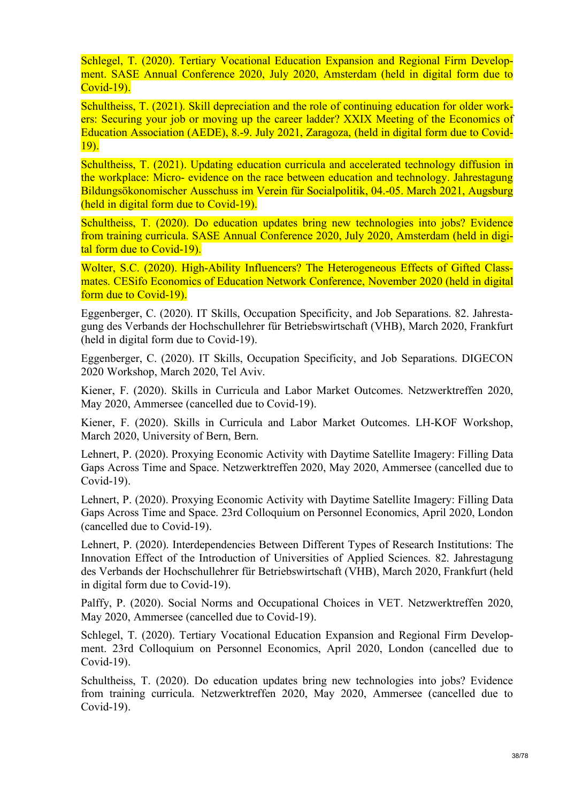Schlegel, T. (2020). Tertiary Vocational Education Expansion and Regional Firm Development. SASE Annual Conference 2020, July 2020, Amsterdam (held in digital form due to Covid-19).

Schultheiss, T. (2021). Skill depreciation and the role of continuing education for older workers: Securing your job or moving up the career ladder? XXIX Meeting of the Economics of Education Association (AEDE), 8.-9. July 2021, Zaragoza, (held in digital form due to Covid-19).

Schultheiss, T. (2021). Updating education curricula and accelerated technology diffusion in the workplace: Micro- evidence on the race between education and technology. Jahrestagung Bildungsökonomischer Ausschuss im Verein für Socialpolitik, 04.-05. March 2021, Augsburg (held in digital form due to Covid-19).

Schultheiss, T. (2020). Do education updates bring new technologies into jobs? Evidence from training curricula. SASE Annual Conference 2020, July 2020, Amsterdam (held in digital form due to Covid-19).

Wolter, S.C. (2020). High-Ability Influencers? The Heterogeneous Effects of Gifted Classmates. CESifo Economics of Education Network Conference, November 2020 (held in digital form due to Covid-19).

Eggenberger, C. (2020). IT Skills, Occupation Specificity, and Job Separations. 82. Jahrestagung des Verbands der Hochschullehrer für Betriebswirtschaft (VHB), March 2020, Frankfurt (held in digital form due to Covid-19).

Eggenberger, C. (2020). IT Skills, Occupation Specificity, and Job Separations. DIGECON 2020 Workshop, March 2020, Tel Aviv.

Kiener, F. (2020). Skills in Curricula and Labor Market Outcomes. Netzwerktreffen 2020, May 2020, Ammersee (cancelled due to Covid-19).

Kiener, F. (2020). Skills in Curricula and Labor Market Outcomes. LH-KOF Workshop, March 2020, University of Bern, Bern.

Lehnert, P. (2020). Proxying Economic Activity with Daytime Satellite Imagery: Filling Data Gaps Across Time and Space. Netzwerktreffen 2020, May 2020, Ammersee (cancelled due to Covid-19).

Lehnert, P. (2020). Proxying Economic Activity with Daytime Satellite Imagery: Filling Data Gaps Across Time and Space. 23rd Colloquium on Personnel Economics, April 2020, London (cancelled due to Covid-19).

Lehnert, P. (2020). Interdependencies Between Different Types of Research Institutions: The Innovation Effect of the Introduction of Universities of Applied Sciences. 82. Jahrestagung des Verbands der Hochschullehrer für Betriebswirtschaft (VHB), March 2020, Frankfurt (held in digital form due to Covid-19).

Palffy, P. (2020). Social Norms and Occupational Choices in VET. Netzwerktreffen 2020, May 2020, Ammersee (cancelled due to Covid-19).

Schlegel, T. (2020). Tertiary Vocational Education Expansion and Regional Firm Development. 23rd Colloquium on Personnel Economics, April 2020, London (cancelled due to Covid-19).

Schultheiss, T. (2020). Do education updates bring new technologies into jobs? Evidence from training curricula. Netzwerktreffen 2020, May 2020, Ammersee (cancelled due to Covid-19).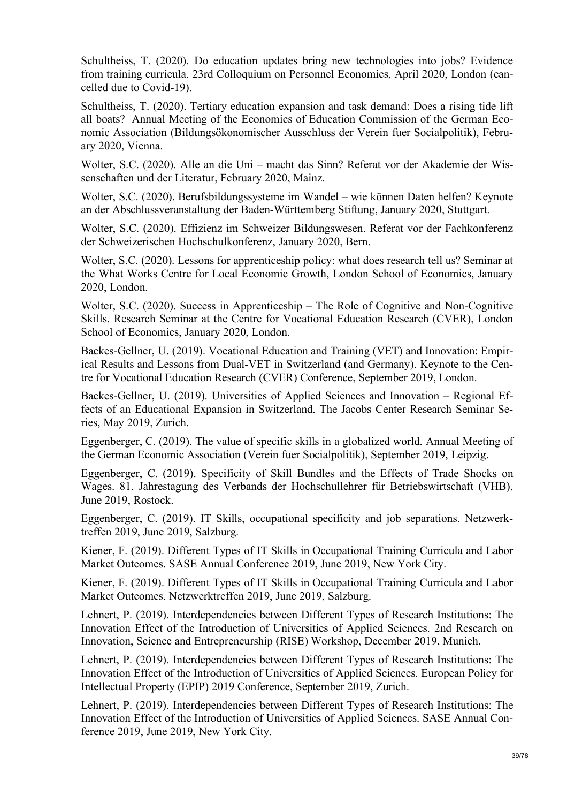Schultheiss, T. (2020). Do education updates bring new technologies into jobs? Evidence from training curricula. 23rd Colloquium on Personnel Economics, April 2020, London (cancelled due to Covid-19).

Schultheiss, T. (2020). Tertiary education expansion and task demand: Does a rising tide lift all boats? Annual Meeting of the Economics of Education Commission of the German Economic Association (Bildungsökonomischer Ausschluss der Verein fuer Socialpolitik), February 2020, Vienna.

Wolter, S.C. (2020). Alle an die Uni – macht das Sinn? Referat vor der Akademie der Wissenschaften und der Literatur, February 2020, Mainz.

Wolter, S.C. (2020). Berufsbildungssysteme im Wandel – wie können Daten helfen? Keynote an der Abschlussveranstaltung der Baden-Württemberg Stiftung, January 2020, Stuttgart.

Wolter, S.C. (2020). Effizienz im Schweizer Bildungswesen. Referat vor der Fachkonferenz der Schweizerischen Hochschulkonferenz, January 2020, Bern.

Wolter, S.C. (2020). Lessons for apprenticeship policy: what does research tell us? Seminar at the What Works Centre for Local Economic Growth, London School of Economics, January 2020, London.

Wolter, S.C. (2020). Success in Apprenticeship – The Role of Cognitive and Non-Cognitive Skills. Research Seminar at the Centre for Vocational Education Research (CVER), London School of Economics, January 2020, London.

Backes-Gellner, U. (2019). Vocational Education and Training (VET) and Innovation: Empirical Results and Lessons from Dual-VET in Switzerland (and Germany). Keynote to the Centre for Vocational Education Research (CVER) Conference, September 2019, London.

Backes-Gellner, U. (2019). Universities of Applied Sciences and Innovation – Regional Effects of an Educational Expansion in Switzerland. The Jacobs Center Research Seminar Series, May 2019, Zurich.

Eggenberger, C. (2019). The value of specific skills in a globalized world. Annual Meeting of the German Economic Association (Verein fuer Socialpolitik), September 2019, Leipzig.

Eggenberger, C. (2019). Specificity of Skill Bundles and the Effects of Trade Shocks on Wages. 81. Jahrestagung des Verbands der Hochschullehrer für Betriebswirtschaft (VHB), June 2019, Rostock.

Eggenberger, C. (2019). IT Skills, occupational specificity and job separations. Netzwerktreffen 2019, June 2019, Salzburg.

Kiener, F. (2019). Different Types of IT Skills in Occupational Training Curricula and Labor Market Outcomes. SASE Annual Conference 2019, June 2019, New York City.

Kiener, F. (2019). Different Types of IT Skills in Occupational Training Curricula and Labor Market Outcomes. Netzwerktreffen 2019, June 2019, Salzburg.

Lehnert, P. (2019). Interdependencies between Different Types of Research Institutions: The Innovation Effect of the Introduction of Universities of Applied Sciences. 2nd Research on Innovation, Science and Entrepreneurship (RISE) Workshop, December 2019, Munich.

Lehnert, P. (2019). Interdependencies between Different Types of Research Institutions: The Innovation Effect of the Introduction of Universities of Applied Sciences. European Policy for Intellectual Property (EPIP) 2019 Conference, September 2019, Zurich.

Lehnert, P. (2019). Interdependencies between Different Types of Research Institutions: The Innovation Effect of the Introduction of Universities of Applied Sciences. SASE Annual Conference 2019, June 2019, New York City.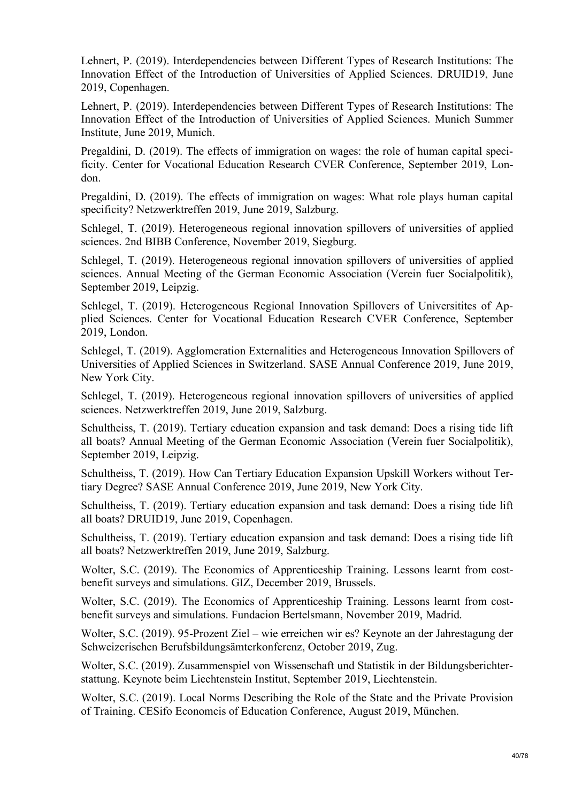Lehnert, P. (2019). Interdependencies between Different Types of Research Institutions: The Innovation Effect of the Introduction of Universities of Applied Sciences. DRUID19, June 2019, Copenhagen.

Lehnert, P. (2019). Interdependencies between Different Types of Research Institutions: The Innovation Effect of the Introduction of Universities of Applied Sciences. Munich Summer Institute, June 2019, Munich.

Pregaldini, D. (2019). The effects of immigration on wages: the role of human capital specificity. Center for Vocational Education Research CVER Conference, September 2019, London.

Pregaldini, D. (2019). The effects of immigration on wages: What role plays human capital specificity? Netzwerktreffen 2019, June 2019, Salzburg.

Schlegel, T. (2019). Heterogeneous regional innovation spillovers of universities of applied sciences. 2nd BIBB Conference, November 2019, Siegburg.

Schlegel, T. (2019). Heterogeneous regional innovation spillovers of universities of applied sciences. Annual Meeting of the German Economic Association (Verein fuer Socialpolitik), September 2019, Leipzig.

Schlegel, T. (2019). Heterogeneous Regional Innovation Spillovers of Universitites of Applied Sciences. Center for Vocational Education Research CVER Conference, September 2019, London.

Schlegel, T. (2019). Agglomeration Externalities and Heterogeneous Innovation Spillovers of Universities of Applied Sciences in Switzerland. SASE Annual Conference 2019, June 2019, New York City.

Schlegel, T. (2019). Heterogeneous regional innovation spillovers of universities of applied sciences. Netzwerktreffen 2019, June 2019, Salzburg.

Schultheiss, T. (2019). Tertiary education expansion and task demand: Does a rising tide lift all boats? Annual Meeting of the German Economic Association (Verein fuer Socialpolitik), September 2019, Leipzig.

Schultheiss, T. (2019). How Can Tertiary Education Expansion Upskill Workers without Tertiary Degree? SASE Annual Conference 2019, June 2019, New York City.

Schultheiss, T. (2019). Tertiary education expansion and task demand: Does a rising tide lift all boats? DRUID19, June 2019, Copenhagen.

Schultheiss, T. (2019). Tertiary education expansion and task demand: Does a rising tide lift all boats? Netzwerktreffen 2019, June 2019, Salzburg.

Wolter, S.C. (2019). The Economics of Apprenticeship Training. Lessons learnt from costbenefit surveys and simulations. GIZ, December 2019, Brussels.

Wolter, S.C. (2019). The Economics of Apprenticeship Training. Lessons learnt from costbenefit surveys and simulations. Fundacion Bertelsmann, November 2019, Madrid.

Wolter, S.C. (2019). 95-Prozent Ziel – wie erreichen wir es? Keynote an der Jahrestagung der Schweizerischen Berufsbildungsämterkonferenz, October 2019, Zug.

Wolter, S.C. (2019). Zusammenspiel von Wissenschaft und Statistik in der Bildungsberichterstattung. Keynote beim Liechtenstein Institut, September 2019, Liechtenstein.

Wolter, S.C. (2019). Local Norms Describing the Role of the State and the Private Provision of Training. CESifo Economcis of Education Conference, August 2019, München.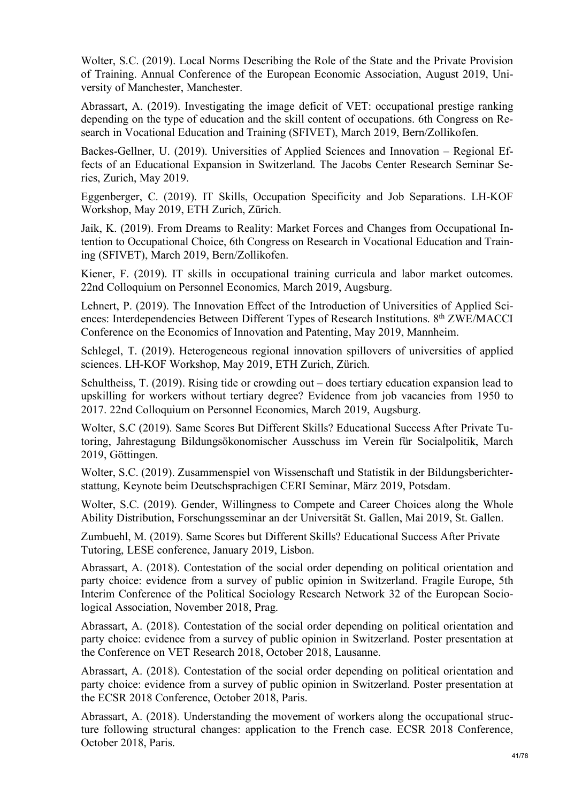Wolter, S.C. (2019). Local Norms Describing the Role of the State and the Private Provision of Training. Annual Conference of the European Economic Association, August 2019, University of Manchester, Manchester.

Abrassart, A. (2019). Investigating the image deficit of VET: occupational prestige ranking depending on the type of education and the skill content of occupations. 6th Congress on Research in Vocational Education and Training (SFIVET), March 2019, Bern/Zollikofen.

Backes-Gellner, U. (2019). Universities of Applied Sciences and Innovation – Regional Effects of an Educational Expansion in Switzerland. The Jacobs Center Research Seminar Series, Zurich, May 2019.

Eggenberger, C. (2019). IT Skills, Occupation Specificity and Job Separations. LH-KOF Workshop, May 2019, ETH Zurich, Zürich.

Jaik, K. (2019). From Dreams to Reality: Market Forces and Changes from Occupational Intention to Occupational Choice, 6th Congress on Research in Vocational Education and Training (SFIVET), March 2019, Bern/Zollikofen.

Kiener, F. (2019). IT skills in occupational training curricula and labor market outcomes. 22nd Colloquium on Personnel Economics, March 2019, Augsburg.

Lehnert, P. (2019). The Innovation Effect of the Introduction of Universities of Applied Sciences: Interdependencies Between Different Types of Research Institutions. 8<sup>th</sup> ZWE/MACCI Conference on the Economics of Innovation and Patenting, May 2019, Mannheim.

Schlegel, T. (2019). Heterogeneous regional innovation spillovers of universities of applied sciences. LH-KOF Workshop, May 2019, ETH Zurich, Zürich.

Schultheiss, T. (2019). Rising tide or crowding out – does tertiary education expansion lead to upskilling for workers without tertiary degree? Evidence from job vacancies from 1950 to 2017. 22nd Colloquium on Personnel Economics, March 2019, Augsburg.

Wolter, S.C (2019). Same Scores But Different Skills? Educational Success After Private Tutoring, Jahrestagung Bildungsökonomischer Ausschuss im Verein für Socialpolitik, March 2019, Göttingen.

Wolter, S.C. (2019). Zusammenspiel von Wissenschaft und Statistik in der Bildungsberichterstattung, Keynote beim Deutschsprachigen CERI Seminar, März 2019, Potsdam.

Wolter, S.C. (2019). Gender, Willingness to Compete and Career Choices along the Whole Ability Distribution, Forschungsseminar an der Universität St. Gallen, Mai 2019, St. Gallen.

Zumbuehl, M. (2019). Same Scores but Different Skills? Educational Success After Private Tutoring, LESE conference, January 2019, Lisbon.

Abrassart, A. (2018). Contestation of the social order depending on political orientation and party choice: evidence from a survey of public opinion in Switzerland. Fragile Europe, 5th Interim Conference of the Political Sociology Research Network 32 of the European Sociological Association, November 2018, Prag.

Abrassart, A. (2018). Contestation of the social order depending on political orientation and party choice: evidence from a survey of public opinion in Switzerland. Poster presentation at the Conference on VET Research 2018, October 2018, Lausanne.

Abrassart, A. (2018). Contestation of the social order depending on political orientation and party choice: evidence from a survey of public opinion in Switzerland. Poster presentation at the ECSR 2018 Conference, October 2018, Paris.

Abrassart, A. (2018). Understanding the movement of workers along the occupational structure following structural changes: application to the French case. ECSR 2018 Conference, October 2018, Paris.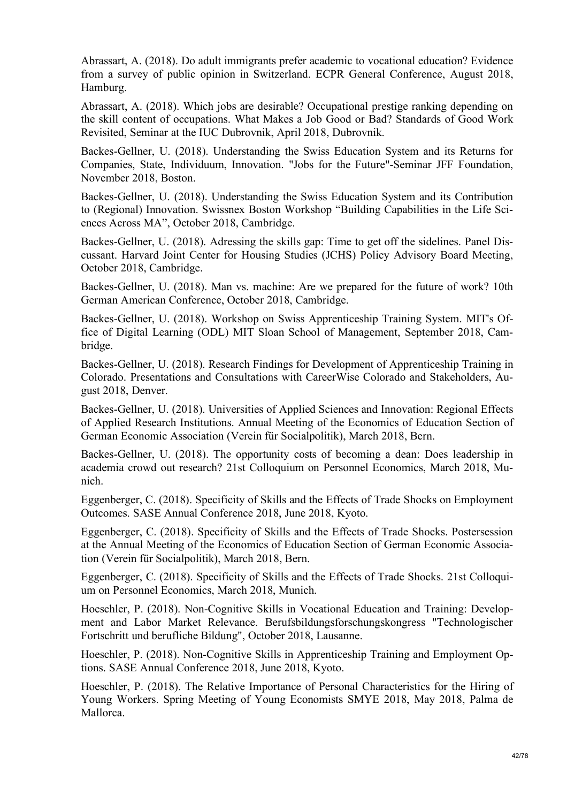Abrassart, A. (2018). Do adult immigrants prefer academic to vocational education? Evidence from a survey of public opinion in Switzerland. ECPR General Conference, August 2018, Hamburg.

Abrassart, A. (2018). Which jobs are desirable? Occupational prestige ranking depending on the skill content of occupations. What Makes a Job Good or Bad? Standards of Good Work Revisited, Seminar at the IUC Dubrovnik, April 2018, Dubrovnik.

Backes-Gellner, U. (2018). Understanding the Swiss Education System and its Returns for Companies, State, Individuum, Innovation. "Jobs for the Future"-Seminar JFF Foundation, November 2018, Boston.

Backes-Gellner, U. (2018). Understanding the Swiss Education System and its Contribution to (Regional) Innovation. Swissnex Boston Workshop "Building Capabilities in the Life Sciences Across MA", October 2018, Cambridge.

Backes-Gellner, U. (2018). Adressing the skills gap: Time to get off the sidelines. Panel Discussant. Harvard Joint Center for Housing Studies (JCHS) Policy Advisory Board Meeting, October 2018, Cambridge.

Backes-Gellner, U. (2018). Man vs. machine: Are we prepared for the future of work? 10th German American Conference, October 2018, Cambridge.

Backes-Gellner, U. (2018). Workshop on Swiss Apprenticeship Training System. MIT's Office of Digital Learning (ODL) MIT Sloan School of Management, September 2018, Cambridge.

Backes-Gellner, U. (2018). Research Findings for Development of Apprenticeship Training in Colorado. Presentations and Consultations with CareerWise Colorado and Stakeholders, August 2018, Denver.

Backes-Gellner, U. (2018). Universities of Applied Sciences and Innovation: Regional Effects of Applied Research Institutions. Annual Meeting of the Economics of Education Section of German Economic Association (Verein für Socialpolitik), March 2018, Bern.

Backes-Gellner, U. (2018). The opportunity costs of becoming a dean: Does leadership in academia crowd out research? 21st Colloquium on Personnel Economics, March 2018, Munich.

Eggenberger, C. (2018). Specificity of Skills and the Effects of Trade Shocks on Employment Outcomes. SASE Annual Conference 2018, June 2018, Kyoto.

Eggenberger, C. (2018). Specificity of Skills and the Effects of Trade Shocks. Postersession at the Annual Meeting of the Economics of Education Section of German Economic Association (Verein für Socialpolitik), March 2018, Bern.

Eggenberger, C. (2018). Specificity of Skills and the Effects of Trade Shocks. 21st Colloquium on Personnel Economics, March 2018, Munich.

Hoeschler, P. (2018). Non-Cognitive Skills in Vocational Education and Training: Development and Labor Market Relevance. Berufsbildungsforschungskongress "Technologischer Fortschritt und berufliche Bildung", October 2018, Lausanne.

Hoeschler, P. (2018). Non-Cognitive Skills in Apprenticeship Training and Employment Options. SASE Annual Conference 2018, June 2018, Kyoto.

Hoeschler, P. (2018). The Relative Importance of Personal Characteristics for the Hiring of Young Workers. Spring Meeting of Young Economists SMYE 2018, May 2018, Palma de Mallorca.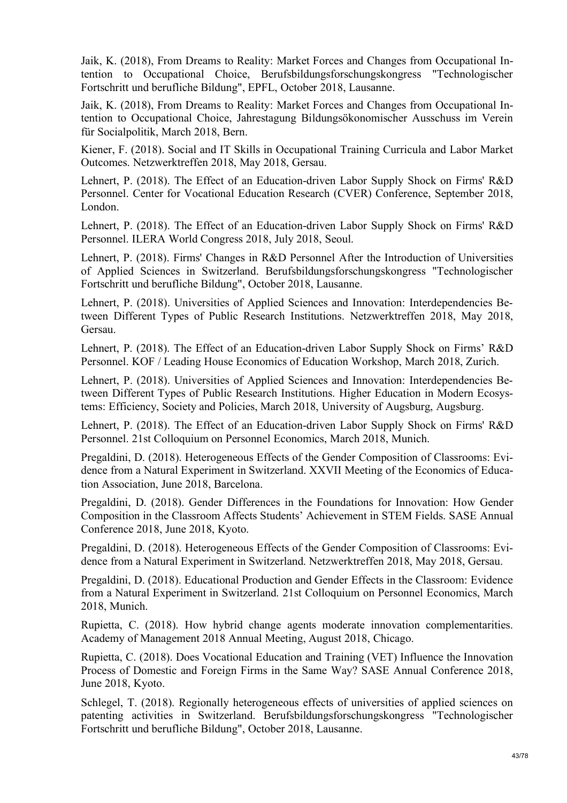Jaik, K. (2018), From Dreams to Reality: Market Forces and Changes from Occupational Intention to Occupational Choice, Berufsbildungsforschungskongress "Technologischer Fortschritt und berufliche Bildung", EPFL, October 2018, Lausanne.

Jaik, K. (2018), From Dreams to Reality: Market Forces and Changes from Occupational Intention to Occupational Choice, Jahrestagung Bildungsökonomischer Ausschuss im Verein für Socialpolitik, March 2018, Bern.

Kiener, F. (2018). Social and IT Skills in Occupational Training Curricula and Labor Market Outcomes. Netzwerktreffen 2018, May 2018, Gersau.

Lehnert, P. (2018). The Effect of an Education-driven Labor Supply Shock on Firms' R&D Personnel. Center for Vocational Education Research (CVER) Conference, September 2018, London.

Lehnert, P. (2018). The Effect of an Education-driven Labor Supply Shock on Firms' R&D Personnel. ILERA World Congress 2018, July 2018, Seoul.

Lehnert, P. (2018). Firms' Changes in R&D Personnel After the Introduction of Universities of Applied Sciences in Switzerland. Berufsbildungsforschungskongress "Technologischer Fortschritt und berufliche Bildung", October 2018, Lausanne.

Lehnert, P. (2018). Universities of Applied Sciences and Innovation: Interdependencies Between Different Types of Public Research Institutions. Netzwerktreffen 2018, May 2018, Gersau.

Lehnert, P. (2018). The Effect of an Education-driven Labor Supply Shock on Firms' R&D Personnel. KOF / Leading House Economics of Education Workshop, March 2018, Zurich.

Lehnert, P. (2018). Universities of Applied Sciences and Innovation: Interdependencies Between Different Types of Public Research Institutions. Higher Education in Modern Ecosystems: Efficiency, Society and Policies, March 2018, University of Augsburg, Augsburg.

Lehnert, P. (2018). The Effect of an Education-driven Labor Supply Shock on Firms' R&D Personnel. 21st Colloquium on Personnel Economics, March 2018, Munich.

Pregaldini, D. (2018). Heterogeneous Effects of the Gender Composition of Classrooms: Evidence from a Natural Experiment in Switzerland. XXVII Meeting of the Economics of Education Association, June 2018, Barcelona.

Pregaldini, D. (2018). Gender Differences in the Foundations for Innovation: How Gender Composition in the Classroom Affects Students' Achievement in STEM Fields. SASE Annual Conference 2018, June 2018, Kyoto.

Pregaldini, D. (2018). Heterogeneous Effects of the Gender Composition of Classrooms: Evidence from a Natural Experiment in Switzerland. Netzwerktreffen 2018, May 2018, Gersau.

Pregaldini, D. (2018). Educational Production and Gender Effects in the Classroom: Evidence from a Natural Experiment in Switzerland. 21st Colloquium on Personnel Economics, March 2018, Munich.

Rupietta, C. (2018). How hybrid change agents moderate innovation complementarities. Academy of Management 2018 Annual Meeting, August 2018, Chicago.

Rupietta, C. (2018). Does Vocational Education and Training (VET) Influence the Innovation Process of Domestic and Foreign Firms in the Same Way? SASE Annual Conference 2018, June 2018, Kyoto.

Schlegel, T. (2018). Regionally heterogeneous effects of universities of applied sciences on patenting activities in Switzerland. Berufsbildungsforschungskongress "Technologischer Fortschritt und berufliche Bildung", October 2018, Lausanne.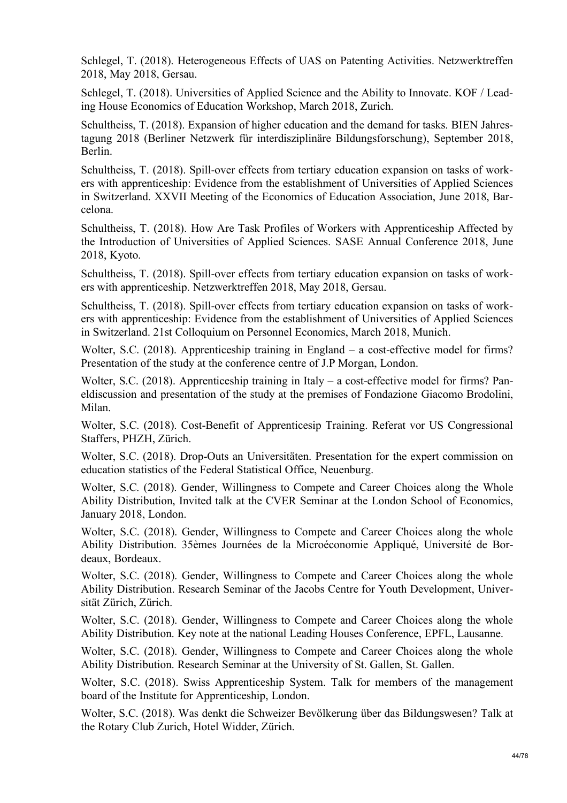Schlegel, T. (2018). Heterogeneous Effects of UAS on Patenting Activities. Netzwerktreffen 2018, May 2018, Gersau.

Schlegel, T. (2018). Universities of Applied Science and the Ability to Innovate. KOF / Leading House Economics of Education Workshop, March 2018, Zurich.

Schultheiss, T. (2018). Expansion of higher education and the demand for tasks. BIEN Jahrestagung 2018 (Berliner Netzwerk für interdisziplinäre Bildungsforschung), September 2018, Berlin.

Schultheiss, T. (2018). Spill-over effects from tertiary education expansion on tasks of workers with apprenticeship: Evidence from the establishment of Universities of Applied Sciences in Switzerland. XXVII Meeting of the Economics of Education Association, June 2018, Barcelona.

Schultheiss, T. (2018). How Are Task Profiles of Workers with Apprenticeship Affected by the Introduction of Universities of Applied Sciences. SASE Annual Conference 2018, June 2018, Kyoto.

Schultheiss, T. (2018). Spill-over effects from tertiary education expansion on tasks of workers with apprenticeship. Netzwerktreffen 2018, May 2018, Gersau.

Schultheiss, T. (2018). Spill-over effects from tertiary education expansion on tasks of workers with apprenticeship: Evidence from the establishment of Universities of Applied Sciences in Switzerland. 21st Colloquium on Personnel Economics, March 2018, Munich.

Wolter, S.C. (2018). Apprenticeship training in England – a cost-effective model for firms? Presentation of the study at the conference centre of J.P Morgan, London.

Wolter, S.C. (2018). Apprenticeship training in Italy – a cost-effective model for firms? Paneldiscussion and presentation of the study at the premises of Fondazione Giacomo Brodolini, Milan.

Wolter, S.C. (2018). Cost-Benefit of Apprenticesip Training. Referat vor US Congressional Staffers, PHZH, Zürich.

Wolter, S.C. (2018). Drop-Outs an Universitäten. Presentation for the expert commission on education statistics of the Federal Statistical Office, Neuenburg.

Wolter, S.C. (2018). Gender, Willingness to Compete and Career Choices along the Whole Ability Distribution, Invited talk at the CVER Seminar at the London School of Economics, January 2018, London.

Wolter, S.C. (2018). Gender, Willingness to Compete and Career Choices along the whole Ability Distribution. 35èmes Journées de la Microéconomie Appliqué, Université de Bordeaux, Bordeaux.

Wolter, S.C. (2018). Gender, Willingness to Compete and Career Choices along the whole Ability Distribution. Research Seminar of the Jacobs Centre for Youth Development, Universität Zürich, Zürich.

Wolter, S.C. (2018). Gender, Willingness to Compete and Career Choices along the whole Ability Distribution. Key note at the national Leading Houses Conference, EPFL, Lausanne.

Wolter, S.C. (2018). Gender, Willingness to Compete and Career Choices along the whole Ability Distribution. Research Seminar at the University of St. Gallen, St. Gallen.

Wolter, S.C. (2018). Swiss Apprenticeship System. Talk for members of the management board of the Institute for Apprenticeship, London.

Wolter, S.C. (2018). Was denkt die Schweizer Bevölkerung über das Bildungswesen? Talk at the Rotary Club Zurich, Hotel Widder, Zürich.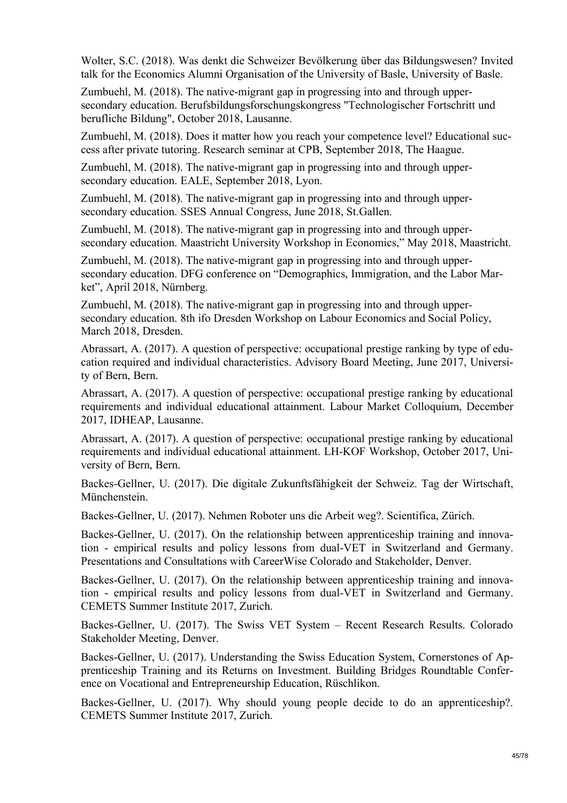Wolter, S.C. (2018). Was denkt die Schweizer Bevölkerung über das Bildungswesen? Invited talk for the Economics Alumni Organisation of the University of Basle, University of Basle.

Zumbuehl, M. (2018). The native-migrant gap in progressing into and through uppersecondary education. Berufsbildungsforschungskongress "Technologischer Fortschritt und berufliche Bildung", October 2018, Lausanne.

Zumbuehl, M. (2018). Does it matter how you reach your competence level? Educational success after private tutoring. Research seminar at CPB, September 2018, The Haague.

Zumbuehl, M. (2018). The native-migrant gap in progressing into and through uppersecondary education. EALE, September 2018, Lyon.

Zumbuehl, M. (2018). The native-migrant gap in progressing into and through uppersecondary education. SSES Annual Congress, June 2018, St.Gallen.

Zumbuehl, M. (2018). The native-migrant gap in progressing into and through uppersecondary education. Maastricht University Workshop in Economics," May 2018, Maastricht.

Zumbuehl, M. (2018). The native-migrant gap in progressing into and through uppersecondary education. DFG conference on "Demographics, Immigration, and the Labor Market", April 2018, Nürnberg.

Zumbuehl, M. (2018). The native-migrant gap in progressing into and through uppersecondary education. 8th ifo Dresden Workshop on Labour Economics and Social Policy, March 2018, Dresden.

Abrassart, A. (2017). A question of perspective: occupational prestige ranking by type of education required and individual characteristics. Advisory Board Meeting, June 2017, University of Bern, Bern.

Abrassart, A. (2017). A question of perspective: occupational prestige ranking by educational requirements and individual educational attainment. Labour Market Colloquium, December 2017, IDHEAP, Lausanne.

Abrassart, A. (2017). A question of perspective: occupational prestige ranking by educational requirements and individual educational attainment. LH-KOF Workshop, October 2017, University of Bern, Bern.

Backes-Gellner, U. (2017). Die digitale Zukunftsfähigkeit der Schweiz. Tag der Wirtschaft, Münchenstein.

Backes-Gellner, U. (2017). Nehmen Roboter uns die Arbeit weg?. Scientifica, Zürich.

Backes-Gellner, U. (2017). On the relationship between apprenticeship training and innovation - empirical results and policy lessons from dual-VET in Switzerland and Germany. Presentations and Consultations with CareerWise Colorado and Stakeholder, Denver.

Backes-Gellner, U. (2017). On the relationship between apprenticeship training and innovation - empirical results and policy lessons from dual-VET in Switzerland and Germany. CEMETS Summer Institute 2017, Zurich.

Backes-Gellner, U. (2017). The Swiss VET System – Recent Research Results. Colorado Stakeholder Meeting, Denver.

Backes-Gellner, U. (2017). Understanding the Swiss Education System, Cornerstones of Apprenticeship Training and its Returns on Investment. Building Bridges Roundtable Conference on Vocational and Entrepreneurship Education, Rüschlikon.

Backes-Gellner, U. (2017). Why should young people decide to do an apprenticeship?. CEMETS Summer Institute 2017, Zurich.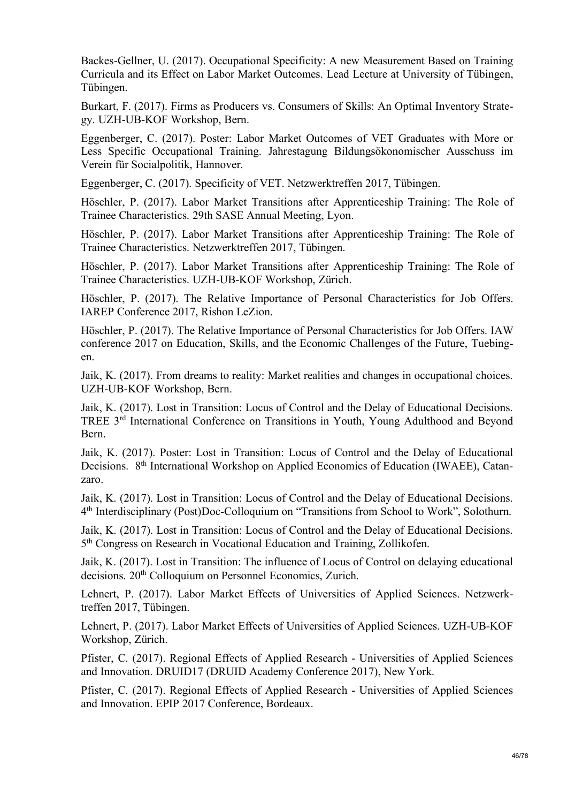Backes-Gellner, U. (2017). Occupational Specificity: A new Measurement Based on Training Curricula and its Effect on Labor Market Outcomes. Lead Lecture at University of Tübingen, Tübingen.

Burkart, F. (2017). Firms as Producers vs. Consumers of Skills: An Optimal Inventory Strategy. UZH-UB-KOF Workshop, Bern.

Eggenberger, C. (2017). Poster: Labor Market Outcomes of VET Graduates with More or Less Specific Occupational Training. Jahrestagung Bildungsökonomischer Ausschuss im Verein für Socialpolitik, Hannover.

Eggenberger, C. (2017). Specificity of VET. Netzwerktreffen 2017, Tübingen.

Höschler, P. (2017). Labor Market Transitions after Apprenticeship Training: The Role of Trainee Characteristics. 29th SASE Annual Meeting, Lyon.

Höschler, P. (2017). Labor Market Transitions after Apprenticeship Training: The Role of Trainee Characteristics. Netzwerktreffen 2017, Tübingen.

Höschler, P. (2017). Labor Market Transitions after Apprenticeship Training: The Role of Trainee Characteristics. UZH-UB-KOF Workshop, Zürich.

Höschler, P. (2017). The Relative Importance of Personal Characteristics for Job Offers. IAREP Conference 2017, Rishon LeZion.

Höschler, P. (2017). The Relative Importance of Personal Characteristics for Job Offers. IAW conference 2017 on Education, Skills, and the Economic Challenges of the Future, Tuebingen.

Jaik, K. (2017). From dreams to reality: Market realities and changes in occupational choices. UZH-UB-KOF Workshop, Bern.

Jaik, K. (2017). Lost in Transition: Locus of Control and the Delay of Educational Decisions. TREE 3rd International Conference on Transitions in Youth, Young Adulthood and Beyond Bern.

Jaik, K. (2017). Poster: Lost in Transition: Locus of Control and the Delay of Educational Decisions. 8<sup>th</sup> International Workshop on Applied Economics of Education (IWAEE), Catanzaro.

Jaik, K. (2017). Lost in Transition: Locus of Control and the Delay of Educational Decisions. 4th Interdisciplinary (Post)Doc-Colloquium on "Transitions from School to Work", Solothurn.

Jaik, K. (2017). Lost in Transition: Locus of Control and the Delay of Educational Decisions. 5th Congress on Research in Vocational Education and Training, Zollikofen.

Jaik, K. (2017). Lost in Transition: The influence of Locus of Control on delaying educational decisions. 20th Colloquium on Personnel Economics, Zurich.

Lehnert, P. (2017). Labor Market Effects of Universities of Applied Sciences. Netzwerktreffen 2017, Tübingen.

Lehnert, P. (2017). Labor Market Effects of Universities of Applied Sciences. UZH-UB-KOF Workshop, Zürich.

Pfister, C. (2017). Regional Effects of Applied Research - Universities of Applied Sciences and Innovation. DRUID17 (DRUID Academy Conference 2017), New York.

Pfister, C. (2017). Regional Effects of Applied Research - Universities of Applied Sciences and Innovation. EPIP 2017 Conference, Bordeaux.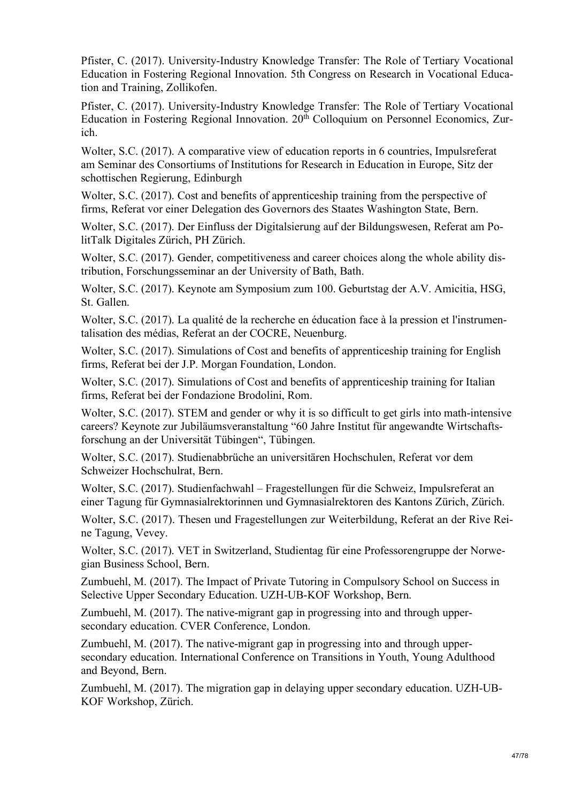Pfister, C. (2017). University-Industry Knowledge Transfer: The Role of Tertiary Vocational Education in Fostering Regional Innovation. 5th Congress on Research in Vocational Education and Training, Zollikofen.

Pfister, C. (2017). University-Industry Knowledge Transfer: The Role of Tertiary Vocational Education in Fostering Regional Innovation. 20<sup>th</sup> Colloquium on Personnel Economics, Zurich.

Wolter, S.C. (2017). A comparative view of education reports in 6 countries, Impulsreferat am Seminar des Consortiums of Institutions for Research in Education in Europe, Sitz der schottischen Regierung, Edinburgh

Wolter, S.C. (2017). Cost and benefits of apprentices hip training from the perspective of firms, Referat vor einer Delegation des Governors des Staates Washington State, Bern.

Wolter, S.C. (2017). Der Einfluss der Digitalsierung auf der Bildungswesen, Referat am PolitTalk Digitales Zürich, PH Zürich.

Wolter, S.C. (2017). Gender, competitiveness and career choices along the whole ability distribution, Forschungsseminar an der University of Bath, Bath.

Wolter, S.C. (2017). Keynote am Symposium zum 100. Geburtstag der A.V. Amicitia, HSG, St. Gallen.

Wolter, S.C. (2017). La qualité de la recherche en éducation face à la pression et l'instrumentalisation des médias, Referat an der COCRE, Neuenburg.

Wolter, S.C. (2017). Simulations of Cost and benefits of apprenticeship training for English firms, Referat bei der J.P. Morgan Foundation, London.

Wolter, S.C. (2017). Simulations of Cost and benefits of apprenticeship training for Italian firms, Referat bei der Fondazione Brodolini, Rom.

Wolter, S.C. (2017). STEM and gender or why it is so difficult to get girls into math-intensive careers? Keynote zur Jubiläumsveranstaltung "60 Jahre Institut für angewandte Wirtschaftsforschung an der Universität Tübingen", Tübingen.

Wolter, S.C. (2017). Studienabbrüche an universitären Hochschulen, Referat vor dem Schweizer Hochschulrat, Bern.

Wolter, S.C. (2017). Studienfachwahl – Fragestellungen für die Schweiz, Impulsreferat an einer Tagung für Gymnasialrektorinnen und Gymnasialrektoren des Kantons Zürich, Zürich.

Wolter, S.C. (2017). Thesen und Fragestellungen zur Weiterbildung, Referat an der Rive Reine Tagung, Vevey.

Wolter, S.C. (2017). VET in Switzerland, Studientag für eine Professorengruppe der Norwegian Business School, Bern.

Zumbuehl, M. (2017). The Impact of Private Tutoring in Compulsory School on Success in Selective Upper Secondary Education. UZH-UB-KOF Workshop, Bern.

Zumbuehl, M. (2017). The native-migrant gap in progressing into and through uppersecondary education. CVER Conference, London.

Zumbuehl, M. (2017). The native-migrant gap in progressing into and through uppersecondary education. International Conference on Transitions in Youth, Young Adulthood and Beyond, Bern.

Zumbuehl, M. (2017). The migration gap in delaying upper secondary education. UZH-UB-KOF Workshop, Zürich.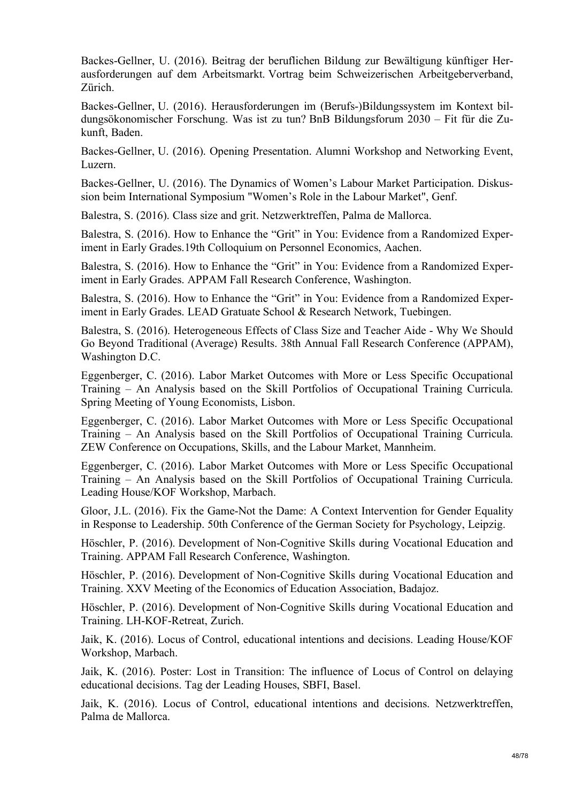Backes-Gellner, U. (2016). Beitrag der beruflichen Bildung zur Bewältigung künftiger Herausforderungen auf dem Arbeitsmarkt. Vortrag beim Schweizerischen Arbeitgeberverband, Zürich.

Backes-Gellner, U. (2016). Herausforderungen im (Berufs-)Bildungssystem im Kontext bildungsökonomischer Forschung. Was ist zu tun? BnB Bildungsforum 2030 – Fit für die Zukunft, Baden.

Backes-Gellner, U. (2016). Opening Presentation. Alumni Workshop and Networking Event, Luzern.

Backes-Gellner, U. (2016). The Dynamics of Women's Labour Market Participation. Diskussion beim International Symposium "Women's Role in the Labour Market", Genf.

Balestra, S. (2016). Class size and grit. Netzwerktreffen, Palma de Mallorca.

Balestra, S. (2016). How to Enhance the "Grit" in You: Evidence from a Randomized Experiment in Early Grades.19th Colloquium on Personnel Economics, Aachen.

Balestra, S. (2016). How to Enhance the "Grit" in You: Evidence from a Randomized Experiment in Early Grades. APPAM Fall Research Conference, Washington.

Balestra, S. (2016). How to Enhance the "Grit" in You: Evidence from a Randomized Experiment in Early Grades. LEAD Gratuate School & Research Network, Tuebingen.

Balestra, S. (2016). Heterogeneous Effects of Class Size and Teacher Aide - Why We Should Go Beyond Traditional (Average) Results. 38th Annual Fall Research Conference (APPAM), Washington D.C.

Eggenberger, C. (2016). Labor Market Outcomes with More or Less Specific Occupational Training – An Analysis based on the Skill Portfolios of Occupational Training Curricula. Spring Meeting of Young Economists, Lisbon.

Eggenberger, C. (2016). Labor Market Outcomes with More or Less Specific Occupational Training – An Analysis based on the Skill Portfolios of Occupational Training Curricula. ZEW Conference on Occupations, Skills, and the Labour Market, Mannheim.

Eggenberger, C. (2016). Labor Market Outcomes with More or Less Specific Occupational Training – An Analysis based on the Skill Portfolios of Occupational Training Curricula. Leading House/KOF Workshop, Marbach.

Gloor, J.L. (2016). Fix the Game-Not the Dame: A Context Intervention for Gender Equality in Response to Leadership. 50th Conference of the German Society for Psychology, Leipzig.

Höschler, P. (2016). Development of Non-Cognitive Skills during Vocational Education and Training. APPAM Fall Research Conference, Washington.

Höschler, P. (2016). Development of Non-Cognitive Skills during Vocational Education and Training. XXV Meeting of the Economics of Education Association, Badajoz.

Höschler, P. (2016). Development of Non-Cognitive Skills during Vocational Education and Training. LH-KOF-Retreat, Zurich.

Jaik, K. (2016). Locus of Control, educational intentions and decisions. Leading House/KOF Workshop, Marbach.

Jaik, K. (2016). Poster: Lost in Transition: The influence of Locus of Control on delaying educational decisions. Tag der Leading Houses, SBFI, Basel.

Jaik, K. (2016). Locus of Control, educational intentions and decisions. Netzwerktreffen, Palma de Mallorca.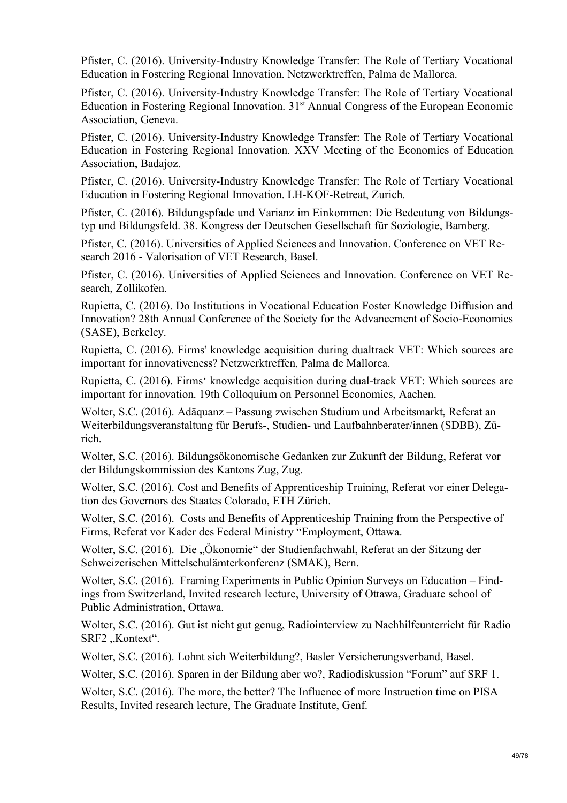Pfister, C. (2016). University-Industry Knowledge Transfer: The Role of Tertiary Vocational Education in Fostering Regional Innovation. Netzwerktreffen, Palma de Mallorca.

Pfister, C. (2016). University-Industry Knowledge Transfer: The Role of Tertiary Vocational Education in Fostering Regional Innovation. 31<sup>st</sup> Annual Congress of the European Economic Association, Geneva.

Pfister, C. (2016). University-Industry Knowledge Transfer: The Role of Tertiary Vocational Education in Fostering Regional Innovation. XXV Meeting of the Economics of Education Association, Badajoz.

Pfister, C. (2016). University-Industry Knowledge Transfer: The Role of Tertiary Vocational Education in Fostering Regional Innovation. LH-KOF-Retreat, Zurich.

Pfister, C. (2016). Bildungspfade und Varianz im Einkommen: Die Bedeutung von Bildungstyp und Bildungsfeld. 38. Kongress der Deutschen Gesellschaft für Soziologie, Bamberg.

Pfister, C. (2016). Universities of Applied Sciences and Innovation. Conference on VET Research 2016 - Valorisation of VET Research, Basel.

Pfister, C. (2016). Universities of Applied Sciences and Innovation. Conference on VET Research, Zollikofen.

Rupietta, C. (2016). Do Institutions in Vocational Education Foster Knowledge Diffusion and Innovation? 28th Annual Conference of the Society for the Advancement of Socio-Economics (SASE), Berkeley.

Rupietta, C. (2016). Firms' knowledge acquisition during dualtrack VET: Which sources are important for innovativeness? Netzwerktreffen, Palma de Mallorca.

Rupietta, C. (2016). Firms' knowledge acquisition during dual-track VET: Which sources are important for innovation. 19th Colloquium on Personnel Economics, Aachen.

Wolter, S.C. (2016). Adäquanz – Passung zwischen Studium und Arbeitsmarkt, Referat an Weiterbildungsveranstaltung für Berufs-, Studien- und Laufbahnberater/innen (SDBB), Zürich.

Wolter, S.C. (2016). Bildungsökonomische Gedanken zur Zukunft der Bildung, Referat vor der Bildungskommission des Kantons Zug, Zug.

Wolter, S.C. (2016). Cost and Benefits of Apprenticeship Training, Referat vor einer Delegation des Governors des Staates Colorado, ETH Zürich.

Wolter, S.C. (2016). Costs and Benefits of Apprenticeship Training from the Perspective of Firms, Referat vor Kader des Federal Ministry "Employment, Ottawa.

Wolter, S.C. (2016). Die "Ökonomie" der Studienfachwahl, Referat an der Sitzung der Schweizerischen Mittelschulämterkonferenz (SMAK), Bern.

Wolter, S.C. (2016). Framing Experiments in Public Opinion Surveys on Education – Findings from Switzerland, Invited research lecture, University of Ottawa, Graduate school of Public Administration, Ottawa.

Wolter, S.C. (2016). Gut ist nicht gut genug, Radiointerview zu Nachhilfeunterricht für Radio SRF2 "Kontext".

Wolter, S.C. (2016). Lohnt sich Weiterbildung?, Basler Versicherungsverband, Basel.

Wolter, S.C. (2016). Sparen in der Bildung aber wo?, Radiodiskussion "Forum" auf SRF 1.

Wolter, S.C. (2016). The more, the better? The Influence of more Instruction time on PISA Results, Invited research lecture, The Graduate Institute, Genf.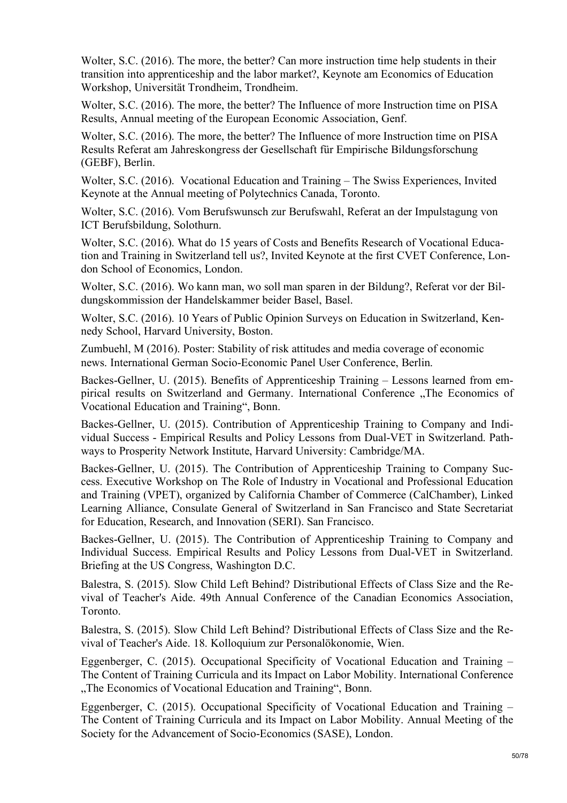Wolter, S.C. (2016). The more, the better? Can more instruction time help students in their transition into apprenticeship and the labor market?, Keynote am Economics of Education Workshop, Universität Trondheim, Trondheim.

Wolter, S.C. (2016). The more, the better? The Influence of more Instruction time on PISA Results, Annual meeting of the European Economic Association, Genf.

Wolter, S.C. (2016). The more, the better? The Influence of more Instruction time on PISA Results Referat am Jahreskongress der Gesellschaft für Empirische Bildungsforschung (GEBF), Berlin.

Wolter, S.C. (2016). Vocational Education and Training – The Swiss Experiences, Invited Keynote at the Annual meeting of Polytechnics Canada, Toronto.

Wolter, S.C. (2016). Vom Berufswunsch zur Berufswahl, Referat an der Impulstagung von ICT Berufsbildung, Solothurn.

Wolter, S.C. (2016). What do 15 years of Costs and Benefits Research of Vocational Education and Training in Switzerland tell us?, Invited Keynote at the first CVET Conference, London School of Economics, London.

Wolter, S.C. (2016). Wo kann man, wo soll man sparen in der Bildung?, Referat vor der Bildungskommission der Handelskammer beider Basel, Basel.

Wolter, S.C. (2016). 10 Years of Public Opinion Surveys on Education in Switzerland, Kennedy School, Harvard University, Boston.

Zumbuehl, M (2016). Poster: Stability of risk attitudes and media coverage of economic news. International German Socio-Economic Panel User Conference, Berlin.

Backes-Gellner, U. (2015). Benefits of Apprenticeship Training – Lessons learned from empirical results on Switzerland and Germany. International Conference ..The Economics of Vocational Education and Training", Bonn.

Backes-Gellner, U. (2015). Contribution of Apprenticeship Training to Company and Individual Success - Empirical Results and Policy Lessons from Dual-VET in Switzerland. Pathways to Prosperity Network Institute, Harvard University: Cambridge/MA.

Backes-Gellner, U. (2015). The Contribution of Apprenticeship Training to Company Success. Executive Workshop on The Role of Industry in Vocational and Professional Education and Training (VPET), organized by California Chamber of Commerce (CalChamber), Linked Learning Alliance, Consulate General of Switzerland in San Francisco and State Secretariat for Education, Research, and Innovation (SERI). San Francisco.

Backes-Gellner, U. (2015). The Contribution of Apprenticeship Training to Company and Individual Success. Empirical Results and Policy Lessons from Dual-VET in Switzerland. Briefing at the US Congress, Washington D.C.

Balestra, S. (2015). Slow Child Left Behind? Distributional Effects of Class Size and the Revival of Teacher's Aide. 49th Annual Conference of the Canadian Economics Association, Toronto.

Balestra, S. (2015). Slow Child Left Behind? Distributional Effects of Class Size and the Revival of Teacher's Aide. 18. Kolloquium zur Personalökonomie, Wien.

Eggenberger, C. (2015). Occupational Specificity of Vocational Education and Training – The Content of Training Curricula and its Impact on Labor Mobility. International Conference "The Economics of Vocational Education and Training", Bonn.

Eggenberger, C. (2015). Occupational Specificity of Vocational Education and Training – The Content of Training Curricula and its Impact on Labor Mobility. Annual Meeting of the Society for the Advancement of Socio-Economics (SASE), London.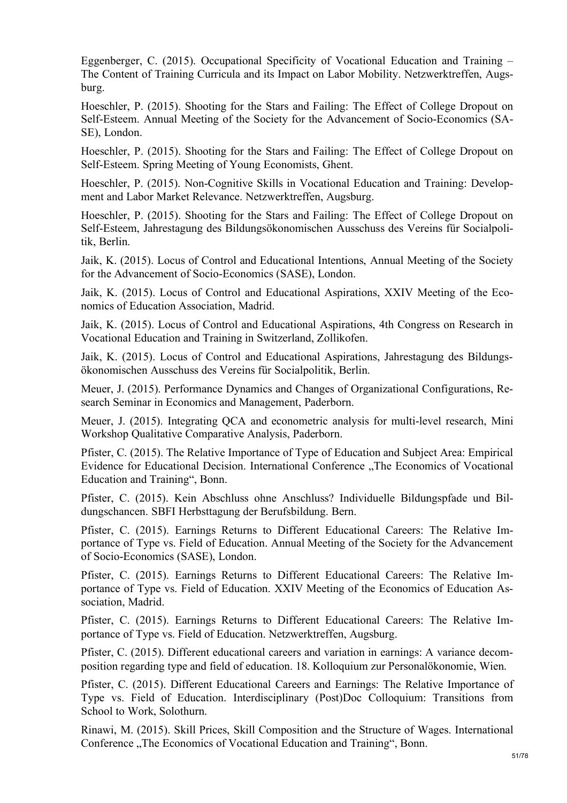Eggenberger, C. (2015). Occupational Specificity of Vocational Education and Training – The Content of Training Curricula and its Impact on Labor Mobility. Netzwerktreffen, Augsburg.

Hoeschler, P. (2015). Shooting for the Stars and Failing: The Effect of College Dropout on Self-Esteem. Annual Meeting of the Society for the Advancement of Socio-Economics (SA-SE), London.

Hoeschler, P. (2015). Shooting for the Stars and Failing: The Effect of College Dropout on Self-Esteem. Spring Meeting of Young Economists, Ghent.

Hoeschler, P. (2015). Non-Cognitive Skills in Vocational Education and Training: Development and Labor Market Relevance. Netzwerktreffen, Augsburg.

Hoeschler, P. (2015). Shooting for the Stars and Failing: The Effect of College Dropout on Self-Esteem, Jahrestagung des Bildungsökonomischen Ausschuss des Vereins für Socialpolitik, Berlin.

Jaik, K. (2015). Locus of Control and Educational Intentions, Annual Meeting of the Society for the Advancement of Socio-Economics (SASE), London.

Jaik, K. (2015). Locus of Control and Educational Aspirations, XXIV Meeting of the Economics of Education Association, Madrid.

Jaik, K. (2015). Locus of Control and Educational Aspirations, 4th Congress on Research in Vocational Education and Training in Switzerland, Zollikofen.

Jaik, K. (2015). Locus of Control and Educational Aspirations, Jahrestagung des Bildungsökonomischen Ausschuss des Vereins für Socialpolitik, Berlin.

Meuer, J. (2015). Performance Dynamics and Changes of Organizational Configurations, Research Seminar in Economics and Management, Paderborn.

Meuer, J. (2015). Integrating QCA and econometric analysis for multi-level research, Mini Workshop Qualitative Comparative Analysis, Paderborn.

Pfister, C. (2015). The Relative Importance of Type of Education and Subject Area: Empirical Evidence for Educational Decision. International Conference "The Economics of Vocational Education and Training", Bonn.

Pfister, C. (2015). Kein Abschluss ohne Anschluss? Individuelle Bildungspfade und Bildungschancen. SBFI Herbsttagung der Berufsbildung. Bern.

Pfister, C. (2015). Earnings Returns to Different Educational Careers: The Relative Importance of Type vs. Field of Education. Annual Meeting of the Society for the Advancement of Socio-Economics (SASE), London.

Pfister, C. (2015). Earnings Returns to Different Educational Careers: The Relative Importance of Type vs. Field of Education. XXIV Meeting of the Economics of Education Association, Madrid.

Pfister, C. (2015). Earnings Returns to Different Educational Careers: The Relative Importance of Type vs. Field of Education. Netzwerktreffen, Augsburg.

Pfister, C. (2015). Different educational careers and variation in earnings: A variance decomposition regarding type and field of education. 18. Kolloquium zur Personalökonomie, Wien.

Pfister, C. (2015). Different Educational Careers and Earnings: The Relative Importance of Type vs. Field of Education. Interdisciplinary (Post)Doc Colloquium: Transitions from School to Work, Solothurn.

Rinawi, M. (2015). Skill Prices, Skill Composition and the Structure of Wages. International Conference "The Economics of Vocational Education and Training", Bonn.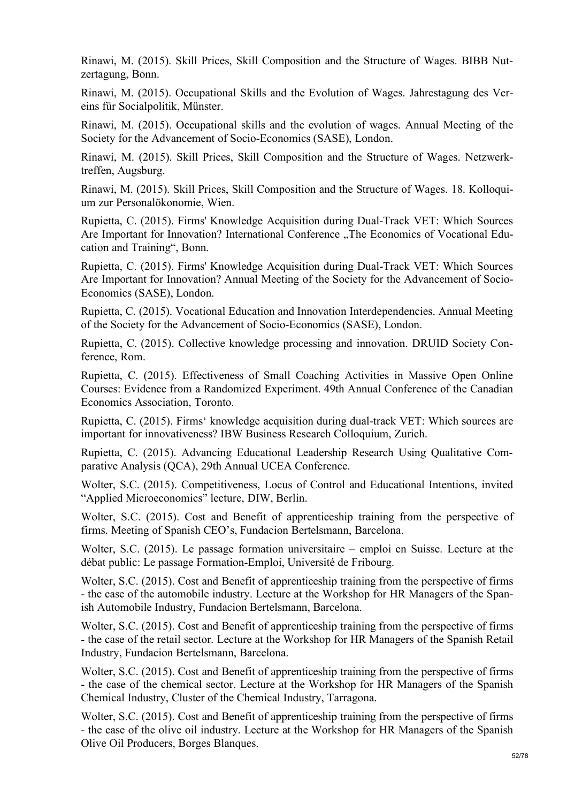Rinawi, M. (2015). Skill Prices, Skill Composition and the Structure of Wages. BIBB Nutzertagung, Bonn.

Rinawi, M. (2015). Occupational Skills and the Evolution of Wages. Jahrestagung des Vereins für Socialpolitik, Münster.

Rinawi, M. (2015). Occupational skills and the evolution of wages. Annual Meeting of the Society for the Advancement of Socio-Economics (SASE), London.

Rinawi, M. (2015). Skill Prices, Skill Composition and the Structure of Wages. Netzwerktreffen, Augsburg.

Rinawi, M. (2015). Skill Prices, Skill Composition and the Structure of Wages. 18. Kolloquium zur Personalökonomie, Wien.

Rupietta, C. (2015). Firms' Knowledge Acquisition during Dual-Track VET: Which Sources Are Important for Innovation? International Conference "The Economics of Vocational Education and Training", Bonn.

Rupietta, C. (2015). Firms' Knowledge Acquisition during Dual-Track VET: Which Sources Are Important for Innovation? Annual Meeting of the Society for the Advancement of Socio-Economics (SASE), London.

Rupietta, C. (2015). Vocational Education and Innovation Interdependencies. Annual Meeting of the Society for the Advancement of Socio-Economics (SASE), London.

Rupietta, C. (2015). Collective knowledge processing and innovation. DRUID Society Conference, Rom.

Rupietta, C. (2015). Effectiveness of Small Coaching Activities in Massive Open Online Courses: Evidence from a Randomized Experiment. 49th Annual Conference of the Canadian Economics Association, Toronto.

Rupietta, C. (2015). Firms' knowledge acquisition during dual-track VET: Which sources are important for innovativeness? IBW Business Research Colloquium, Zurich.

Rupietta, C. (2015). Advancing Educational Leadership Research Using Qualitative Comparative Analysis (QCA), 29th Annual UCEA Conference.

Wolter, S.C. (2015). Competitiveness, Locus of Control and Educational Intentions, invited "Applied Microeconomics" lecture, DIW, Berlin.

Wolter, S.C. (2015). Cost and Benefit of apprenticeship training from the perspective of firms. Meeting of Spanish CEO's, Fundacion Bertelsmann, Barcelona.

Wolter, S.C. (2015). Le passage formation universitaire – emploi en Suisse. Lecture at the débat public: Le passage Formation-Emploi, Université de Fribourg.

Wolter, S.C. (2015). Cost and Benefit of apprenticeship training from the perspective of firms - the case of the automobile industry. Lecture at the Workshop for HR Managers of the Spanish Automobile Industry, Fundacion Bertelsmann, Barcelona.

Wolter, S.C. (2015). Cost and Benefit of apprenticeship training from the perspective of firms - the case of the retail sector. Lecture at the Workshop for HR Managers of the Spanish Retail Industry, Fundacion Bertelsmann, Barcelona.

Wolter, S.C. (2015). Cost and Benefit of apprenticeship training from the perspective of firms - the case of the chemical sector. Lecture at the Workshop for HR Managers of the Spanish Chemical Industry, Cluster of the Chemical Industry, Tarragona.

Wolter, S.C. (2015). Cost and Benefit of apprenticeship training from the perspective of firms - the case of the olive oil industry. Lecture at the Workshop for HR Managers of the Spanish Olive Oil Producers, Borges Blanques.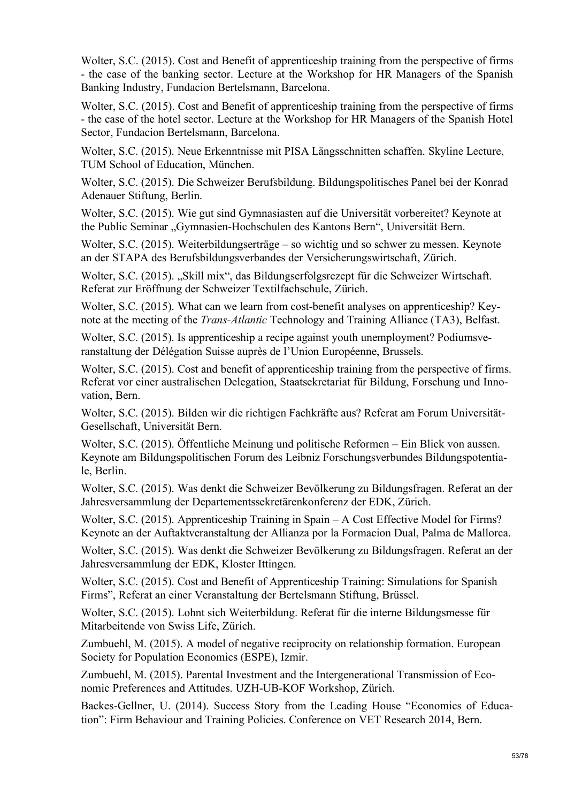Wolter, S.C. (2015). Cost and Benefit of apprenticeship training from the perspective of firms - the case of the banking sector. Lecture at the Workshop for HR Managers of the Spanish Banking Industry, Fundacion Bertelsmann, Barcelona.

Wolter, S.C. (2015). Cost and Benefit of apprenticeship training from the perspective of firms - the case of the hotel sector. Lecture at the Workshop for HR Managers of the Spanish Hotel Sector, Fundacion Bertelsmann, Barcelona.

Wolter, S.C. (2015). Neue Erkenntnisse mit PISA Längsschnitten schaffen. Skyline Lecture, TUM School of Education, München.

Wolter, S.C. (2015). Die Schweizer Berufsbildung. Bildungspolitisches Panel bei der Konrad Adenauer Stiftung, Berlin.

Wolter, S.C. (2015). Wie gut sind Gymnasiasten auf die Universität vorbereitet? Keynote at the Public Seminar "Gymnasien-Hochschulen des Kantons Bern", Universität Bern.

Wolter, S.C. (2015). Weiterbildungserträge – so wichtig und so schwer zu messen. Keynote an der STAPA des Berufsbildungsverbandes der Versicherungswirtschaft, Zürich.

Wolter, S.C. (2015). "Skill mix", das Bildungserfolgsrezept für die Schweizer Wirtschaft. Referat zur Eröffnung der Schweizer Textilfachschule, Zürich.

Wolter, S.C. (2015). What can we learn from cost-benefit analyses on apprenticeship? Keynote at the meeting of the *Trans-Atlantic* Technology and Training Alliance (TA3), Belfast.

Wolter, S.C. (2015). Is apprenticeship a recipe against youth unemployment? Podiumsveranstaltung der Délégation Suisse auprès de l'Union Européenne, Brussels.

Wolter, S.C. (2015). Cost and benefit of apprenticeship training from the perspective of firms. Referat vor einer australischen Delegation, Staatsekretariat für Bildung, Forschung und Innovation, Bern.

Wolter, S.C. (2015). Bilden wir die richtigen Fachkräfte aus? Referat am Forum Universität-Gesellschaft, Universität Bern.

Wolter, S.C. (2015). Öffentliche Meinung und politische Reformen – Ein Blick von aussen. Keynote am Bildungspolitischen Forum des Leibniz Forschungsverbundes Bildungspotentiale, Berlin.

Wolter, S.C. (2015). Was denkt die Schweizer Bevölkerung zu Bildungsfragen. Referat an der Jahresversammlung der Departementssekretärenkonferenz der EDK, Zürich.

Wolter, S.C. (2015). Apprenticeship Training in Spain – A Cost Effective Model for Firms? Keynote an der Auftaktveranstaltung der Allianza por la Formacion Dual, Palma de Mallorca.

Wolter, S.C. (2015). Was denkt die Schweizer Bevölkerung zu Bildungsfragen. Referat an der Jahresversammlung der EDK, Kloster Ittingen.

Wolter, S.C. (2015). Cost and Benefit of Apprenticeship Training: Simulations for Spanish Firms", Referat an einer Veranstaltung der Bertelsmann Stiftung, Brüssel.

Wolter, S.C. (2015). Lohnt sich Weiterbildung. Referat für die interne Bildungsmesse für Mitarbeitende von Swiss Life, Zürich.

Zumbuehl, M. (2015). A model of negative reciprocity on relationship formation. European Society for Population Economics (ESPE), Izmir.

Zumbuehl, M. (2015). Parental Investment and the Intergenerational Transmission of Economic Preferences and Attitudes. UZH-UB-KOF Workshop, Zürich.

Backes-Gellner, U. (2014). Success Story from the Leading House "Economics of Education": Firm Behaviour and Training Policies. Conference on VET Research 2014, Bern.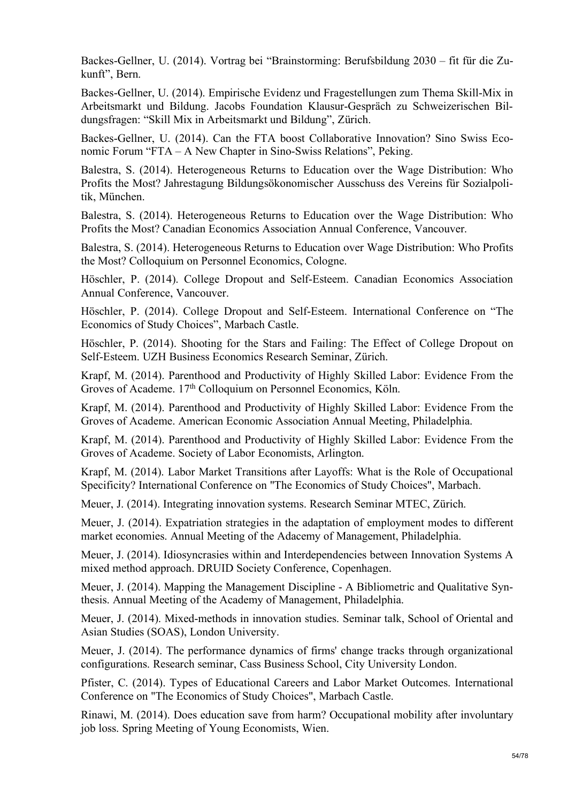Backes-Gellner, U. (2014). Vortrag bei "Brainstorming: Berufsbildung 2030 – fit für die Zukunft", Bern.

Backes-Gellner, U. (2014). Empirische Evidenz und Fragestellungen zum Thema Skill-Mix in Arbeitsmarkt und Bildung. Jacobs Foundation Klausur-Gespräch zu Schweizerischen Bildungsfragen: "Skill Mix in Arbeitsmarkt und Bildung", Zürich.

Backes-Gellner, U. (2014). Can the FTA boost Collaborative Innovation? Sino Swiss Economic Forum "FTA – A New Chapter in Sino-Swiss Relations", Peking.

Balestra, S. (2014). Heterogeneous Returns to Education over the Wage Distribution: Who Profits the Most? Jahrestagung Bildungsökonomischer Ausschuss des Vereins für Sozialpolitik, München.

Balestra, S. (2014). Heterogeneous Returns to Education over the Wage Distribution: Who Profits the Most? Canadian Economics Association Annual Conference, Vancouver.

Balestra, S. (2014). Heterogeneous Returns to Education over Wage Distribution: Who Profits the Most? Colloquium on Personnel Economics, Cologne.

Höschler, P. (2014). College Dropout and Self-Esteem. Canadian Economics Association Annual Conference, Vancouver.

Höschler, P. (2014). College Dropout and Self-Esteem. International Conference on "The Economics of Study Choices", Marbach Castle.

Höschler, P. (2014). Shooting for the Stars and Failing: The Effect of College Dropout on Self-Esteem. UZH Business Economics Research Seminar, Zürich.

Krapf, M. (2014). Parenthood and Productivity of Highly Skilled Labor: Evidence From the Groves of Academe. 17<sup>th</sup> Colloquium on Personnel Economics, Köln.

Krapf, M. (2014). Parenthood and Productivity of Highly Skilled Labor: Evidence From the Groves of Academe. American Economic Association Annual Meeting, Philadelphia.

Krapf, M. (2014). Parenthood and Productivity of Highly Skilled Labor: Evidence From the Groves of Academe. Society of Labor Economists, Arlington.

Krapf, M. (2014). Labor Market Transitions after Layoffs: What is the Role of Occupational Specificity? International Conference on "The Economics of Study Choices", Marbach.

Meuer, J. (2014). Integrating innovation systems. Research Seminar MTEC, Zürich.

Meuer, J. (2014). Expatriation strategies in the adaptation of employment modes to different market economies. Annual Meeting of the Adacemy of Management, Philadelphia.

Meuer, J. (2014). Idiosyncrasies within and Interdependencies between Innovation Systems A mixed method approach. DRUID Society Conference, Copenhagen.

Meuer, J. (2014). Mapping the Management Discipline - A Bibliometric and Qualitative Synthesis. Annual Meeting of the Academy of Management, Philadelphia.

Meuer, J. (2014). Mixed-methods in innovation studies. Seminar talk, School of Oriental and Asian Studies (SOAS), London University.

Meuer, J. (2014). The performance dynamics of firms' change tracks through organizational configurations. Research seminar, Cass Business School, City University London.

Pfister, C. (2014). Types of Educational Careers and Labor Market Outcomes. International Conference on "The Economics of Study Choices", Marbach Castle.

Rinawi, M. (2014). Does education save from harm? Occupational mobility after involuntary job loss. Spring Meeting of Young Economists, Wien.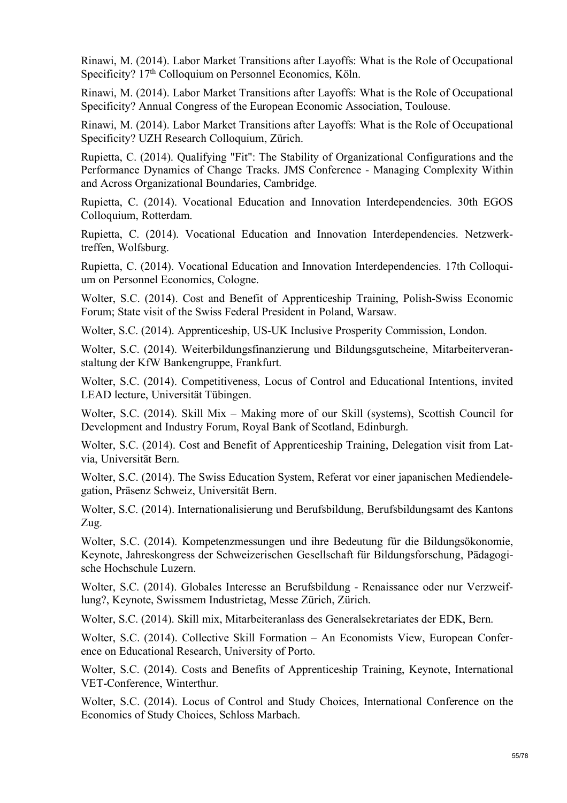Rinawi, M. (2014). Labor Market Transitions after Layoffs: What is the Role of Occupational Specificity? 17<sup>th</sup> Colloquium on Personnel Economics, Köln.

Rinawi, M. (2014). Labor Market Transitions after Layoffs: What is the Role of Occupational Specificity? Annual Congress of the European Economic Association, Toulouse.

Rinawi, M. (2014). Labor Market Transitions after Layoffs: What is the Role of Occupational Specificity? UZH Research Colloquium, Zürich.

Rupietta, C. (2014). Qualifying "Fit": The Stability of Organizational Configurations and the Performance Dynamics of Change Tracks. JMS Conference - Managing Complexity Within and Across Organizational Boundaries, Cambridge.

Rupietta, C. (2014). Vocational Education and Innovation Interdependencies. 30th EGOS Colloquium, Rotterdam.

Rupietta, C. (2014). Vocational Education and Innovation Interdependencies. Netzwerktreffen, Wolfsburg.

Rupietta, C. (2014). Vocational Education and Innovation Interdependencies. 17th Colloquium on Personnel Economics, Cologne.

Wolter, S.C. (2014). Cost and Benefit of Apprenticeship Training, Polish-Swiss Economic Forum; State visit of the Swiss Federal President in Poland, Warsaw.

Wolter, S.C. (2014). Apprenticeship, US-UK Inclusive Prosperity Commission, London.

Wolter, S.C. (2014). Weiterbildungsfinanzierung und Bildungsgutscheine, Mitarbeiterveranstaltung der KfW Bankengruppe, Frankfurt.

Wolter, S.C. (2014). Competitiveness, Locus of Control and Educational Intentions, invited LEAD lecture, Universität Tübingen.

Wolter, S.C. (2014). Skill Mix – Making more of our Skill (systems), Scottish Council for Development and Industry Forum, Royal Bank of Scotland, Edinburgh.

Wolter, S.C. (2014). Cost and Benefit of Apprenticeship Training, Delegation visit from Latvia, Universität Bern.

Wolter, S.C. (2014). The Swiss Education System, Referat vor einer japanischen Mediendelegation, Präsenz Schweiz, Universität Bern.

Wolter, S.C. (2014). Internationalisierung und Berufsbildung, Berufsbildungsamt des Kantons Zug.

Wolter, S.C. (2014). Kompetenzmessungen und ihre Bedeutung für die Bildungsökonomie, Keynote, Jahreskongress der Schweizerischen Gesellschaft für Bildungsforschung, Pädagogische Hochschule Luzern.

Wolter, S.C. (2014). Globales Interesse an Berufsbildung - Renaissance oder nur Verzweiflung?, Keynote, Swissmem Industrietag, Messe Zürich, Zürich.

Wolter, S.C. (2014). Skill mix, Mitarbeiteranlass des Generalsekretariates der EDK, Bern.

Wolter, S.C. (2014). Collective Skill Formation – An Economists View, European Conference on Educational Research, University of Porto.

Wolter, S.C. (2014). Costs and Benefits of Apprenticeship Training, Keynote, International VET-Conference, Winterthur.

Wolter, S.C. (2014). Locus of Control and Study Choices, International Conference on the Economics of Study Choices, Schloss Marbach.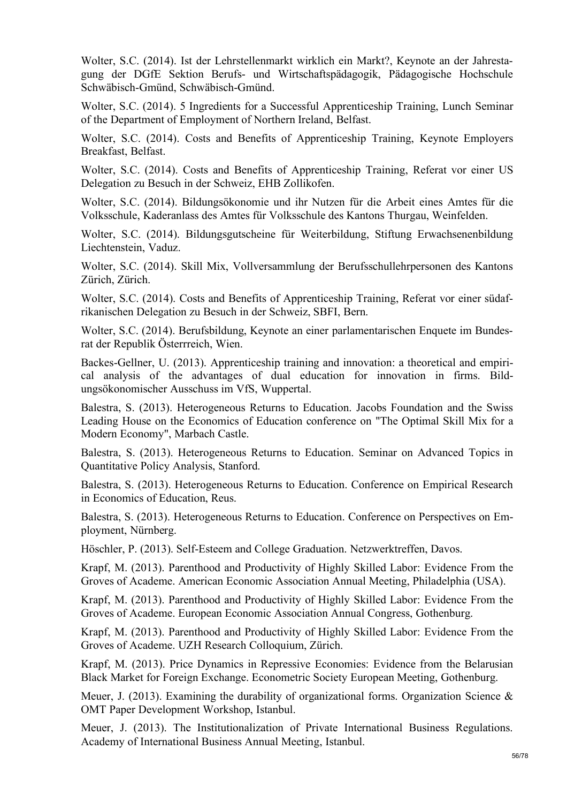Wolter, S.C. (2014). Ist der Lehrstellenmarkt wirklich ein Markt?, Keynote an der Jahrestagung der DGfE Sektion Berufs- und Wirtschaftspädagogik, Pädagogische Hochschule Schwäbisch-Gmünd, Schwäbisch-Gmünd.

Wolter, S.C. (2014). 5 Ingredients for a Successful Apprenticeship Training, Lunch Seminar of the Department of Employment of Northern Ireland, Belfast.

Wolter, S.C. (2014). Costs and Benefits of Apprenticeship Training, Keynote Employers Breakfast, Belfast.

Wolter, S.C. (2014). Costs and Benefits of Apprenticeship Training, Referat vor einer US Delegation zu Besuch in der Schweiz, EHB Zollikofen.

Wolter, S.C. (2014). Bildungsökonomie und ihr Nutzen für die Arbeit eines Amtes für die Volksschule, Kaderanlass des Amtes für Volksschule des Kantons Thurgau, Weinfelden.

Wolter, S.C. (2014). Bildungsgutscheine für Weiterbildung, Stiftung Erwachsenenbildung Liechtenstein, Vaduz.

Wolter, S.C. (2014). Skill Mix, Vollversammlung der Berufsschullehrpersonen des Kantons Zürich, Zürich.

Wolter, S.C. (2014). Costs and Benefits of Apprenticeship Training, Referat vor einer südafrikanischen Delegation zu Besuch in der Schweiz, SBFI, Bern.

Wolter, S.C. (2014). Berufsbildung, Keynote an einer parlamentarischen Enquete im Bundesrat der Republik Österrreich, Wien.

Backes-Gellner, U. (2013). Apprenticeship training and innovation: a theoretical and empirical analysis of the advantages of dual education for innovation in firms. Bildungsökonomischer Ausschuss im VfS, Wuppertal.

Balestra, S. (2013). Heterogeneous Returns to Education. Jacobs Foundation and the Swiss Leading House on the Economics of Education conference on "The Optimal Skill Mix for a Modern Economy", Marbach Castle.

Balestra, S. (2013). Heterogeneous Returns to Education. Seminar on Advanced Topics in Quantitative Policy Analysis, Stanford.

Balestra, S. (2013). Heterogeneous Returns to Education. Conference on Empirical Research in Economics of Education, Reus.

Balestra, S. (2013). Heterogeneous Returns to Education. Conference on Perspectives on Employment, Nürnberg.

Höschler, P. (2013). Self-Esteem and College Graduation. Netzwerktreffen, Davos.

Krapf, M. (2013). Parenthood and Productivity of Highly Skilled Labor: Evidence From the Groves of Academe. American Economic Association Annual Meeting, Philadelphia (USA).

Krapf, M. (2013). Parenthood and Productivity of Highly Skilled Labor: Evidence From the Groves of Academe. European Economic Association Annual Congress, Gothenburg.

Krapf, M. (2013). Parenthood and Productivity of Highly Skilled Labor: Evidence From the Groves of Academe. UZH Research Colloquium, Zürich.

Krapf, M. (2013). Price Dynamics in Repressive Economies: Evidence from the Belarusian Black Market for Foreign Exchange. Econometric Society European Meeting, Gothenburg.

Meuer, J. (2013). Examining the durability of organizational forms. Organization Science  $\&$ OMT Paper Development Workshop, Istanbul.

Meuer, J. (2013). The Institutionalization of Private International Business Regulations. Academy of International Business Annual Meeting, Istanbul.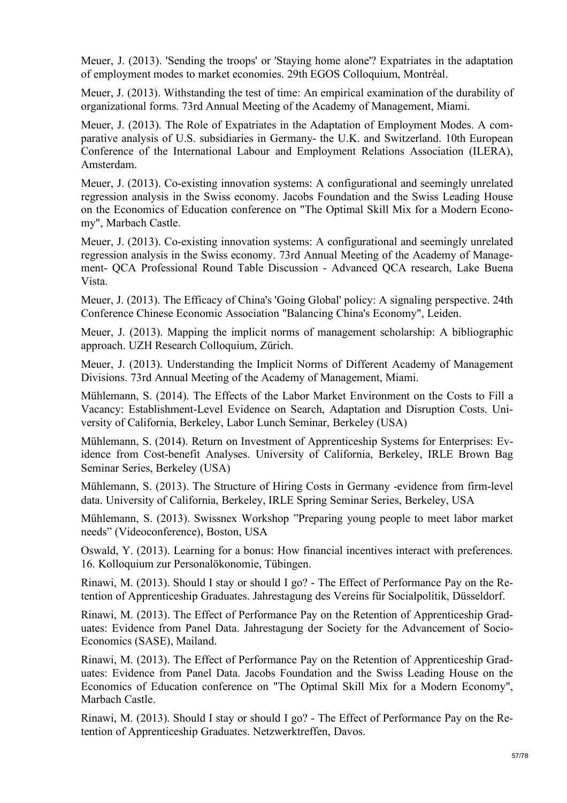Meuer, J. (2013). 'Sending the troops' or 'Staying home alone'? Expatriates in the adaptation of employment modes to market economies. 29th EGOS Colloquium, Montréal.

Meuer, J. (2013). Withstanding the test of time: An empirical examination of the durability of organizational forms. 73rd Annual Meeting of the Academy of Management, Miami.

Meuer, J. (2013). The Role of Expatriates in the Adaptation of Employment Modes. A comparative analysis of U.S. subsidiaries in Germany- the U.K. and Switzerland. 10th European Conference of the International Labour and Employment Relations Association (ILERA), Amsterdam.

Meuer, J. (2013). Co-existing innovation systems: A configurational and seemingly unrelated regression analysis in the Swiss economy. Jacobs Foundation and the Swiss Leading House on the Economics of Education conference on "The Optimal Skill Mix for a Modern Economy", Marbach Castle.

Meuer, J. (2013). Co-existing innovation systems: A configurational and seemingly unrelated regression analysis in the Swiss economy. 73rd Annual Meeting of the Academy of Management- QCA Professional Round Table Discussion - Advanced QCA research, Lake Buena Vista.

Meuer, J. (2013). The Efficacy of China's 'Going Global' policy: A signaling perspective. 24th Conference Chinese Economic Association "Balancing China's Economy", Leiden.

Meuer, J. (2013). Mapping the implicit norms of management scholarship: A bibliographic approach. UZH Research Colloquium, Zürich.

Meuer, J. (2013). Understanding the Implicit Norms of Different Academy of Management Divisions. 73rd Annual Meeting of the Academy of Management, Miami.

Mühlemann, S. (2014). The Effects of the Labor Market Environment on the Costs to Fill a Vacancy: Establishment-Level Evidence on Search, Adaptation and Disruption Costs. University of California, Berkeley, Labor Lunch Seminar, Berkeley (USA)

Mühlemann, S. (2014). Return on Investment of Apprenticeship Systems for Enterprises: Evidence from Cost-benefit Analyses. University of California, Berkeley, IRLE Brown Bag Seminar Series, Berkeley (USA)

Mühlemann, S. (2013). The Structure of Hiring Costs in Germany -evidence from firm-level data. University of California, Berkeley, IRLE Spring Seminar Series, Berkeley, USA

Mühlemann, S. (2013). Swissnex Workshop "Preparing young people to meet labor market needs" (Videoconference), Boston, USA

Oswald, Y. (2013). Learning for a bonus: How financial incentives interact with preferences. 16. Kolloquium zur Personalökonomie, Tübingen.

Rinawi, M. (2013). Should I stay or should I go? - The Effect of Performance Pay on the Retention of Apprenticeship Graduates. Jahrestagung des Vereins für Socialpolitik, Düsseldorf.

Rinawi, M. (2013). The Effect of Performance Pay on the Retention of Apprenticeship Graduates: Evidence from Panel Data. Jahrestagung der Society for the Advancement of Socio-Economics (SASE), Mailand.

Rinawi, M. (2013). The Effect of Performance Pay on the Retention of Apprenticeship Graduates: Evidence from Panel Data. Jacobs Foundation and the Swiss Leading House on the Economics of Education conference on "The Optimal Skill Mix for a Modern Economy", Marbach Castle.

Rinawi, M. (2013). Should I stay or should I go? - The Effect of Performance Pay on the Retention of Apprenticeship Graduates. Netzwerktreffen, Davos.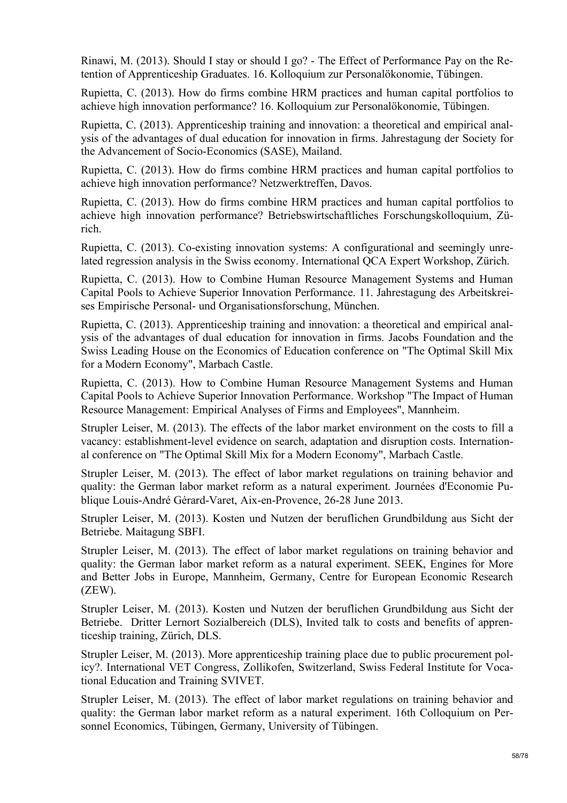Rinawi, M. (2013). Should I stay or should I go? - The Effect of Performance Pay on the Retention of Apprenticeship Graduates. 16. Kolloquium zur Personalökonomie, Tübingen.

Rupietta, C. (2013). How do firms combine HRM practices and human capital portfolios to achieve high innovation performance? 16. Kolloquium zur Personalökonomie, Tübingen.

Rupietta, C. (2013). Apprenticeship training and innovation: a theoretical and empirical analysis of the advantages of dual education for innovation in firms. Jahrestagung der Society for the Advancement of Socio-Economics (SASE), Mailand.

Rupietta, C. (2013). How do firms combine HRM practices and human capital portfolios to achieve high innovation performance? Netzwerktreffen, Davos.

Rupietta, C. (2013). How do firms combine HRM practices and human capital portfolios to achieve high innovation performance? Betriebswirtschaftliches Forschungskolloquium, Zürich.

Rupietta, C. (2013). Co-existing innovation systems: A configurational and seemingly unrelated regression analysis in the Swiss economy. International QCA Expert Workshop, Zürich.

Rupietta, C. (2013). How to Combine Human Resource Management Systems and Human Capital Pools to Achieve Superior Innovation Performance. 11. Jahrestagung des Arbeitskreises Empirische Personal- und Organisationsforschung, München.

Rupietta, C. (2013). Apprenticeship training and innovation: a theoretical and empirical analysis of the advantages of dual education for innovation in firms. Jacobs Foundation and the Swiss Leading House on the Economics of Education conference on "The Optimal Skill Mix for a Modern Economy", Marbach Castle.

Rupietta, C. (2013). How to Combine Human Resource Management Systems and Human Capital Pools to Achieve Superior Innovation Performance. Workshop "The Impact of Human Resource Management: Empirical Analyses of Firms and Employees", Mannheim.

Strupler Leiser, M. (2013). The effects of the labor market environment on the costs to fill a vacancy: establishment-level evidence on search, adaptation and disruption costs. International conference on "The Optimal Skill Mix for a Modern Economy", Marbach Castle.

Strupler Leiser, M. (2013). The effect of labor market regulations on training behavior and quality: the German labor market reform as a natural experiment. Journées d'Economie Publique Louis-André Gérard-Varet, Aix-en-Provence, 26-28 June 2013.

Strupler Leiser, M. (2013). Kosten und Nutzen der beruflichen Grundbildung aus Sicht der Betriebe. Maitagung SBFI.

Strupler Leiser, M. (2013). The effect of labor market regulations on training behavior and quality: the German labor market reform as a natural experiment. SEEK, Engines for More and Better Jobs in Europe, Mannheim, Germany, Centre for European Economic Research (ZEW).

Strupler Leiser, M. (2013). Kosten und Nutzen der beruflichen Grundbildung aus Sicht der Betriebe. Dritter Lernort Sozialbereich (DLS), Invited talk to costs and benefits of apprenticeship training, Zürich, DLS.

Strupler Leiser, M. (2013). More apprenticeship training place due to public procurement policy?. International VET Congress, Zollikofen, Switzerland, Swiss Federal Institute for Vocational Education and Training SVIVET.

Strupler Leiser, M. (2013). The effect of labor market regulations on training behavior and quality: the German labor market reform as a natural experiment. 16th Colloquium on Personnel Economics, Tübingen, Germany, University of Tübingen.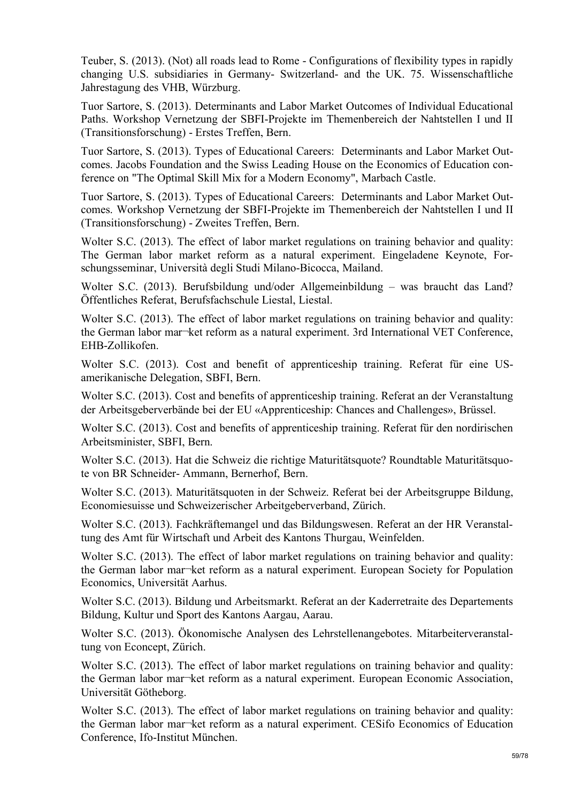Teuber, S. (2013). (Not) all roads lead to Rome - Configurations of flexibility types in rapidly changing U.S. subsidiaries in Germany- Switzerland- and the UK. 75. Wissenschaftliche Jahrestagung des VHB, Würzburg.

Tuor Sartore, S. (2013). Determinants and Labor Market Outcomes of Individual Educational Paths. Workshop Vernetzung der SBFI-Projekte im Themenbereich der Nahtstellen I und II (Transitionsforschung) - Erstes Treffen, Bern.

Tuor Sartore, S. (2013). Types of Educational Careers: Determinants and Labor Market Outcomes. Jacobs Foundation and the Swiss Leading House on the Economics of Education conference on "The Optimal Skill Mix for a Modern Economy", Marbach Castle.

Tuor Sartore, S. (2013). Types of Educational Careers: Determinants and Labor Market Outcomes. Workshop Vernetzung der SBFI-Projekte im Themenbereich der Nahtstellen I und II (Transitionsforschung) - Zweites Treffen, Bern.

Wolter S.C. (2013). The effect of labor market regulations on training behavior and quality: The German labor market reform as a natural experiment. Eingeladene Keynote, Forschungsseminar, Università degli Studi Milano-Bicocca, Mailand.

Wolter S.C. (2013). Berufsbildung und/oder Allgemeinbildung – was braucht das Land? Öffentliches Referat, Berufsfachschule Liestal, Liestal.

Wolter S.C. (2013). The effect of labor market regulations on training behavior and quality: the German labor mar¬ket reform as a natural experiment. 3rd International VET Conference, EHB-Zollikofen.

Wolter S.C. (2013). Cost and benefit of apprenticeship training. Referat für eine USamerikanische Delegation, SBFI, Bern.

Wolter S.C. (2013). Cost and benefits of apprenticeship training. Referat an der Veranstaltung der Arbeitsgeberverbände bei der EU «Apprenticeship: Chances and Challenges», Brüssel.

Wolter S.C. (2013). Cost and benefits of apprenticeship training. Referat für den nordirischen Arbeitsminister, SBFI, Bern.

Wolter S.C. (2013). Hat die Schweiz die richtige Maturitätsquote? Roundtable Maturitätsquote von BR Schneider- Ammann, Bernerhof, Bern.

Wolter S.C. (2013). Maturitätsquoten in der Schweiz. Referat bei der Arbeitsgruppe Bildung, Economiesuisse und Schweizerischer Arbeitgeberverband, Zürich.

Wolter S.C. (2013). Fachkräftemangel und das Bildungswesen. Referat an der HR Veranstaltung des Amt für Wirtschaft und Arbeit des Kantons Thurgau, Weinfelden.

Wolter S.C. (2013). The effect of labor market regulations on training behavior and quality: the German labor mar¬ket reform as a natural experiment. European Society for Population Economics, Universität Aarhus.

Wolter S.C. (2013). Bildung und Arbeitsmarkt. Referat an der Kaderretraite des Departements Bildung, Kultur und Sport des Kantons Aargau, Aarau.

Wolter S.C. (2013). Ökonomische Analysen des Lehrstellenangebotes. Mitarbeiterveranstaltung von Econcept, Zürich.

Wolter S.C. (2013). The effect of labor market regulations on training behavior and quality: the German labor mar¬ket reform as a natural experiment. European Economic Association, Universität Götheborg.

Wolter S.C. (2013). The effect of labor market regulations on training behavior and quality: the German labor mar¬ket reform as a natural experiment. CESifo Economics of Education Conference, Ifo-Institut München.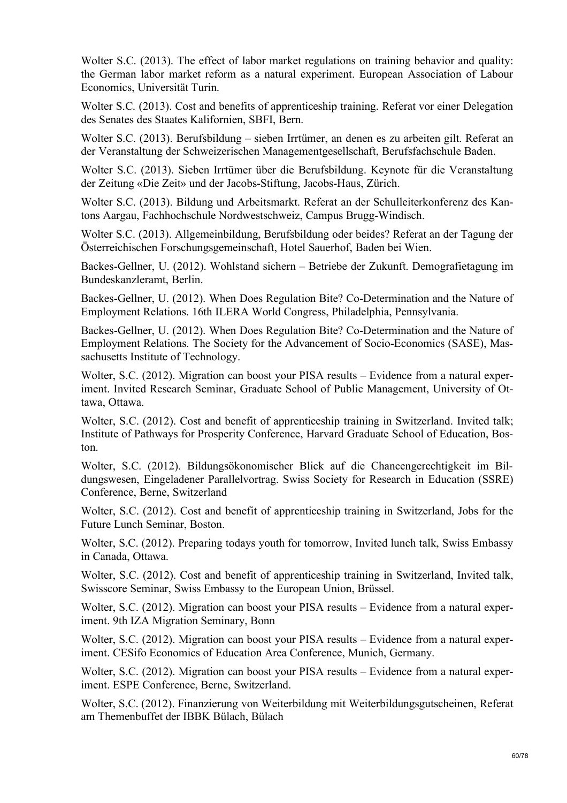Wolter S.C. (2013). The effect of labor market regulations on training behavior and quality: the German labor market reform as a natural experiment. European Association of Labour Economics, Universität Turin.

Wolter S.C. (2013). Cost and benefits of apprenticeship training. Referat vor einer Delegation des Senates des Staates Kalifornien, SBFI, Bern.

Wolter S.C. (2013). Berufsbildung – sieben Irrtümer, an denen es zu arbeiten gilt. Referat an der Veranstaltung der Schweizerischen Managementgesellschaft, Berufsfachschule Baden.

Wolter S.C. (2013). Sieben Irrtümer über die Berufsbildung. Keynote für die Veranstaltung der Zeitung «Die Zeit» und der Jacobs-Stiftung, Jacobs-Haus, Zürich.

Wolter S.C. (2013). Bildung und Arbeitsmarkt. Referat an der Schulleiterkonferenz des Kantons Aargau, Fachhochschule Nordwestschweiz, Campus Brugg-Windisch.

Wolter S.C. (2013). Allgemeinbildung, Berufsbildung oder beides? Referat an der Tagung der Österreichischen Forschungsgemeinschaft, Hotel Sauerhof, Baden bei Wien.

Backes-Gellner, U. (2012). Wohlstand sichern – Betriebe der Zukunft. Demografietagung im Bundeskanzleramt, Berlin.

Backes-Gellner, U. (2012). When Does Regulation Bite? Co-Determination and the Nature of Employment Relations. 16th ILERA World Congress, Philadelphia, Pennsylvania.

Backes-Gellner, U. (2012). When Does Regulation Bite? Co-Determination and the Nature of Employment Relations. The Society for the Advancement of Socio-Economics (SASE), Massachusetts Institute of Technology.

Wolter, S.C. (2012). Migration can boost your PISA results – Evidence from a natural experiment. Invited Research Seminar, Graduate School of Public Management, University of Ottawa, Ottawa.

Wolter, S.C. (2012). Cost and benefit of apprenticeship training in Switzerland. Invited talk; Institute of Pathways for Prosperity Conference, Harvard Graduate School of Education, Boston.

Wolter, S.C. (2012). Bildungsökonomischer Blick auf die Chancengerechtigkeit im Bildungswesen, Eingeladener Parallelvortrag. Swiss Society for Research in Education (SSRE) Conference, Berne, Switzerland

Wolter, S.C. (2012). Cost and benefit of apprenticeship training in Switzerland, Jobs for the Future Lunch Seminar, Boston.

Wolter, S.C. (2012). Preparing todays youth for tomorrow, Invited lunch talk, Swiss Embassy in Canada, Ottawa.

Wolter, S.C. (2012). Cost and benefit of apprenticeship training in Switzerland, Invited talk, Swisscore Seminar, Swiss Embassy to the European Union, Brüssel.

Wolter, S.C. (2012). Migration can boost your PISA results – Evidence from a natural experiment. 9th IZA Migration Seminary, Bonn

Wolter, S.C. (2012). Migration can boost your PISA results – Evidence from a natural experiment. CESifo Economics of Education Area Conference, Munich, Germany.

Wolter, S.C. (2012). Migration can boost your PISA results – Evidence from a natural experiment. ESPE Conference, Berne, Switzerland.

Wolter, S.C. (2012). Finanzierung von Weiterbildung mit Weiterbildungsgutscheinen, Referat am Themenbuffet der IBBK Bülach, Bülach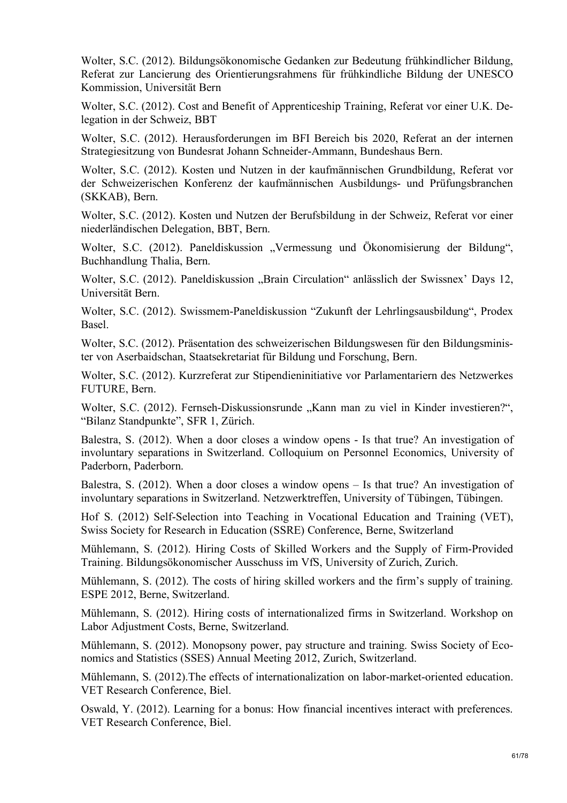Wolter, S.C. (2012). Bildungsökonomische Gedanken zur Bedeutung frühkindlicher Bildung, Referat zur Lancierung des Orientierungsrahmens für frühkindliche Bildung der UNESCO Kommission, Universität Bern

Wolter, S.C. (2012). Cost and Benefit of Apprenticeship Training, Referat vor einer U.K. Delegation in der Schweiz, BBT

Wolter, S.C. (2012). Herausforderungen im BFI Bereich bis 2020, Referat an der internen Strategiesitzung von Bundesrat Johann Schneider-Ammann, Bundeshaus Bern.

Wolter, S.C. (2012). Kosten und Nutzen in der kaufmännischen Grundbildung, Referat vor der Schweizerischen Konferenz der kaufmännischen Ausbildungs- und Prüfungsbranchen (SKKAB), Bern.

Wolter, S.C. (2012). Kosten und Nutzen der Berufsbildung in der Schweiz, Referat vor einer niederländischen Delegation, BBT, Bern.

Wolter, S.C. (2012). Paneldiskussion "Vermessung und Ökonomisierung der Bildung", Buchhandlung Thalia, Bern.

Wolter, S.C. (2012). Paneldiskussion "Brain Circulation" anlässlich der Swissnex' Days 12, Universität Bern.

Wolter, S.C. (2012). Swissmem-Paneldiskussion "Zukunft der Lehrlingsausbildung", Prodex Basel.

Wolter, S.C. (2012). Präsentation des schweizerischen Bildungswesen für den Bildungsminister von Aserbaidschan, Staatsekretariat für Bildung und Forschung, Bern.

Wolter, S.C. (2012). Kurzreferat zur Stipendieninitiative vor Parlamentariern des Netzwerkes FUTURE, Bern.

Wolter, S.C. (2012). Fernseh-Diskussionsrunde "Kann man zu viel in Kinder investieren?", "Bilanz Standpunkte", SFR 1, Zürich.

Balestra, S. (2012). When a door closes a window opens - Is that true? An investigation of involuntary separations in Switzerland. Colloquium on Personnel Economics, University of Paderborn, Paderborn.

Balestra, S. (2012). When a door closes a window opens – Is that true? An investigation of involuntary separations in Switzerland. Netzwerktreffen, University of Tübingen, Tübingen.

Hof S. (2012) Self-Selection into Teaching in Vocational Education and Training (VET), Swiss Society for Research in Education (SSRE) Conference, Berne, Switzerland

Mühlemann, S. (2012). Hiring Costs of Skilled Workers and the Supply of Firm-Provided Training. Bildungsökonomischer Ausschuss im VfS, University of Zurich, Zurich.

Mühlemann, S. (2012). The costs of hiring skilled workers and the firm's supply of training. ESPE 2012, Berne, Switzerland.

Mühlemann, S. (2012). Hiring costs of internationalized firms in Switzerland. Workshop on Labor Adjustment Costs, Berne, Switzerland.

Mühlemann, S. (2012). Monopsony power, pay structure and training. Swiss Society of Economics and Statistics (SSES) Annual Meeting 2012, Zurich, Switzerland.

Mühlemann, S. (2012).The effects of internationalization on labor-market-oriented education. VET Research Conference, Biel.

Oswald, Y. (2012). Learning for a bonus: How financial incentives interact with preferences. VET Research Conference, Biel.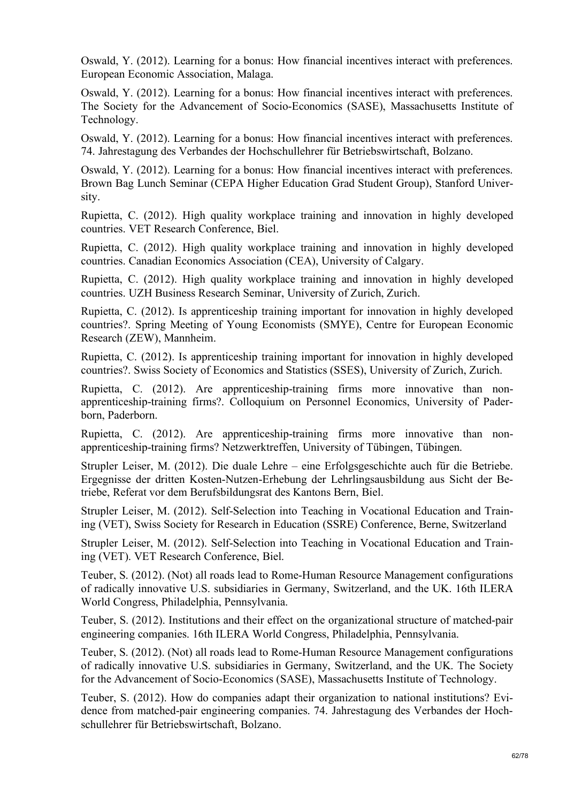Oswald, Y. (2012). Learning for a bonus: How financial incentives interact with preferences. European Economic Association, Malaga.

Oswald, Y. (2012). Learning for a bonus: How financial incentives interact with preferences. The Society for the Advancement of Socio-Economics (SASE), Massachusetts Institute of Technology.

Oswald, Y. (2012). Learning for a bonus: How financial incentives interact with preferences. 74. Jahrestagung des Verbandes der Hochschullehrer für Betriebswirtschaft, Bolzano.

Oswald, Y. (2012). Learning for a bonus: How financial incentives interact with preferences. Brown Bag Lunch Seminar (CEPA Higher Education Grad Student Group), Stanford University.

Rupietta, C. (2012). High quality workplace training and innovation in highly developed countries. VET Research Conference, Biel.

Rupietta, C. (2012). High quality workplace training and innovation in highly developed countries. Canadian Economics Association (CEA), University of Calgary.

Rupietta, C. (2012). High quality workplace training and innovation in highly developed countries. UZH Business Research Seminar, University of Zurich, Zurich.

Rupietta, C. (2012). Is apprenticeship training important for innovation in highly developed countries?. Spring Meeting of Young Economists (SMYE), Centre for European Economic Research (ZEW), Mannheim.

Rupietta, C. (2012). Is apprenticeship training important for innovation in highly developed countries?. Swiss Society of Economics and Statistics (SSES), University of Zurich, Zurich.

Rupietta, C. (2012). Are apprenticeship-training firms more innovative than nonapprenticeship-training firms?. Colloquium on Personnel Economics, University of Paderborn, Paderborn.

Rupietta, C. (2012). Are apprenticeship-training firms more innovative than nonapprenticeship-training firms? Netzwerktreffen, University of Tübingen, Tübingen.

Strupler Leiser, M. (2012). Die duale Lehre – eine Erfolgsgeschichte auch für die Betriebe. Ergegnisse der dritten Kosten-Nutzen-Erhebung der Lehrlingsausbildung aus Sicht der Betriebe, Referat vor dem Berufsbildungsrat des Kantons Bern, Biel.

Strupler Leiser, M. (2012). Self-Selection into Teaching in Vocational Education and Training (VET), Swiss Society for Research in Education (SSRE) Conference, Berne, Switzerland

Strupler Leiser, M. (2012). Self-Selection into Teaching in Vocational Education and Training (VET). VET Research Conference, Biel.

Teuber, S. (2012). (Not) all roads lead to Rome-Human Resource Management configurations of radically innovative U.S. subsidiaries in Germany, Switzerland, and the UK. 16th ILERA World Congress, Philadelphia, Pennsylvania.

Teuber, S. (2012). Institutions and their effect on the organizational structure of matched-pair engineering companies. 16th ILERA World Congress, Philadelphia, Pennsylvania.

Teuber, S. (2012). (Not) all roads lead to Rome-Human Resource Management configurations of radically innovative U.S. subsidiaries in Germany, Switzerland, and the UK. The Society for the Advancement of Socio-Economics (SASE), Massachusetts Institute of Technology.

Teuber, S. (2012). How do companies adapt their organization to national institutions? Evidence from matched-pair engineering companies. 74. Jahrestagung des Verbandes der Hochschullehrer für Betriebswirtschaft, Bolzano.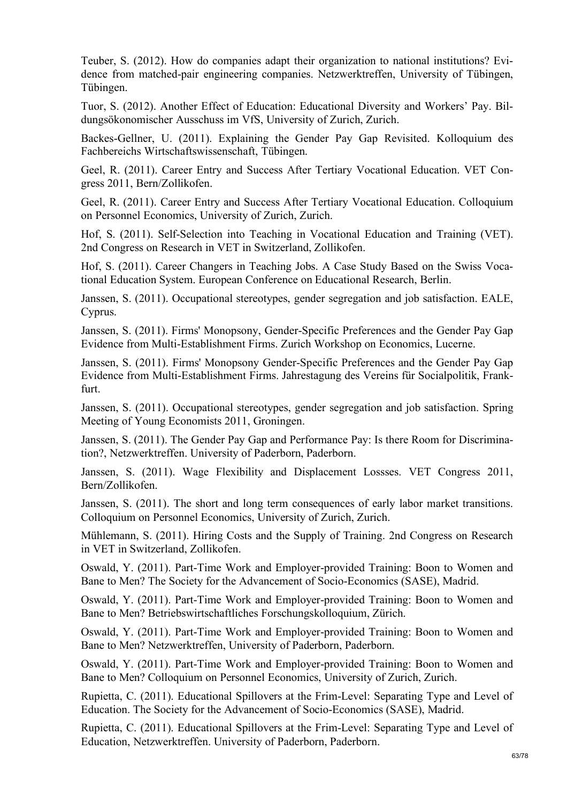Teuber, S. (2012). How do companies adapt their organization to national institutions? Evidence from matched-pair engineering companies. Netzwerktreffen, University of Tübingen, Tübingen.

Tuor, S. (2012). Another Effect of Education: Educational Diversity and Workers' Pay. Bildungsökonomischer Ausschuss im VfS, University of Zurich, Zurich.

Backes-Gellner, U. (2011). Explaining the Gender Pay Gap Revisited. Kolloquium des Fachbereichs Wirtschaftswissenschaft, Tübingen.

Geel, R. (2011). Career Entry and Success After Tertiary Vocational Education. VET Congress 2011, Bern/Zollikofen.

Geel, R. (2011). Career Entry and Success After Tertiary Vocational Education. Colloquium on Personnel Economics, University of Zurich, Zurich.

Hof, S. (2011). Self-Selection into Teaching in Vocational Education and Training (VET). 2nd Congress on Research in VET in Switzerland, Zollikofen.

Hof, S. (2011). Career Changers in Teaching Jobs. A Case Study Based on the Swiss Vocational Education System. European Conference on Educational Research, Berlin.

Janssen, S. (2011). Occupational stereotypes, gender segregation and job satisfaction. EALE, Cyprus.

Janssen, S. (2011). Firms' Monopsony, Gender-Specific Preferences and the Gender Pay Gap Evidence from Multi-Establishment Firms. Zurich Workshop on Economics, Lucerne.

Janssen, S. (2011). Firms' Monopsony Gender-Specific Preferences and the Gender Pay Gap Evidence from Multi-Establishment Firms. Jahrestagung des Vereins für Socialpolitik, Frankfurt.

Janssen, S. (2011). Occupational stereotypes, gender segregation and job satisfaction. Spring Meeting of Young Economists 2011, Groningen.

Janssen, S. (2011). The Gender Pay Gap and Performance Pay: Is there Room for Discrimination?, Netzwerktreffen. University of Paderborn, Paderborn.

Janssen, S. (2011). Wage Flexibility and Displacement Lossses. VET Congress 2011, Bern/Zollikofen.

Janssen, S. (2011). The short and long term consequences of early labor market transitions. Colloquium on Personnel Economics, University of Zurich, Zurich.

Mühlemann, S. (2011). Hiring Costs and the Supply of Training. 2nd Congress on Research in VET in Switzerland, Zollikofen.

Oswald, Y. (2011). Part-Time Work and Employer-provided Training: Boon to Women and Bane to Men? The Society for the Advancement of Socio-Economics (SASE), Madrid.

Oswald, Y. (2011). Part-Time Work and Employer-provided Training: Boon to Women and Bane to Men? Betriebswirtschaftliches Forschungskolloquium, Zürich.

Oswald, Y. (2011). Part-Time Work and Employer-provided Training: Boon to Women and Bane to Men? Netzwerktreffen, University of Paderborn, Paderborn.

Oswald, Y. (2011). Part-Time Work and Employer-provided Training: Boon to Women and Bane to Men? Colloquium on Personnel Economics, University of Zurich, Zurich.

Rupietta, C. (2011). Educational Spillovers at the Frim-Level: Separating Type and Level of Education. The Society for the Advancement of Socio-Economics (SASE), Madrid.

Rupietta, C. (2011). Educational Spillovers at the Frim-Level: Separating Type and Level of Education, Netzwerktreffen. University of Paderborn, Paderborn.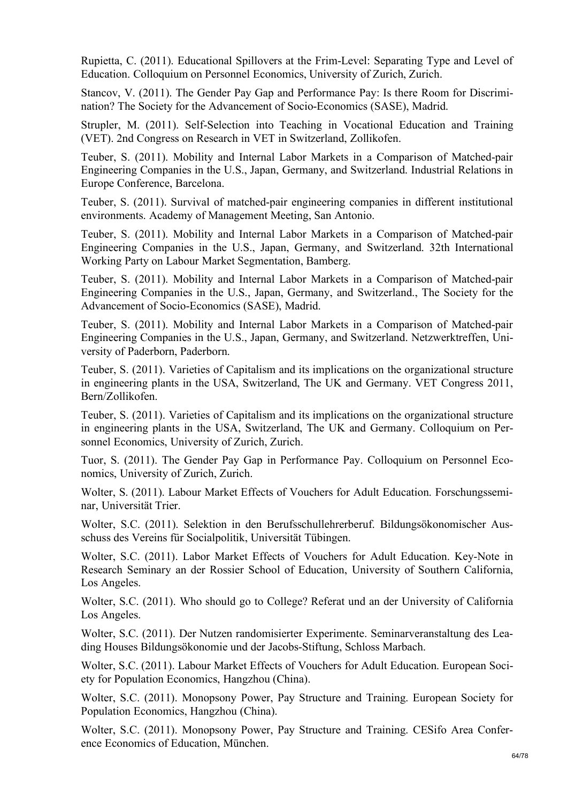Rupietta, C. (2011). Educational Spillovers at the Frim-Level: Separating Type and Level of Education. Colloquium on Personnel Economics, University of Zurich, Zurich.

Stancov, V. (2011). The Gender Pay Gap and Performance Pay: Is there Room for Discrimination? The Society for the Advancement of Socio-Economics (SASE), Madrid.

Strupler, M. (2011). Self-Selection into Teaching in Vocational Education and Training (VET). 2nd Congress on Research in VET in Switzerland, Zollikofen.

Teuber, S. (2011). Mobility and Internal Labor Markets in a Comparison of Matched-pair Engineering Companies in the U.S., Japan, Germany, and Switzerland. Industrial Relations in Europe Conference, Barcelona.

Teuber, S. (2011). Survival of matched-pair engineering companies in different institutional environments. Academy of Management Meeting, San Antonio.

Teuber, S. (2011). Mobility and Internal Labor Markets in a Comparison of Matched-pair Engineering Companies in the U.S., Japan, Germany, and Switzerland. 32th International Working Party on Labour Market Segmentation, Bamberg.

Teuber, S. (2011). Mobility and Internal Labor Markets in a Comparison of Matched-pair Engineering Companies in the U.S., Japan, Germany, and Switzerland., The Society for the Advancement of Socio-Economics (SASE), Madrid.

Teuber, S. (2011). Mobility and Internal Labor Markets in a Comparison of Matched-pair Engineering Companies in the U.S., Japan, Germany, and Switzerland. Netzwerktreffen, University of Paderborn, Paderborn.

Teuber, S. (2011). Varieties of Capitalism and its implications on the organizational structure in engineering plants in the USA, Switzerland, The UK and Germany. VET Congress 2011, Bern/Zollikofen.

Teuber, S. (2011). Varieties of Capitalism and its implications on the organizational structure in engineering plants in the USA, Switzerland, The UK and Germany. Colloquium on Personnel Economics, University of Zurich, Zurich.

Tuor, S. (2011). The Gender Pay Gap in Performance Pay. Colloquium on Personnel Economics, University of Zurich, Zurich.

Wolter, S. (2011). Labour Market Effects of Vouchers for Adult Education. Forschungsseminar, Universität Trier.

Wolter, S.C. (2011). Selektion in den Berufsschullehrerberuf. Bildungsökonomischer Ausschuss des Vereins für Socialpolitik, Universität Tübingen.

Wolter, S.C. (2011). Labor Market Effects of Vouchers for Adult Education. Key-Note in Research Seminary an der Rossier School of Education, University of Southern California, Los Angeles.

Wolter, S.C. (2011). Who should go to College? Referat und an der University of California Los Angeles.

Wolter, S.C. (2011). Der Nutzen randomisierter Experimente. Seminarveranstaltung des Leading Houses Bildungsökonomie und der Jacobs-Stiftung, Schloss Marbach.

Wolter, S.C. (2011). Labour Market Effects of Vouchers for Adult Education. European Society for Population Economics, Hangzhou (China).

Wolter, S.C. (2011). Monopsony Power, Pay Structure and Training. European Society for Population Economics, Hangzhou (China).

Wolter, S.C. (2011). Monopsony Power, Pay Structure and Training. CESifo Area Conference Economics of Education, München.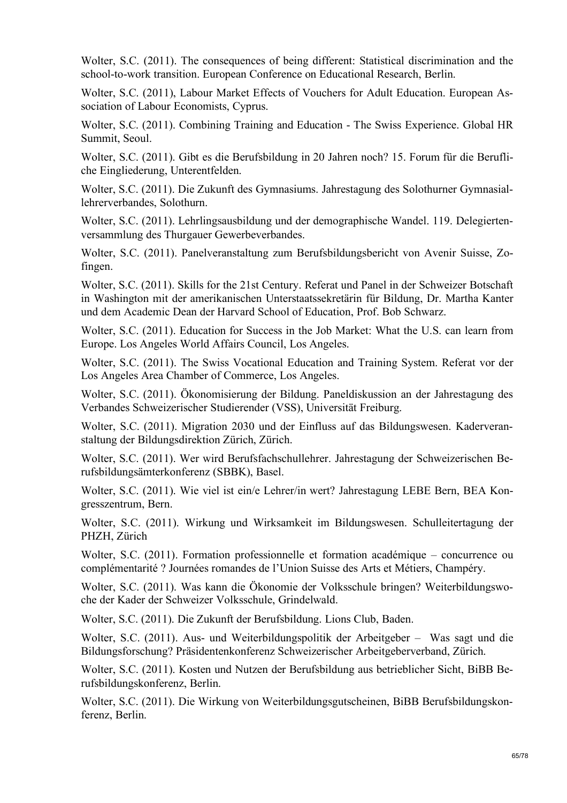Wolter, S.C. (2011). The consequences of being different: Statistical discrimination and the school-to-work transition. European Conference on Educational Research, Berlin.

Wolter, S.C. (2011), Labour Market Effects of Vouchers for Adult Education. European Association of Labour Economists, Cyprus.

Wolter, S.C. (2011). Combining Training and Education - The Swiss Experience. Global HR Summit, Seoul.

Wolter, S.C. (2011). Gibt es die Berufsbildung in 20 Jahren noch? 15. Forum für die Berufliche Eingliederung, Unterentfelden.

Wolter, S.C. (2011). Die Zukunft des Gymnasiums. Jahrestagung des Solothurner Gymnasiallehrerverbandes, Solothurn.

Wolter, S.C. (2011). Lehrlingsausbildung und der demographische Wandel. 119. Delegiertenversammlung des Thurgauer Gewerbeverbandes.

Wolter, S.C. (2011). Panelveranstaltung zum Berufsbildungsbericht von Avenir Suisse, Zofingen.

Wolter, S.C. (2011). Skills for the 21st Century. Referat und Panel in der Schweizer Botschaft in Washington mit der amerikanischen Unterstaatssekretärin für Bildung, Dr. Martha Kanter und dem Academic Dean der Harvard School of Education, Prof. Bob Schwarz.

Wolter, S.C. (2011). Education for Success in the Job Market: What the U.S. can learn from Europe. Los Angeles World Affairs Council, Los Angeles.

Wolter, S.C. (2011). The Swiss Vocational Education and Training System. Referat vor der Los Angeles Area Chamber of Commerce, Los Angeles.

Wolter, S.C. (2011). Ökonomisierung der Bildung. Paneldiskussion an der Jahrestagung des Verbandes Schweizerischer Studierender (VSS), Universität Freiburg.

Wolter, S.C. (2011). Migration 2030 und der Einfluss auf das Bildungswesen. Kaderveranstaltung der Bildungsdirektion Zürich, Zürich.

Wolter, S.C. (2011). Wer wird Berufsfachschullehrer. Jahrestagung der Schweizerischen Berufsbildungsämterkonferenz (SBBK), Basel.

Wolter, S.C. (2011). Wie viel ist ein/e Lehrer/in wert? Jahrestagung LEBE Bern, BEA Kongresszentrum, Bern.

Wolter, S.C. (2011). Wirkung und Wirksamkeit im Bildungswesen. Schulleitertagung der PHZH, Zürich

Wolter, S.C. (2011). Formation professionnelle et formation académique – concurrence ou complémentarité ? Journées romandes de l'Union Suisse des Arts et Métiers, Champéry.

Wolter, S.C. (2011). Was kann die Ökonomie der Volksschule bringen? Weiterbildungswoche der Kader der Schweizer Volksschule, Grindelwald.

Wolter, S.C. (2011). Die Zukunft der Berufsbildung. Lions Club, Baden.

Wolter, S.C. (2011). Aus- und Weiterbildungspolitik der Arbeitgeber – Was sagt und die Bildungsforschung? Präsidentenkonferenz Schweizerischer Arbeitgeberverband, Zürich.

Wolter, S.C. (2011). Kosten und Nutzen der Berufsbildung aus betrieblicher Sicht, BiBB Berufsbildungskonferenz, Berlin.

Wolter, S.C. (2011). Die Wirkung von Weiterbildungsgutscheinen, BiBB Berufsbildungskonferenz, Berlin.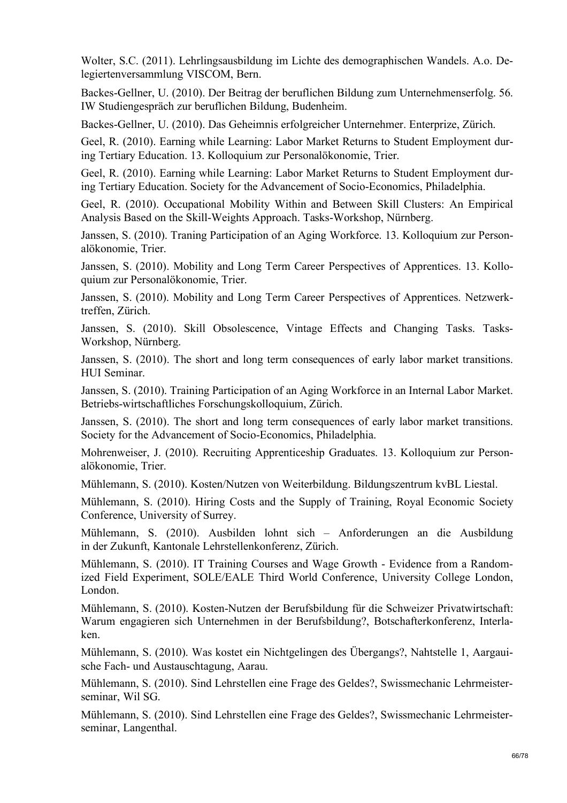Wolter, S.C. (2011). Lehrlingsausbildung im Lichte des demographischen Wandels. A.o. Delegiertenversammlung VISCOM, Bern.

Backes-Gellner, U. (2010). Der Beitrag der beruflichen Bildung zum Unternehmenserfolg. 56. IW Studiengespräch zur beruflichen Bildung, Budenheim.

Backes-Gellner, U. (2010). Das Geheimnis erfolgreicher Unternehmer. Enterprize, Zürich.

Geel, R. (2010). Earning while Learning: Labor Market Returns to Student Employment during Tertiary Education. 13. Kolloquium zur Personalökonomie, Trier.

Geel, R. (2010). Earning while Learning: Labor Market Returns to Student Employment during Tertiary Education. Society for the Advancement of Socio-Economics, Philadelphia.

Geel, R. (2010). Occupational Mobility Within and Between Skill Clusters: An Empirical Analysis Based on the Skill-Weights Approach. Tasks-Workshop, Nürnberg.

Janssen, S. (2010). Traning Participation of an Aging Workforce. 13. Kolloquium zur Personalökonomie, Trier.

Janssen, S. (2010). Mobility and Long Term Career Perspectives of Apprentices. 13. Kolloquium zur Personalökonomie, Trier.

Janssen, S. (2010). Mobility and Long Term Career Perspectives of Apprentices. Netzwerktreffen, Zürich.

Janssen, S. (2010). Skill Obsolescence, Vintage Effects and Changing Tasks. Tasks-Workshop, Nürnberg.

Janssen, S. (2010). The short and long term consequences of early labor market transitions. HUI Seminar.

Janssen, S. (2010). Training Participation of an Aging Workforce in an Internal Labor Market. Betriebs-wirtschaftliches Forschungskolloquium, Zürich.

Janssen, S. (2010). The short and long term consequences of early labor market transitions. Society for the Advancement of Socio-Economics, Philadelphia.

Mohrenweiser, J. (2010). Recruiting Apprenticeship Graduates. 13. Kolloquium zur Personalökonomie, Trier.

Mühlemann, S. (2010). Kosten/Nutzen von Weiterbildung. Bildungszentrum kvBL Liestal.

Mühlemann, S. (2010). Hiring Costs and the Supply of Training, Royal Economic Society Conference, University of Surrey.

Mühlemann, S. (2010). Ausbilden lohnt sich – Anforderungen an die Ausbildung in der Zukunft, Kantonale Lehrstellenkonferenz, Zürich.

Mühlemann, S. (2010). IT Training Courses and Wage Growth - Evidence from a Randomized Field Experiment, SOLE/EALE Third World Conference, University College London, London.

Mühlemann, S. (2010). Kosten-Nutzen der Berufsbildung für die Schweizer Privatwirtschaft: Warum engagieren sich Unternehmen in der Berufsbildung?, Botschafterkonferenz, Interlaken.

Mühlemann, S. (2010). Was kostet ein Nichtgelingen des Übergangs?, Nahtstelle 1, Aargauische Fach- und Austauschtagung, Aarau.

Mühlemann, S. (2010). Sind Lehrstellen eine Frage des Geldes?, Swissmechanic Lehrmeisterseminar, Wil SG.

Mühlemann, S. (2010). Sind Lehrstellen eine Frage des Geldes?, Swissmechanic Lehrmeisterseminar, Langenthal.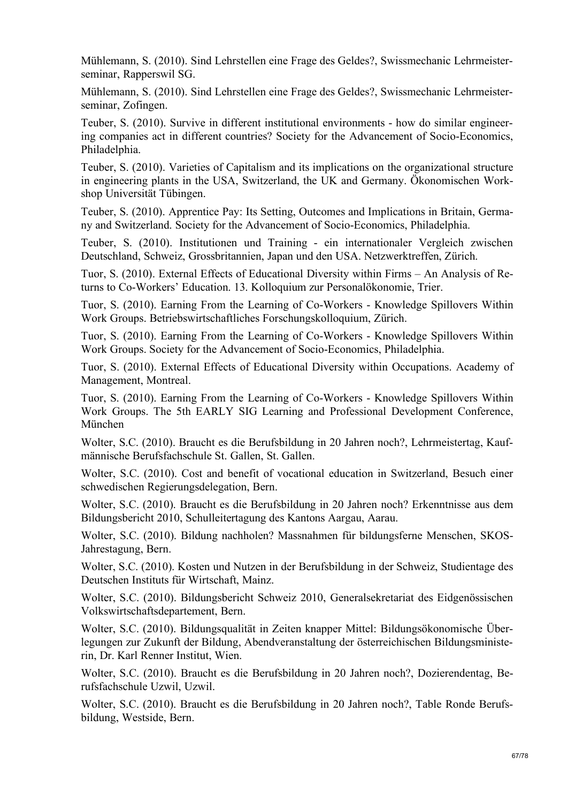Mühlemann, S. (2010). Sind Lehrstellen eine Frage des Geldes?, Swissmechanic Lehrmeisterseminar, Rapperswil SG.

Mühlemann, S. (2010). Sind Lehrstellen eine Frage des Geldes?, Swissmechanic Lehrmeisterseminar, Zofingen.

Teuber, S. (2010). Survive in different institutional environments - how do similar engineering companies act in different countries? Society for the Advancement of Socio-Economics, Philadelphia.

Teuber, S. (2010). Varieties of Capitalism and its implications on the organizational structure in engineering plants in the USA, Switzerland, the UK and Germany. Ökonomischen Workshop Universität Tübingen.

Teuber, S. (2010). Apprentice Pay: Its Setting, Outcomes and Implications in Britain, Germany and Switzerland. Society for the Advancement of Socio-Economics, Philadelphia.

Teuber, S. (2010). Institutionen und Training - ein internationaler Vergleich zwischen Deutschland, Schweiz, Grossbritannien, Japan und den USA. Netzwerktreffen, Zürich.

Tuor, S. (2010). External Effects of Educational Diversity within Firms – An Analysis of Returns to Co-Workers' Education. 13. Kolloquium zur Personalökonomie, Trier.

Tuor, S. (2010). Earning From the Learning of Co-Workers - Knowledge Spillovers Within Work Groups. Betriebswirtschaftliches Forschungskolloquium, Zürich.

Tuor, S. (2010). Earning From the Learning of Co-Workers - Knowledge Spillovers Within Work Groups. Society for the Advancement of Socio-Economics, Philadelphia.

Tuor, S. (2010). External Effects of Educational Diversity within Occupations. Academy of Management, Montreal.

Tuor, S. (2010). Earning From the Learning of Co-Workers - Knowledge Spillovers Within Work Groups. The 5th EARLY SIG Learning and Professional Development Conference, München

Wolter, S.C. (2010). Braucht es die Berufsbildung in 20 Jahren noch?, Lehrmeistertag, Kaufmännische Berufsfachschule St. Gallen, St. Gallen.

Wolter, S.C. (2010). Cost and benefit of vocational education in Switzerland, Besuch einer schwedischen Regierungsdelegation, Bern.

Wolter, S.C. (2010). Braucht es die Berufsbildung in 20 Jahren noch? Erkenntnisse aus dem Bildungsbericht 2010, Schulleitertagung des Kantons Aargau, Aarau.

Wolter, S.C. (2010). Bildung nachholen? Massnahmen für bildungsferne Menschen, SKOS-Jahrestagung, Bern.

Wolter, S.C. (2010). Kosten und Nutzen in der Berufsbildung in der Schweiz, Studientage des Deutschen Instituts für Wirtschaft, Mainz.

Wolter, S.C. (2010). Bildungsbericht Schweiz 2010, Generalsekretariat des Eidgenössischen Volkswirtschaftsdepartement, Bern.

Wolter, S.C. (2010). Bildungsqualität in Zeiten knapper Mittel: Bildungsökonomische Überlegungen zur Zukunft der Bildung, Abendveranstaltung der österreichischen Bildungsministerin, Dr. Karl Renner Institut, Wien.

Wolter, S.C. (2010). Braucht es die Berufsbildung in 20 Jahren noch?, Dozierendentag, Berufsfachschule Uzwil, Uzwil.

Wolter, S.C. (2010). Braucht es die Berufsbildung in 20 Jahren noch?, Table Ronde Berufsbildung, Westside, Bern.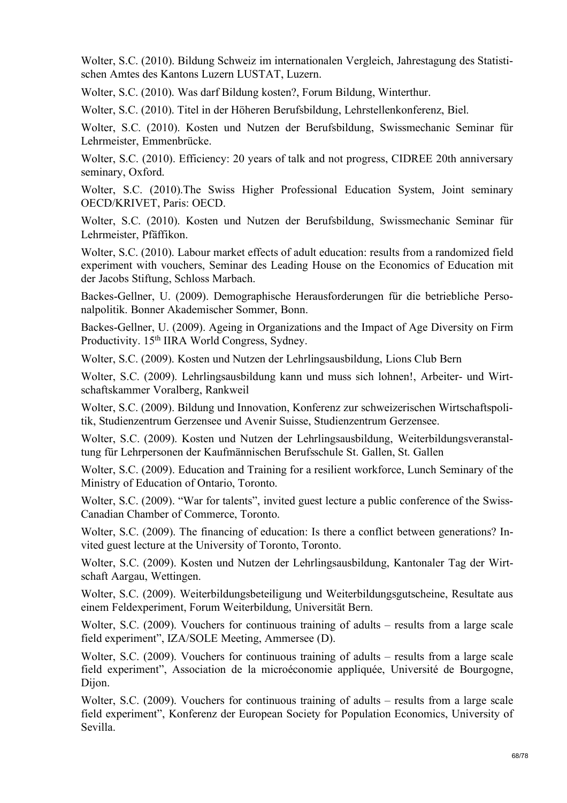Wolter, S.C. (2010). Bildung Schweiz im internationalen Vergleich, Jahrestagung des Statistischen Amtes des Kantons Luzern LUSTAT, Luzern.

Wolter, S.C. (2010). Was darf Bildung kosten?, Forum Bildung, Winterthur.

Wolter, S.C. (2010). Titel in der Höheren Berufsbildung, Lehrstellenkonferenz, Biel.

Wolter, S.C. (2010). Kosten und Nutzen der Berufsbildung, Swissmechanic Seminar für Lehrmeister, Emmenbrücke.

Wolter, S.C. (2010). Efficiency: 20 years of talk and not progress, CIDREE 20th anniversary seminary, Oxford.

Wolter, S.C. (2010).The Swiss Higher Professional Education System, Joint seminary OECD/KRIVET, Paris: OECD.

Wolter, S.C. (2010). Kosten und Nutzen der Berufsbildung, Swissmechanic Seminar für Lehrmeister, Pfäffikon.

Wolter, S.C. (2010). Labour market effects of adult education: results from a randomized field experiment with vouchers, Seminar des Leading House on the Economics of Education mit der Jacobs Stiftung, Schloss Marbach.

Backes-Gellner, U. (2009). Demographische Herausforderungen für die betriebliche Personalpolitik. Bonner Akademischer Sommer, Bonn.

Backes-Gellner, U. (2009). Ageing in Organizations and the Impact of Age Diversity on Firm Productivity. 15<sup>th</sup> IIRA World Congress, Sydney.

Wolter, S.C. (2009). Kosten und Nutzen der Lehrlingsausbildung, Lions Club Bern

Wolter, S.C. (2009). Lehrlingsausbildung kann und muss sich lohnen!, Arbeiter- und Wirtschaftskammer Voralberg, Rankweil

Wolter, S.C. (2009). Bildung und Innovation, Konferenz zur schweizerischen Wirtschaftspolitik, Studienzentrum Gerzensee und Avenir Suisse, Studienzentrum Gerzensee.

Wolter, S.C. (2009). Kosten und Nutzen der Lehrlingsausbildung, Weiterbildungsveranstaltung für Lehrpersonen der Kaufmännischen Berufsschule St. Gallen, St. Gallen

Wolter, S.C. (2009). Education and Training for a resilient workforce, Lunch Seminary of the Ministry of Education of Ontario, Toronto.

Wolter, S.C. (2009). "War for talents", invited guest lecture a public conference of the Swiss-Canadian Chamber of Commerce, Toronto.

Wolter, S.C. (2009). The financing of education: Is there a conflict between generations? Invited guest lecture at the University of Toronto, Toronto.

Wolter, S.C. (2009). Kosten und Nutzen der Lehrlingsausbildung, Kantonaler Tag der Wirtschaft Aargau, Wettingen.

Wolter, S.C. (2009). Weiterbildungsbeteiligung und Weiterbildungsgutscheine, Resultate aus einem Feldexperiment, Forum Weiterbildung, Universität Bern.

Wolter, S.C. (2009). Vouchers for continuous training of adults – results from a large scale field experiment", IZA/SOLE Meeting, Ammersee (D).

Wolter, S.C. (2009). Vouchers for continuous training of adults – results from a large scale field experiment", Association de la microéconomie appliquée, Université de Bourgogne, Dijon.

Wolter, S.C. (2009). Vouchers for continuous training of adults – results from a large scale field experiment", Konferenz der European Society for Population Economics, University of Sevilla.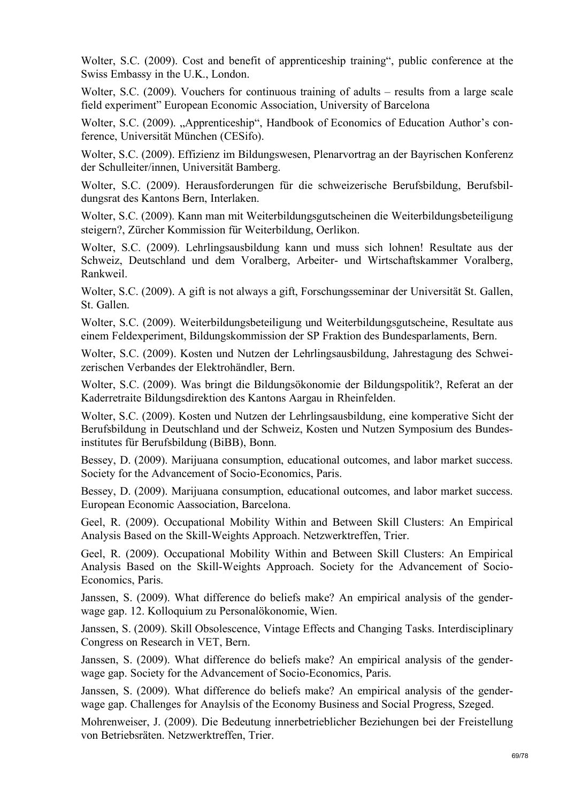Wolter, S.C. (2009). Cost and benefit of apprenticeship training", public conference at the Swiss Embassy in the U.K., London.

Wolter, S.C. (2009). Vouchers for continuous training of adults – results from a large scale field experiment" European Economic Association, University of Barcelona

Wolter, S.C. (2009). ..Apprenticeship", Handbook of Economics of Education Author's conference, Universität München (CESifo).

Wolter, S.C. (2009). Effizienz im Bildungswesen, Plenarvortrag an der Bayrischen Konferenz der Schulleiter/innen, Universität Bamberg.

Wolter, S.C. (2009). Herausforderungen für die schweizerische Berufsbildung, Berufsbildungsrat des Kantons Bern, Interlaken.

Wolter, S.C. (2009). Kann man mit Weiterbildungsgutscheinen die Weiterbildungsbeteiligung steigern?, Zürcher Kommission für Weiterbildung, Oerlikon.

Wolter, S.C. (2009). Lehrlingsausbildung kann und muss sich lohnen! Resultate aus der Schweiz, Deutschland und dem Voralberg, Arbeiter- und Wirtschaftskammer Voralberg, Rankweil.

Wolter, S.C. (2009). A gift is not always a gift, Forschungsseminar der Universität St. Gallen, St. Gallen.

Wolter, S.C. (2009). Weiterbildungsbeteiligung und Weiterbildungsgutscheine, Resultate aus einem Feldexperiment, Bildungskommission der SP Fraktion des Bundesparlaments, Bern.

Wolter, S.C. (2009). Kosten und Nutzen der Lehrlingsausbildung, Jahrestagung des Schweizerischen Verbandes der Elektrohändler, Bern.

Wolter, S.C. (2009). Was bringt die Bildungsökonomie der Bildungspolitik?, Referat an der Kaderretraite Bildungsdirektion des Kantons Aargau in Rheinfelden.

Wolter, S.C. (2009). Kosten und Nutzen der Lehrlingsausbildung, eine komperative Sicht der Berufsbildung in Deutschland und der Schweiz, Kosten und Nutzen Symposium des Bundesinstitutes für Berufsbildung (BiBB), Bonn.

Bessey, D. (2009). Marijuana consumption, educational outcomes, and labor market success. Society for the Advancement of Socio-Economics, Paris.

Bessey, D. (2009). Marijuana consumption, educational outcomes, and labor market success. European Economic Aassociation, Barcelona.

Geel, R. (2009). Occupational Mobility Within and Between Skill Clusters: An Empirical Analysis Based on the Skill-Weights Approach. Netzwerktreffen, Trier.

Geel, R. (2009). Occupational Mobility Within and Between Skill Clusters: An Empirical Analysis Based on the Skill-Weights Approach. Society for the Advancement of Socio-Economics, Paris.

Janssen, S. (2009). What difference do beliefs make? An empirical analysis of the genderwage gap. 12. Kolloquium zu Personalökonomie, Wien.

Janssen, S. (2009). Skill Obsolescence, Vintage Effects and Changing Tasks. Interdisciplinary Congress on Research in VET, Bern.

Janssen, S. (2009). What difference do beliefs make? An empirical analysis of the genderwage gap. Society for the Advancement of Socio-Economics, Paris.

Janssen, S. (2009). What difference do beliefs make? An empirical analysis of the genderwage gap. Challenges for Anaylsis of the Economy Business and Social Progress, Szeged.

Mohrenweiser, J. (2009). Die Bedeutung innerbetrieblicher Beziehungen bei der Freistellung von Betriebsräten. Netzwerktreffen, Trier.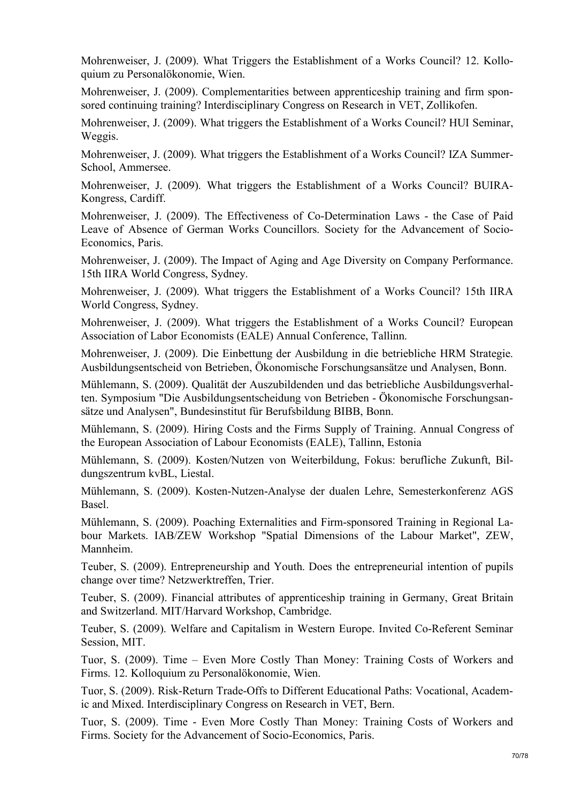Mohrenweiser, J. (2009). What Triggers the Establishment of a Works Council? 12. Kolloquium zu Personalökonomie, Wien.

Mohrenweiser, J. (2009). Complementarities between apprenticeship training and firm sponsored continuing training? Interdisciplinary Congress on Research in VET, Zollikofen.

Mohrenweiser, J. (2009). What triggers the Establishment of a Works Council? HUI Seminar, Weggis.

Mohrenweiser, J. (2009). What triggers the Establishment of a Works Council? IZA Summer-School, Ammersee.

Mohrenweiser, J. (2009). What triggers the Establishment of a Works Council? BUIRA-Kongress, Cardiff.

Mohrenweiser, J. (2009). The Effectiveness of Co-Determination Laws - the Case of Paid Leave of Absence of German Works Councillors. Society for the Advancement of Socio-Economics, Paris.

Mohrenweiser, J. (2009). The Impact of Aging and Age Diversity on Company Performance. 15th IIRA World Congress, Sydney.

Mohrenweiser, J. (2009). What triggers the Establishment of a Works Council? 15th IIRA World Congress, Sydney.

Mohrenweiser, J. (2009). What triggers the Establishment of a Works Council? European Association of Labor Economists (EALE) Annual Conference, Tallinn.

Mohrenweiser, J. (2009). Die Einbettung der Ausbildung in die betriebliche HRM Strategie. Ausbildungsentscheid von Betrieben, Ökonomische Forschungsansätze und Analysen, Bonn.

Mühlemann, S. (2009). Qualität der Auszubildenden und das betriebliche Ausbildungsverhalten. Symposium "Die Ausbildungsentscheidung von Betrieben - Ökonomische Forschungsansätze und Analysen", Bundesinstitut für Berufsbildung BIBB, Bonn.

Mühlemann, S. (2009). Hiring Costs and the Firms Supply of Training. Annual Congress of the European Association of Labour Economists (EALE), Tallinn, Estonia

Mühlemann, S. (2009). Kosten/Nutzen von Weiterbildung, Fokus: berufliche Zukunft, Bildungszentrum kvBL, Liestal.

Mühlemann, S. (2009). Kosten-Nutzen-Analyse der dualen Lehre, Semesterkonferenz AGS Basel.

Mühlemann, S. (2009). Poaching Externalities and Firm-sponsored Training in Regional Labour Markets. IAB/ZEW Workshop "Spatial Dimensions of the Labour Market", ZEW, Mannheim.

Teuber, S. (2009). Entrepreneurship and Youth. Does the entrepreneurial intention of pupils change over time? Netzwerktreffen, Trier.

Teuber, S. (2009). Financial attributes of apprenticeship training in Germany, Great Britain and Switzerland. MIT/Harvard Workshop, Cambridge.

Teuber, S. (2009). Welfare and Capitalism in Western Europe. Invited Co-Referent Seminar Session, MIT.

Tuor, S. (2009). Time – Even More Costly Than Money: Training Costs of Workers and Firms. 12. Kolloquium zu Personalökonomie, Wien.

Tuor, S. (2009). Risk-Return Trade-Offs to Different Educational Paths: Vocational, Academic and Mixed. Interdisciplinary Congress on Research in VET, Bern.

Tuor, S. (2009). Time - Even More Costly Than Money: Training Costs of Workers and Firms. Society for the Advancement of Socio-Economics, Paris.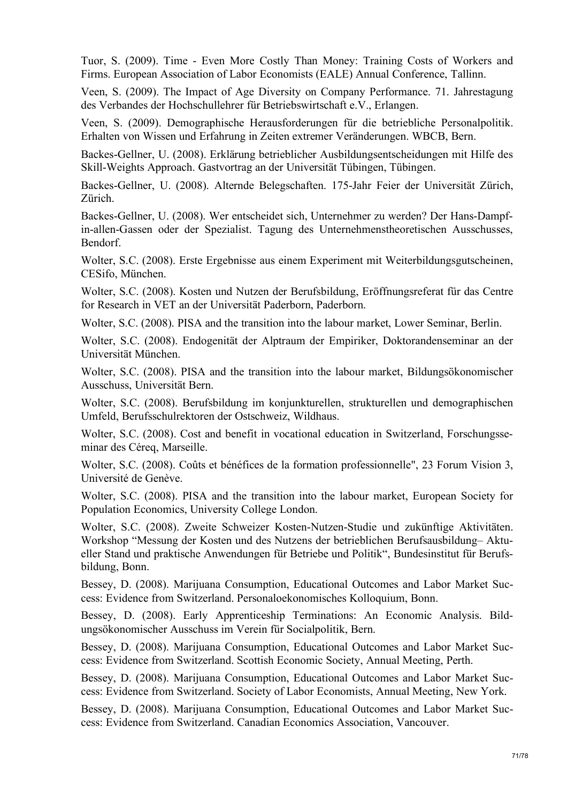Tuor, S. (2009). Time - Even More Costly Than Money: Training Costs of Workers and Firms. European Association of Labor Economists (EALE) Annual Conference, Tallinn.

Veen, S. (2009). The Impact of Age Diversity on Company Performance. 71. Jahrestagung des Verbandes der Hochschullehrer für Betriebswirtschaft e.V., Erlangen.

Veen, S. (2009). Demographische Herausforderungen für die betriebliche Personalpolitik. Erhalten von Wissen und Erfahrung in Zeiten extremer Veränderungen. WBCB, Bern.

Backes-Gellner, U. (2008). Erklärung betrieblicher Ausbildungsentscheidungen mit Hilfe des Skill-Weights Approach. Gastvortrag an der Universität Tübingen, Tübingen.

Backes-Gellner, U. (2008). Alternde Belegschaften. 175-Jahr Feier der Universität Zürich, Zürich.

Backes-Gellner, U. (2008). Wer entscheidet sich, Unternehmer zu werden? Der Hans-Dampfin-allen-Gassen oder der Spezialist. Tagung des Unternehmenstheoretischen Ausschusses, Bendorf.

Wolter, S.C. (2008). Erste Ergebnisse aus einem Experiment mit Weiterbildungsgutscheinen, CESifo, München.

Wolter, S.C. (2008). Kosten und Nutzen der Berufsbildung, Eröffnungsreferat für das Centre for Research in VET an der Universität Paderborn, Paderborn.

Wolter, S.C. (2008). PISA and the transition into the labour market, Lower Seminar, Berlin.

Wolter, S.C. (2008). Endogenität der Alptraum der Empiriker, Doktorandenseminar an der Universität München.

Wolter, S.C. (2008). PISA and the transition into the labour market, Bildungsökonomischer Ausschuss, Universität Bern.

Wolter, S.C. (2008). Berufsbildung im konjunkturellen, strukturellen und demographischen Umfeld, Berufsschulrektoren der Ostschweiz, Wildhaus.

Wolter, S.C. (2008). Cost and benefit in vocational education in Switzerland, Forschungsseminar des Céreq, Marseille.

Wolter, S.C. (2008). Coûts et bénéfices de la formation professionnelle", 23 Forum Vision 3, Université de Genève.

Wolter, S.C. (2008). PISA and the transition into the labour market, European Society for Population Economics, University College London.

Wolter, S.C. (2008). Zweite Schweizer Kosten-Nutzen-Studie und zukünftige Aktivitäten. Workshop "Messung der Kosten und des Nutzens der betrieblichen Berufsausbildung– Aktueller Stand und praktische Anwendungen für Betriebe und Politik", Bundesinstitut für Berufsbildung, Bonn.

Bessey, D. (2008). Marijuana Consumption, Educational Outcomes and Labor Market Success: Evidence from Switzerland. Personaloekonomisches Kolloquium, Bonn.

Bessey, D. (2008). Early Apprenticeship Terminations: An Economic Analysis. Bildungsökonomischer Ausschuss im Verein für Socialpolitik, Bern.

Bessey, D. (2008). Marijuana Consumption, Educational Outcomes and Labor Market Success: Evidence from Switzerland. Scottish Economic Society, Annual Meeting, Perth.

Bessey, D. (2008). Marijuana Consumption, Educational Outcomes and Labor Market Success: Evidence from Switzerland. Society of Labor Economists, Annual Meeting, New York.

Bessey, D. (2008). Marijuana Consumption, Educational Outcomes and Labor Market Success: Evidence from Switzerland. Canadian Economics Association, Vancouver.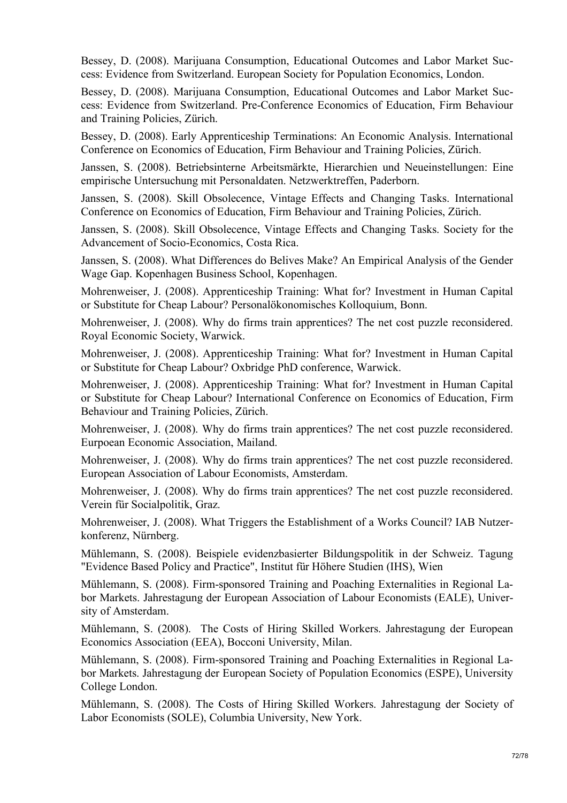Bessey, D. (2008). Marijuana Consumption, Educational Outcomes and Labor Market Success: Evidence from Switzerland. European Society for Population Economics, London.

Bessey, D. (2008). Marijuana Consumption, Educational Outcomes and Labor Market Success: Evidence from Switzerland. Pre-Conference Economics of Education, Firm Behaviour and Training Policies, Zürich.

Bessey, D. (2008). Early Apprenticeship Terminations: An Economic Analysis. International Conference on Economics of Education, Firm Behaviour and Training Policies, Zürich.

Janssen, S. (2008). Betriebsinterne Arbeitsmärkte, Hierarchien und Neueinstellungen: Eine empirische Untersuchung mit Personaldaten. Netzwerktreffen, Paderborn.

Janssen, S. (2008). Skill Obsolecence, Vintage Effects and Changing Tasks. International Conference on Economics of Education, Firm Behaviour and Training Policies, Zürich.

Janssen, S. (2008). Skill Obsolecence, Vintage Effects and Changing Tasks. Society for the Advancement of Socio-Economics, Costa Rica.

Janssen, S. (2008). What Differences do Belives Make? An Empirical Analysis of the Gender Wage Gap. Kopenhagen Business School, Kopenhagen.

Mohrenweiser, J. (2008). Apprenticeship Training: What for? Investment in Human Capital or Substitute for Cheap Labour? Personalökonomisches Kolloquium, Bonn.

Mohrenweiser, J. (2008). Why do firms train apprentices? The net cost puzzle reconsidered. Royal Economic Society, Warwick.

Mohrenweiser, J. (2008). Apprenticeship Training: What for? Investment in Human Capital or Substitute for Cheap Labour? Oxbridge PhD conference, Warwick.

Mohrenweiser, J. (2008). Apprenticeship Training: What for? Investment in Human Capital or Substitute for Cheap Labour? International Conference on Economics of Education, Firm Behaviour and Training Policies, Zürich.

Mohrenweiser, J. (2008). Why do firms train apprentices? The net cost puzzle reconsidered. Eurpoean Economic Association, Mailand.

Mohrenweiser, J. (2008). Why do firms train apprentices? The net cost puzzle reconsidered. European Association of Labour Economists, Amsterdam.

Mohrenweiser, J. (2008). Why do firms train apprentices? The net cost puzzle reconsidered. Verein für Socialpolitik, Graz.

Mohrenweiser, J. (2008). What Triggers the Establishment of a Works Council? IAB Nutzerkonferenz, Nürnberg.

Mühlemann, S. (2008). Beispiele evidenzbasierter Bildungspolitik in der Schweiz. Tagung "Evidence Based Policy and Practice", Institut für Höhere Studien (IHS), Wien

Mühlemann, S. (2008). Firm-sponsored Training and Poaching Externalities in Regional Labor Markets. Jahrestagung der European Association of Labour Economists (EALE), University of Amsterdam.

Mühlemann, S. (2008). The Costs of Hiring Skilled Workers. Jahrestagung der European Economics Association (EEA), Bocconi University, Milan.

Mühlemann, S. (2008). Firm-sponsored Training and Poaching Externalities in Regional Labor Markets. Jahrestagung der European Society of Population Economics (ESPE), University College London.

Mühlemann, S. (2008). The Costs of Hiring Skilled Workers. Jahrestagung der Society of Labor Economists (SOLE), Columbia University, New York.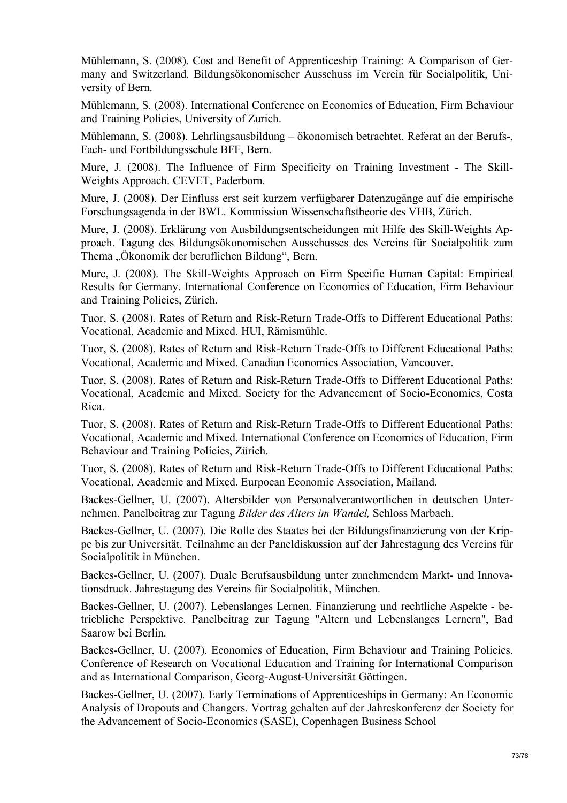Mühlemann, S. (2008). Cost and Benefit of Apprenticeship Training: A Comparison of Germany and Switzerland. Bildungsökonomischer Ausschuss im Verein für Socialpolitik, University of Bern.

Mühlemann, S. (2008). International Conference on Economics of Education, Firm Behaviour and Training Policies, University of Zurich.

Mühlemann, S. (2008). Lehrlingsausbildung – ökonomisch betrachtet. Referat an der Berufs-, Fach- und Fortbildungsschule BFF, Bern.

Mure, J. (2008). The Influence of Firm Specificity on Training Investment - The Skill-Weights Approach. CEVET, Paderborn.

Mure, J. (2008). Der Einfluss erst seit kurzem verfügbarer Datenzugänge auf die empirische Forschungsagenda in der BWL. Kommission Wissenschaftstheorie des VHB, Zürich.

Mure, J. (2008). Erklärung von Ausbildungsentscheidungen mit Hilfe des Skill-Weights Approach. Tagung des Bildungsökonomischen Ausschusses des Vereins für Socialpolitik zum Thema "Ökonomik der beruflichen Bildung", Bern.

Mure, J. (2008). The Skill-Weights Approach on Firm Specific Human Capital: Empirical Results for Germany. International Conference on Economics of Education, Firm Behaviour and Training Policies, Zürich.

Tuor, S. (2008). Rates of Return and Risk-Return Trade-Offs to Different Educational Paths: Vocational, Academic and Mixed. HUI, Rämismühle.

Tuor, S. (2008). Rates of Return and Risk-Return Trade-Offs to Different Educational Paths: Vocational, Academic and Mixed. Canadian Economics Association, Vancouver.

Tuor, S. (2008). Rates of Return and Risk-Return Trade-Offs to Different Educational Paths: Vocational, Academic and Mixed. Society for the Advancement of Socio-Economics, Costa Rica.

Tuor, S. (2008). Rates of Return and Risk-Return Trade-Offs to Different Educational Paths: Vocational, Academic and Mixed. International Conference on Economics of Education, Firm Behaviour and Training Policies, Zürich.

Tuor, S. (2008). Rates of Return and Risk-Return Trade-Offs to Different Educational Paths: Vocational, Academic and Mixed. Eurpoean Economic Association, Mailand.

Backes-Gellner, U. (2007). Altersbilder von Personalverantwortlichen in deutschen Unternehmen. Panelbeitrag zur Tagung *Bilder des Alters im Wandel,* Schloss Marbach.

Backes-Gellner, U. (2007). Die Rolle des Staates bei der Bildungsfinanzierung von der Krippe bis zur Universität. Teilnahme an der Paneldiskussion auf der Jahrestagung des Vereins für Socialpolitik in München.

Backes-Gellner, U. (2007). Duale Berufsausbildung unter zunehmendem Markt- und Innovationsdruck. Jahrestagung des Vereins für Socialpolitik, München.

Backes-Gellner, U. (2007). Lebenslanges Lernen. Finanzierung und rechtliche Aspekte - betriebliche Perspektive. Panelbeitrag zur Tagung "Altern und Lebenslanges Lernern", Bad Saarow bei Berlin.

Backes-Gellner, U. (2007). Economics of Education, Firm Behaviour and Training Policies. Conference of Research on Vocational Education and Training for International Comparison and as International Comparison, Georg-August-Universität Göttingen.

Backes-Gellner, U. (2007). Early Terminations of Apprenticeships in Germany: An Economic Analysis of Dropouts and Changers. Vortrag gehalten auf der Jahreskonferenz der Society for the Advancement of Socio-Economics (SASE), Copenhagen Business School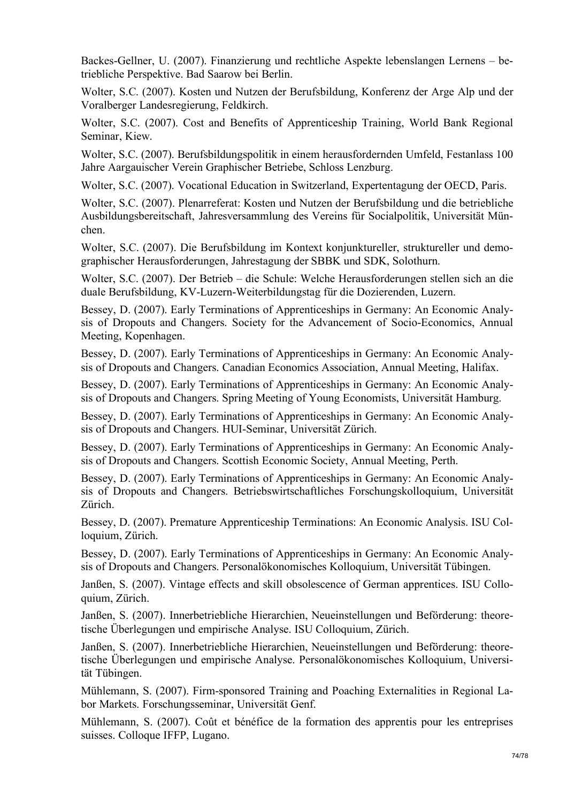Backes-Gellner, U. (2007). Finanzierung und rechtliche Aspekte lebenslangen Lernens – betriebliche Perspektive. Bad Saarow bei Berlin.

Wolter, S.C. (2007). Kosten und Nutzen der Berufsbildung, Konferenz der Arge Alp und der Voralberger Landesregierung, Feldkirch.

Wolter, S.C. (2007). Cost and Benefits of Apprenticeship Training, World Bank Regional Seminar, Kiew.

Wolter, S.C. (2007). Berufsbildungspolitik in einem herausfordernden Umfeld, Festanlass 100 Jahre Aargauischer Verein Graphischer Betriebe, Schloss Lenzburg.

Wolter, S.C. (2007). Vocational Education in Switzerland, Expertentagung der OECD, Paris.

Wolter, S.C. (2007). Plenarreferat: Kosten und Nutzen der Berufsbildung und die betriebliche Ausbildungsbereitschaft, Jahresversammlung des Vereins für Socialpolitik, Universität München.

Wolter, S.C. (2007). Die Berufsbildung im Kontext konjunktureller, struktureller und demographischer Herausforderungen, Jahrestagung der SBBK und SDK, Solothurn.

Wolter, S.C. (2007). Der Betrieb – die Schule: Welche Herausforderungen stellen sich an die duale Berufsbildung, KV-Luzern-Weiterbildungstag für die Dozierenden, Luzern.

Bessey, D. (2007). Early Terminations of Apprenticeships in Germany: An Economic Analysis of Dropouts and Changers. Society for the Advancement of Socio-Economics, Annual Meeting, Kopenhagen.

Bessey, D. (2007). Early Terminations of Apprenticeships in Germany: An Economic Analysis of Dropouts and Changers. Canadian Economics Association, Annual Meeting, Halifax.

Bessey, D. (2007). Early Terminations of Apprenticeships in Germany: An Economic Analysis of Dropouts and Changers. Spring Meeting of Young Economists, Universität Hamburg.

Bessey, D. (2007). Early Terminations of Apprenticeships in Germany: An Economic Analysis of Dropouts and Changers. HUI-Seminar, Universität Zürich.

Bessey, D. (2007). Early Terminations of Apprenticeships in Germany: An Economic Analysis of Dropouts and Changers. Scottish Economic Society, Annual Meeting, Perth.

Bessey, D. (2007). Early Terminations of Apprenticeships in Germany: An Economic Analysis of Dropouts and Changers. Betriebswirtschaftliches Forschungskolloquium, Universität Zürich.

Bessey, D. (2007). Premature Apprenticeship Terminations: An Economic Analysis. ISU Colloquium, Zürich.

Bessey, D. (2007). Early Terminations of Apprenticeships in Germany: An Economic Analysis of Dropouts and Changers. Personalökonomisches Kolloquium, Universität Tübingen.

Janßen, S. (2007). Vintage effects and skill obsolescence of German apprentices. ISU Colloquium, Zürich.

Janßen, S. (2007). Innerbetriebliche Hierarchien, Neueinstellungen und Beförderung: theoretische Überlegungen und empirische Analyse. ISU Colloquium, Zürich.

Janßen, S. (2007). Innerbetriebliche Hierarchien, Neueinstellungen und Beförderung: theoretische Überlegungen und empirische Analyse. Personalökonomisches Kolloquium, Universität Tübingen.

Mühlemann, S. (2007). Firm-sponsored Training and Poaching Externalities in Regional Labor Markets. Forschungsseminar, Universität Genf.

Mühlemann, S. (2007). Coût et bénéfice de la formation des apprentis pour les entreprises suisses. Colloque IFFP, Lugano.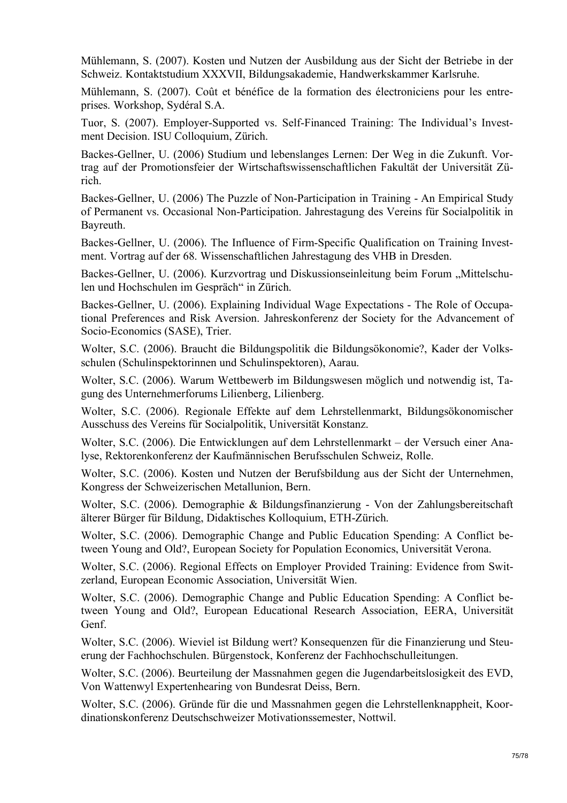Mühlemann, S. (2007). Kosten und Nutzen der Ausbildung aus der Sicht der Betriebe in der Schweiz. Kontaktstudium XXXVII, Bildungsakademie, Handwerkskammer Karlsruhe.

Mühlemann, S. (2007). Coût et bénéfice de la formation des électroniciens pour les entreprises. Workshop, Sydéral S.A.

Tuor, S. (2007). Employer-Supported vs. Self-Financed Training: The Individual's Investment Decision. ISU Colloquium, Zürich.

Backes-Gellner, U. (2006) Studium und lebenslanges Lernen: Der Weg in die Zukunft. Vortrag auf der Promotionsfeier der Wirtschaftswissenschaftlichen Fakultät der Universität Zürich.

Backes-Gellner, U. (2006) The Puzzle of Non-Participation in Training - An Empirical Study of Permanent vs. Occasional Non-Participation. Jahrestagung des Vereins für Socialpolitik in Bayreuth.

Backes-Gellner, U. (2006). The Influence of Firm-Specific Qualification on Training Investment. Vortrag auf der 68. Wissenschaftlichen Jahrestagung des VHB in Dresden.

Backes-Gellner, U. (2006). Kurzvortrag und Diskussionseinleitung beim Forum "Mittelschulen und Hochschulen im Gespräch" in Zürich.

Backes-Gellner, U. (2006). Explaining Individual Wage Expectations - The Role of Occupational Preferences and Risk Aversion. Jahreskonferenz der Society for the Advancement of Socio-Economics (SASE), Trier.

Wolter, S.C. (2006). Braucht die Bildungspolitik die Bildungsökonomie?, Kader der Volksschulen (Schulinspektorinnen und Schulinspektoren), Aarau.

Wolter, S.C. (2006). Warum Wettbewerb im Bildungswesen möglich und notwendig ist, Tagung des Unternehmerforums Lilienberg, Lilienberg.

Wolter, S.C. (2006). Regionale Effekte auf dem Lehrstellenmarkt, Bildungsökonomischer Ausschuss des Vereins für Socialpolitik, Universität Konstanz.

Wolter, S.C. (2006). Die Entwicklungen auf dem Lehrstellenmarkt – der Versuch einer Analyse, Rektorenkonferenz der Kaufmännischen Berufsschulen Schweiz, Rolle.

Wolter, S.C. (2006). Kosten und Nutzen der Berufsbildung aus der Sicht der Unternehmen, Kongress der Schweizerischen Metallunion, Bern.

Wolter, S.C. (2006). Demographie & Bildungsfinanzierung - Von der Zahlungsbereitschaft älterer Bürger für Bildung, Didaktisches Kolloquium, ETH-Zürich.

Wolter, S.C. (2006). Demographic Change and Public Education Spending: A Conflict between Young and Old?, European Society for Population Economics, Universität Verona.

Wolter, S.C. (2006). Regional Effects on Employer Provided Training: Evidence from Switzerland, European Economic Association, Universität Wien.

Wolter, S.C. (2006). Demographic Change and Public Education Spending: A Conflict between Young and Old?, European Educational Research Association, EERA, Universität Genf.

Wolter, S.C. (2006). Wieviel ist Bildung wert? Konsequenzen für die Finanzierung und Steuerung der Fachhochschulen. Bürgenstock, Konferenz der Fachhochschulleitungen.

Wolter, S.C. (2006). Beurteilung der Massnahmen gegen die Jugendarbeitslosigkeit des EVD, Von Wattenwyl Expertenhearing von Bundesrat Deiss, Bern.

Wolter, S.C. (2006). Gründe für die und Massnahmen gegen die Lehrstellenknappheit, Koordinationskonferenz Deutschschweizer Motivationssemester, Nottwil.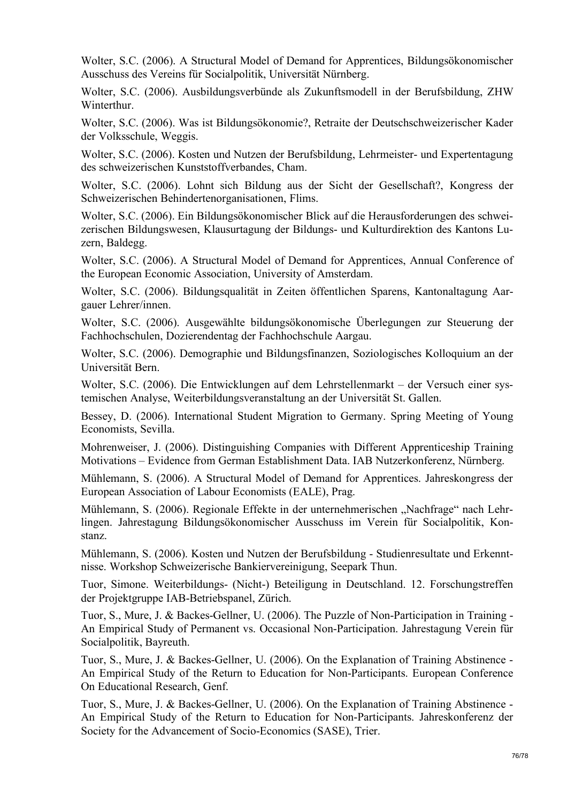Wolter, S.C. (2006). A Structural Model of Demand for Apprentices, Bildungsökonomischer Ausschuss des Vereins für Socialpolitik, Universität Nürnberg.

Wolter, S.C. (2006). Ausbildungsverbünde als Zukunftsmodell in der Berufsbildung, ZHW Winterthur.

Wolter, S.C. (2006). Was ist Bildungsökonomie?, Retraite der Deutschschweizerischer Kader der Volksschule, Weggis.

Wolter, S.C. (2006). Kosten und Nutzen der Berufsbildung, Lehrmeister- und Expertentagung des schweizerischen Kunststoffverbandes, Cham.

Wolter, S.C. (2006). Lohnt sich Bildung aus der Sicht der Gesellschaft?, Kongress der Schweizerischen Behindertenorganisationen, Flims.

Wolter, S.C. (2006). Ein Bildungsökonomischer Blick auf die Herausforderungen des schweizerischen Bildungswesen, Klausurtagung der Bildungs- und Kulturdirektion des Kantons Luzern, Baldegg.

Wolter, S.C. (2006). A Structural Model of Demand for Apprentices, Annual Conference of the European Economic Association, University of Amsterdam.

Wolter, S.C. (2006). Bildungsqualität in Zeiten öffentlichen Sparens, Kantonaltagung Aargauer Lehrer/innen.

Wolter, S.C. (2006). Ausgewählte bildungsökonomische Überlegungen zur Steuerung der Fachhochschulen, Dozierendentag der Fachhochschule Aargau.

Wolter, S.C. (2006). Demographie und Bildungsfinanzen, Soziologisches Kolloquium an der Universität Bern.

Wolter, S.C. (2006). Die Entwicklungen auf dem Lehrstellenmarkt – der Versuch einer systemischen Analyse, Weiterbildungsveranstaltung an der Universität St. Gallen.

Bessey, D. (2006). International Student Migration to Germany. Spring Meeting of Young Economists, Sevilla.

Mohrenweiser, J. (2006). Distinguishing Companies with Different Apprenticeship Training Motivations – Evidence from German Establishment Data. IAB Nutzerkonferenz, Nürnberg.

Mühlemann, S. (2006). A Structural Model of Demand for Apprentices. Jahreskongress der European Association of Labour Economists (EALE), Prag.

Mühlemann, S. (2006). Regionale Effekte in der unternehmerischen "Nachfrage" nach Lehrlingen. Jahrestagung Bildungsökonomischer Ausschuss im Verein für Socialpolitik, Konstanz.

Mühlemann, S. (2006). Kosten und Nutzen der Berufsbildung - Studienresultate und Erkenntnisse. Workshop Schweizerische Bankiervereinigung, Seepark Thun.

Tuor, Simone. Weiterbildungs- (Nicht-) Beteiligung in Deutschland. 12. Forschungstreffen der Projektgruppe IAB-Betriebspanel, Zürich.

Tuor, S., Mure, J. & Backes-Gellner, U. (2006). The Puzzle of Non-Participation in Training - An Empirical Study of Permanent vs. Occasional Non-Participation. Jahrestagung Verein für Socialpolitik, Bayreuth.

Tuor, S., Mure, J. & Backes-Gellner, U. (2006). On the Explanation of Training Abstinence - An Empirical Study of the Return to Education for Non-Participants. European Conference On Educational Research, Genf.

Tuor, S., Mure, J. & Backes-Gellner, U. (2006). On the Explanation of Training Abstinence - An Empirical Study of the Return to Education for Non-Participants. Jahreskonferenz der Society for the Advancement of Socio-Economics (SASE), Trier.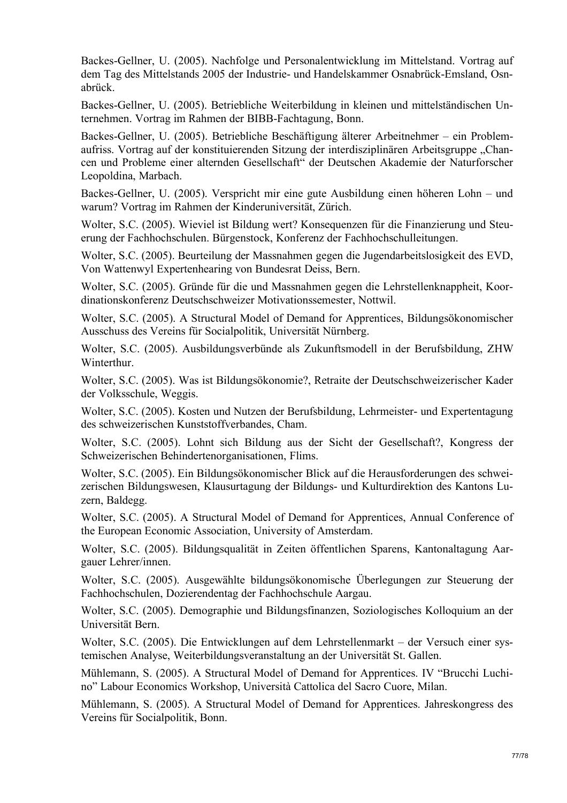Backes-Gellner, U. (2005). Nachfolge und Personalentwicklung im Mittelstand. Vortrag auf dem Tag des Mittelstands 2005 der Industrie- und Handelskammer Osnabrück-Emsland, Osnabrück.

Backes-Gellner, U. (2005). Betriebliche Weiterbildung in kleinen und mittelständischen Unternehmen. Vortrag im Rahmen der BIBB-Fachtagung, Bonn.

Backes-Gellner, U. (2005). Betriebliche Beschäftigung älterer Arbeitnehmer – ein Problemaufriss. Vortrag auf der konstituierenden Sitzung der interdisziplinären Arbeitsgruppe "Chancen und Probleme einer alternden Gesellschaft" der Deutschen Akademie der Naturforscher Leopoldina, Marbach.

Backes-Gellner, U. (2005). Verspricht mir eine gute Ausbildung einen höheren Lohn – und warum? Vortrag im Rahmen der Kinderuniversität, Zürich.

Wolter, S.C. (2005). Wieviel ist Bildung wert? Konsequenzen für die Finanzierung und Steuerung der Fachhochschulen. Bürgenstock, Konferenz der Fachhochschulleitungen.

Wolter, S.C. (2005). Beurteilung der Massnahmen gegen die Jugendarbeitslosigkeit des EVD, Von Wattenwyl Expertenhearing von Bundesrat Deiss, Bern.

Wolter, S.C. (2005). Gründe für die und Massnahmen gegen die Lehrstellenknappheit, Koordinationskonferenz Deutschschweizer Motivationssemester, Nottwil.

Wolter, S.C. (2005). A Structural Model of Demand for Apprentices, Bildungsökonomischer Ausschuss des Vereins für Socialpolitik, Universität Nürnberg.

Wolter, S.C. (2005). Ausbildungsverbünde als Zukunftsmodell in der Berufsbildung, ZHW Winterthur.

Wolter, S.C. (2005). Was ist Bildungsökonomie?, Retraite der Deutschschweizerischer Kader der Volksschule, Weggis.

Wolter, S.C. (2005). Kosten und Nutzen der Berufsbildung, Lehrmeister- und Expertentagung des schweizerischen Kunststoffverbandes, Cham.

Wolter, S.C. (2005). Lohnt sich Bildung aus der Sicht der Gesellschaft?, Kongress der Schweizerischen Behindertenorganisationen, Flims.

Wolter, S.C. (2005). Ein Bildungsökonomischer Blick auf die Herausforderungen des schweizerischen Bildungswesen, Klausurtagung der Bildungs- und Kulturdirektion des Kantons Luzern, Baldegg.

Wolter, S.C. (2005). A Structural Model of Demand for Apprentices, Annual Conference of the European Economic Association, University of Amsterdam.

Wolter, S.C. (2005). Bildungsqualität in Zeiten öffentlichen Sparens, Kantonaltagung Aargauer Lehrer/innen.

Wolter, S.C. (2005). Ausgewählte bildungsökonomische Überlegungen zur Steuerung der Fachhochschulen, Dozierendentag der Fachhochschule Aargau.

Wolter, S.C. (2005). Demographie und Bildungsfinanzen, Soziologisches Kolloquium an der Universität Bern.

Wolter, S.C. (2005). Die Entwicklungen auf dem Lehrstellenmarkt – der Versuch einer systemischen Analyse, Weiterbildungsveranstaltung an der Universität St. Gallen.

Mühlemann, S. (2005). A Structural Model of Demand for Apprentices. IV "Brucchi Luchino" Labour Economics Workshop, Università Cattolica del Sacro Cuore, Milan.

Mühlemann, S. (2005). A Structural Model of Demand for Apprentices. Jahreskongress des Vereins für Socialpolitik, Bonn.